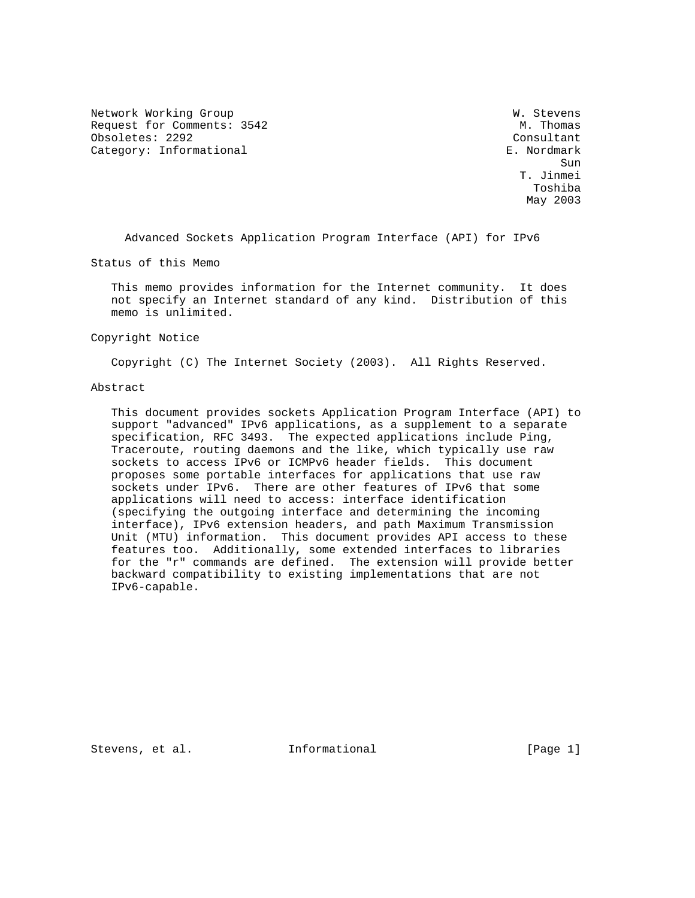Network Working Group Website Communications and W. Stevens Request for Comments: 3542 M. Thomas Obsoletes: 2292 Consultant Category: Informational example of the contract of the E. Nordmark

sun de la construcción de la construcción de la construcción de la construcción de la construcción de la const<br>Sun T. Jinmei Toshiba May 2003

Advanced Sockets Application Program Interface (API) for IPv6

Status of this Memo

 This memo provides information for the Internet community. It does not specify an Internet standard of any kind. Distribution of this memo is unlimited.

Copyright Notice

Copyright (C) The Internet Society (2003). All Rights Reserved.

## Abstract

 This document provides sockets Application Program Interface (API) to support "advanced" IPv6 applications, as a supplement to a separate specification, RFC 3493. The expected applications include Ping, Traceroute, routing daemons and the like, which typically use raw sockets to access IPv6 or ICMPv6 header fields. This document proposes some portable interfaces for applications that use raw sockets under IPv6. There are other features of IPv6 that some applications will need to access: interface identification (specifying the outgoing interface and determining the incoming interface), IPv6 extension headers, and path Maximum Transmission Unit (MTU) information. This document provides API access to these features too. Additionally, some extended interfaces to libraries for the "r" commands are defined. The extension will provide better backward compatibility to existing implementations that are not IPv6-capable.

Stevens, et al. **Informational** [Page 1]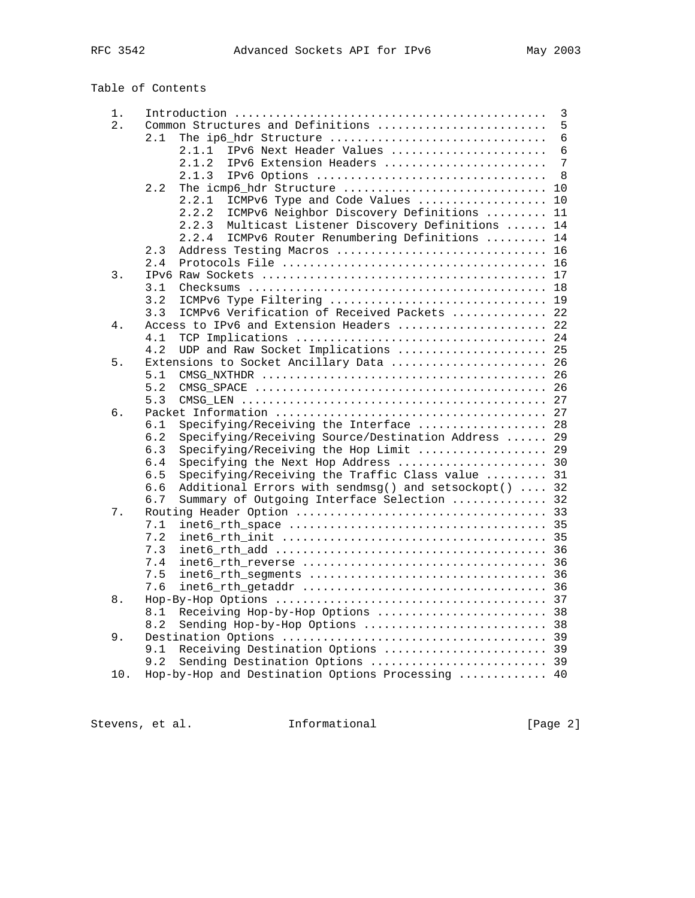Table of Contents

| 1. |            |                                                       | $\overline{3}$ |
|----|------------|-------------------------------------------------------|----------------|
| 2. |            | Common Structures and Definitions                     | 5              |
|    | 2.1        | The ip6_hdr Structure                                 | 6              |
|    |            | 2.1.1<br>IPv6 Next Header Values                      | 6              |
|    |            | IPv6 Extension Headers<br>2.1.2                       | $\overline{7}$ |
|    |            | 2.1.3<br>IPv6 Options                                 | - 8            |
|    | 2.2        | The icmp6_hdr Structure  10                           |                |
|    |            | ICMPv6 Type and Code Values  10<br>2.2.1              |                |
|    |            | 2.2.2<br>ICMPv6 Neighbor Discovery Definitions  11    |                |
|    |            | Multicast Listener Discovery Definitions  14<br>2.2.3 |                |
|    |            | ICMPv6 Router Renumbering Definitions  14<br>2.2.4    |                |
|    | 2.3        | Address Testing Macros  16                            |                |
|    | 2.4        |                                                       |                |
| 3. |            |                                                       |                |
|    | 3.1        |                                                       |                |
|    | 3.2        | ICMPv6 Type Filtering  19                             |                |
|    | 3.3        | ICMPv6 Verification of Received Packets  22           |                |
| 4. |            | Access to IPv6 and Extension Headers  22              |                |
|    | 4.1        |                                                       |                |
|    | 4.2        | UDP and Raw Socket Implications  25                   |                |
| 5. |            | Extensions to Socket Ancillary Data  26               |                |
|    | 5.1        |                                                       |                |
|    | 5.2        |                                                       |                |
|    | 5.3        |                                                       |                |
| б. |            |                                                       |                |
|    | 6.1        | Specifying/Receiving the Interface  28                |                |
|    | 6.2        | Specifying/Receiving Source/Destination Address  29   |                |
|    | 6.3        | Specifying/Receiving the Hop Limit  29                |                |
|    | 6.4        | Specifying the Next Hop Address  30                   |                |
|    | 6.5        | Specifying/Receiving the Traffic Class value  31      |                |
|    | 6.6<br>6.7 | Additional Errors with sendmsg() and setsockopt()  32 |                |
| 7. |            | Summary of Outgoing Interface Selection  32           |                |
|    | 7.1        |                                                       |                |
|    | 7.2        |                                                       |                |
|    | 7.3        |                                                       |                |
|    | 7.4        |                                                       |                |
|    | 7.5        |                                                       |                |
|    | 7.6        |                                                       |                |
| 8. |            |                                                       |                |
|    | 8.1        | Receiving Hop-by-Hop Options  38                      |                |
|    | 8.2        | Sending Hop-by-Hop Options  38                        |                |
| 9. |            |                                                       |                |
|    | 9.1        | Receiving Destination Options  39                     |                |
|    | 9.2        | Sending Destination Options  39                       |                |
|    |            |                                                       |                |

10. Hop-by-Hop and Destination Options Processing ............. 40

Stevens, et al. 1nformational 1999 [Page 2]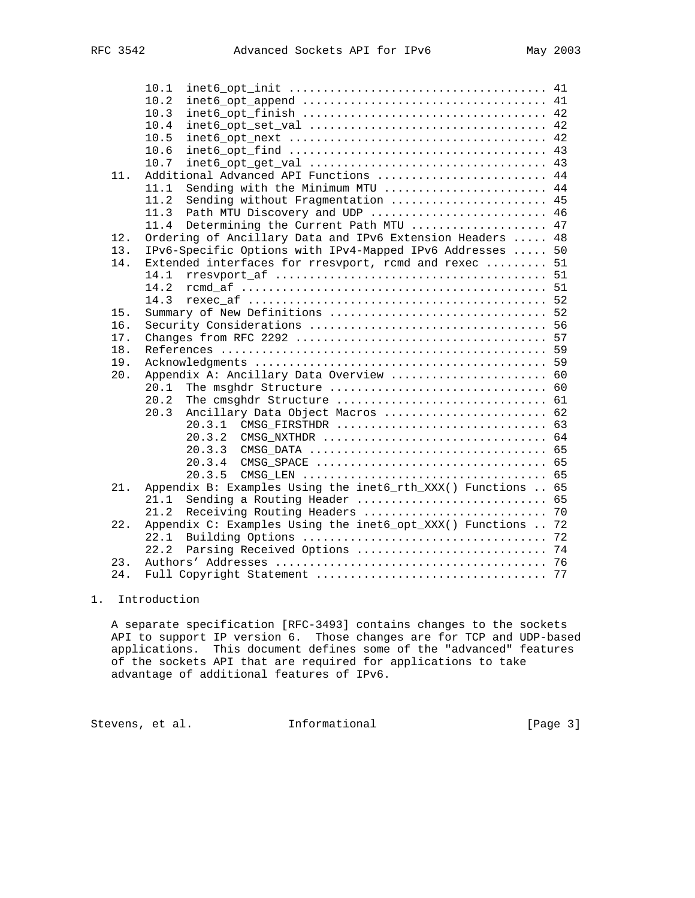|     | 10.1                                                         |    |
|-----|--------------------------------------------------------------|----|
|     | 10.2                                                         |    |
|     | 10.3                                                         |    |
|     | 10.4                                                         |    |
|     | 10.5                                                         |    |
|     | 10.6                                                         |    |
|     | 10.7                                                         |    |
| 11. | Additional Advanced API Functions  44                        |    |
|     | Sending with the Minimum MTU  44<br>11.1                     |    |
|     | 11.2<br>Sending without Fragmentation  45                    |    |
|     | 11.3<br>Path MTU Discovery and UDP  46                       |    |
|     | 11.4<br>Determining the Current Path MTU  47                 |    |
| 12. | Ordering of Ancillary Data and IPv6 Extension Headers  48    |    |
| 13. | IPv6-Specific Options with IPv4-Mapped IPv6 Addresses  50    |    |
| 14. | Extended interfaces for rresvport, romd and rexec  51        |    |
|     | 14.1                                                         |    |
|     | 14.2                                                         |    |
|     | 14.3                                                         |    |
| 15. |                                                              |    |
| 16. |                                                              |    |
| 17. |                                                              |    |
| 18. |                                                              |    |
| 19. |                                                              |    |
| 20. | Appendix A: Ancillary Data Overview  60                      |    |
|     | 20.1                                                         |    |
|     | 20.2                                                         |    |
|     | Ancillary Data Object Macros  62<br>20.3                     |    |
|     | 20.3.1<br>CMSG FIRSTHDR  63                                  |    |
|     | 20.3.2                                                       |    |
|     | 20.3.3                                                       |    |
|     | 20.3.4<br>CMSG SPACE  65                                     |    |
|     | 20.3.5                                                       |    |
| 21. | Appendix B: Examples Using the inet6_rth_XXX() Functions  65 |    |
|     | Sending a Routing Header  65<br>21.1                         |    |
|     | 21.2<br>Receiving Routing Headers                            | 70 |
| 22. | Appendix C: Examples Using the inet6_opt_XXX() Functions  72 |    |
|     | 22.1                                                         |    |
|     | 22.2                                                         |    |
| 23. |                                                              |    |
| 24. | Full Copyright Statement                                     | 77 |

# 1. Introduction

 A separate specification [RFC-3493] contains changes to the sockets API to support IP version 6. Those changes are for TCP and UDP-based applications. This document defines some of the "advanced" features of the sockets API that are required for applications to take advantage of additional features of IPv6.

Stevens, et al. 1nformational 1999 [Page 3]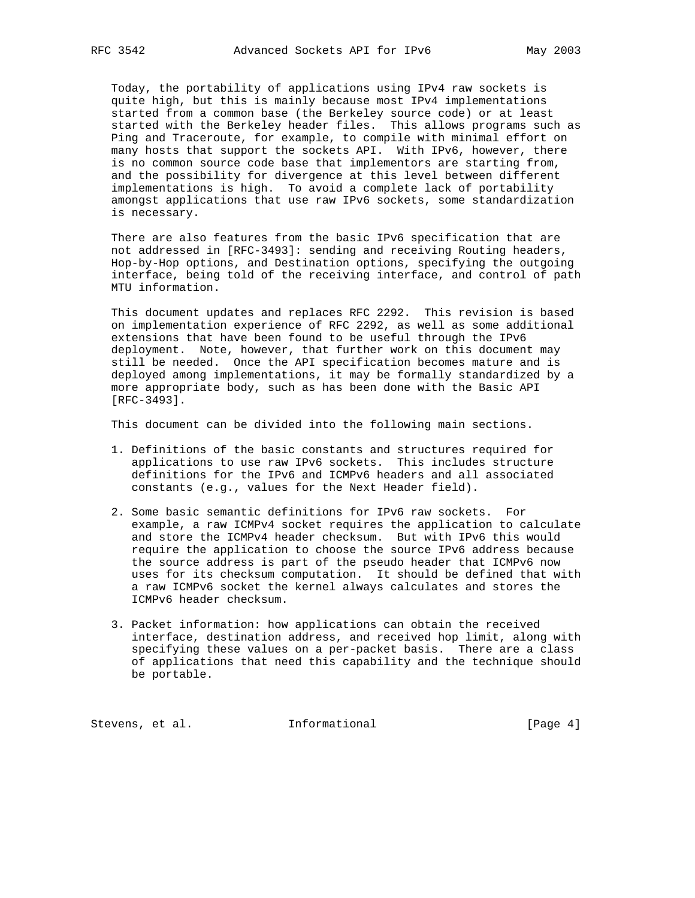Today, the portability of applications using IPv4 raw sockets is quite high, but this is mainly because most IPv4 implementations started from a common base (the Berkeley source code) or at least started with the Berkeley header files. This allows programs such as Ping and Traceroute, for example, to compile with minimal effort on many hosts that support the sockets API. With IPv6, however, there is no common source code base that implementors are starting from, and the possibility for divergence at this level between different implementations is high. To avoid a complete lack of portability amongst applications that use raw IPv6 sockets, some standardization is necessary.

 There are also features from the basic IPv6 specification that are not addressed in [RFC-3493]: sending and receiving Routing headers, Hop-by-Hop options, and Destination options, specifying the outgoing interface, being told of the receiving interface, and control of path MTU information.

 This document updates and replaces RFC 2292. This revision is based on implementation experience of RFC 2292, as well as some additional extensions that have been found to be useful through the IPv6 deployment. Note, however, that further work on this document may still be needed. Once the API specification becomes mature and is deployed among implementations, it may be formally standardized by a more appropriate body, such as has been done with the Basic API [RFC-3493].

This document can be divided into the following main sections.

- 1. Definitions of the basic constants and structures required for applications to use raw IPv6 sockets. This includes structure definitions for the IPv6 and ICMPv6 headers and all associated constants (e.g., values for the Next Header field).
- 2. Some basic semantic definitions for IPv6 raw sockets. For example, a raw ICMPv4 socket requires the application to calculate and store the ICMPv4 header checksum. But with IPv6 this would require the application to choose the source IPv6 address because the source address is part of the pseudo header that ICMPv6 now uses for its checksum computation. It should be defined that with a raw ICMPv6 socket the kernel always calculates and stores the ICMPv6 header checksum.
- 3. Packet information: how applications can obtain the received interface, destination address, and received hop limit, along with specifying these values on a per-packet basis. There are a class of applications that need this capability and the technique should be portable.

Stevens, et al. 1nformational [Page 4]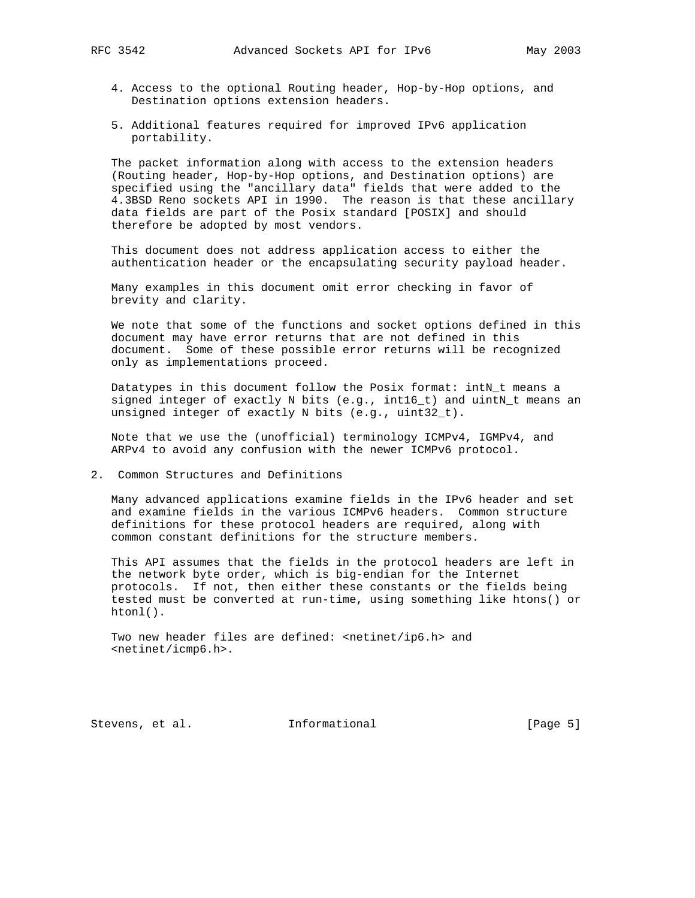- 4. Access to the optional Routing header, Hop-by-Hop options, and Destination options extension headers.
- 5. Additional features required for improved IPv6 application portability.

 The packet information along with access to the extension headers (Routing header, Hop-by-Hop options, and Destination options) are specified using the "ancillary data" fields that were added to the 4.3BSD Reno sockets API in 1990. The reason is that these ancillary data fields are part of the Posix standard [POSIX] and should therefore be adopted by most vendors.

 This document does not address application access to either the authentication header or the encapsulating security payload header.

 Many examples in this document omit error checking in favor of brevity and clarity.

 We note that some of the functions and socket options defined in this document may have error returns that are not defined in this document. Some of these possible error returns will be recognized only as implementations proceed.

 Datatypes in this document follow the Posix format: intN\_t means a signed integer of exactly N bits (e.g., int16\_t) and uintN\_t means an unsigned integer of exactly N bits (e.g., uint32\_t).

 Note that we use the (unofficial) terminology ICMPv4, IGMPv4, and ARPv4 to avoid any confusion with the newer ICMPv6 protocol.

2. Common Structures and Definitions

 Many advanced applications examine fields in the IPv6 header and set and examine fields in the various ICMPv6 headers. Common structure definitions for these protocol headers are required, along with common constant definitions for the structure members.

 This API assumes that the fields in the protocol headers are left in the network byte order, which is big-endian for the Internet protocols. If not, then either these constants or the fields being tested must be converted at run-time, using something like htons() or htonl().

Two new header files are defined: <netinet/ip6.h> and <netinet/icmp6.h>.

Stevens, et al. **Informational** [Page 5]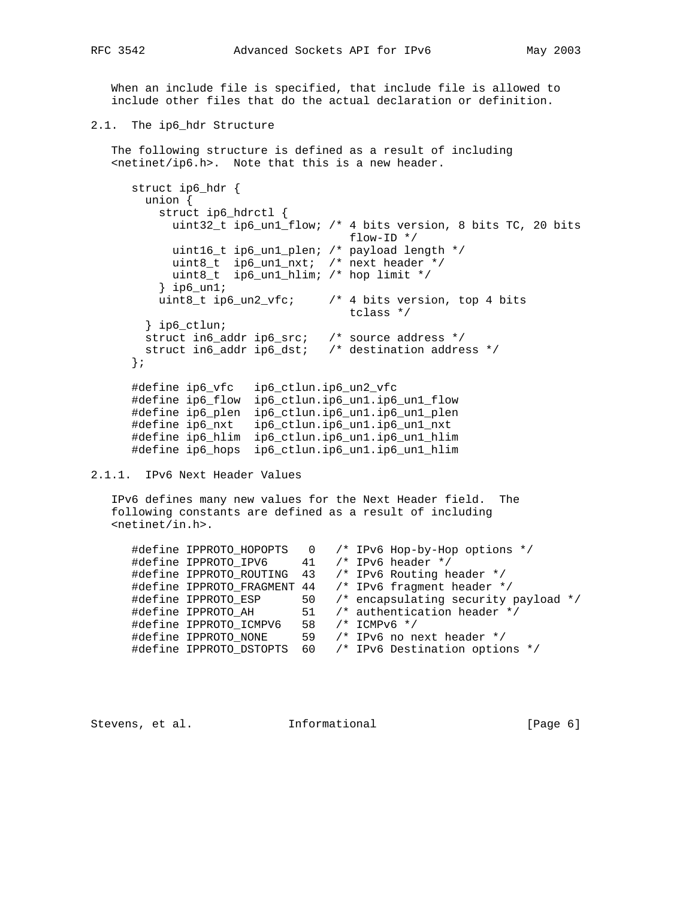When an include file is specified, that include file is allowed to include other files that do the actual declaration or definition.

2.1. The ip6\_hdr Structure

 The following structure is defined as a result of including <netinet/ip6.h>. Note that this is a new header.

```
 struct ip6_hdr {
       union {
         struct ip6_hdrctl {
          uint32_t ip6_un1_flow; /* 4 bits version, 8 bits TC, 20 bits
 flow-ID */
 uint16_t ip6_un1_plen; /* payload length */
 uint8_t ip6_un1_nxt; /* next header */
 uint8_t ip6_un1_hlim; /* hop limit */
         } ip6_un1;
         uint8_t ip6_un2_vfc; /* 4 bits version, top 4 bits
                                 tclass */
       } ip6_ctlun;
       struct in6_addr ip6_src; /* source address */
       struct in6_addr ip6_dst; /* destination address */
      };
      #define ip6_vfc ip6_ctlun.ip6_un2_vfc
 #define ip6_flow ip6_ctlun.ip6_un1.ip6_un1_flow
 #define ip6_plen ip6_ctlun.ip6_un1.ip6_un1_plen
 #define ip6_nxt ip6_ctlun.ip6_un1.ip6_un1_nxt
 #define ip6_hlim ip6_ctlun.ip6_un1.ip6_un1_hlim
      #define ip6_hops ip6_ctlun.ip6_un1.ip6_un1_hlim
```

```
2.1.1. IPv6 Next Header Values
```
 IPv6 defines many new values for the Next Header field. The following constants are defined as a result of including <netinet/in.h>.

|  |                                             |  | #define IPPROTO_HOPOPTS 0 /* IPv6 Hop-by-Hop options */ |
|--|---------------------------------------------|--|---------------------------------------------------------|
|  | #define IPPROTO IPV6 $41$ /* IPv6 header */ |  |                                                         |
|  |                                             |  | #define IPPROTO_ROUTING 43 /* IPv6 Routing header */    |
|  |                                             |  | #define IPPROTO_FRAGMENT 44 /* IPv6 fragment header */  |
|  | #define IPPROTO ESP                         |  | 50 /* encapsulating security payload */                 |
|  | #define IPPROTO AH                          |  | 51 /* authentication header */                          |
|  | #define IPPROTO ICMPV6                      |  | 58 $/*$ ICMPv6 */                                       |
|  | #define IPPROTO NONE                        |  | 59 $/*$ IPv6 no next header $*/$                        |
|  | #define IPPROTO_DSTOPTS                     |  | 60 /* IPv6 Destination options */                       |
|  |                                             |  |                                                         |

Stevens, et al. **Informational** [Page 6]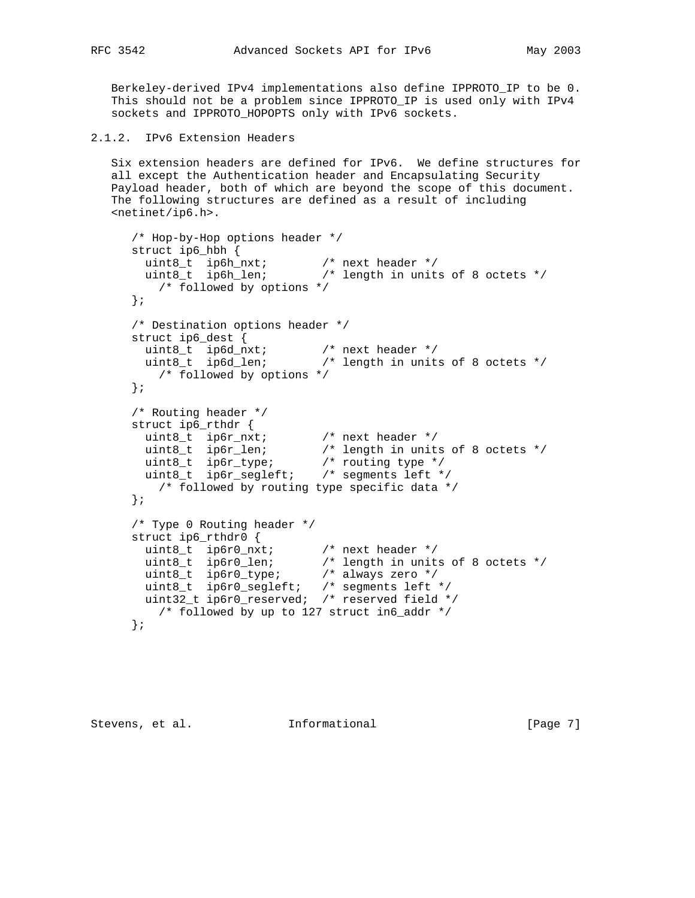Berkeley-derived IPv4 implementations also define IPPROTO\_IP to be 0. This should not be a problem since IPPROTO\_IP is used only with IPv4 sockets and IPPROTO\_HOPOPTS only with IPv6 sockets.

```
2.1.2. IPv6 Extension Headers
```
 Six extension headers are defined for IPv6. We define structures for all except the Authentication header and Encapsulating Security Payload header, both of which are beyond the scope of this document. The following structures are defined as a result of including <netinet/ip6.h>.

```
 /* Hop-by-Hop options header */
     struct ip6_hbh {
 uint8_t ip6h_nxt; /* next header */
 uint8_t ip6h_len; /* length in units of 8 octets */
        /* followed by options */
      };
      /* Destination options header */
      struct ip6_dest {
 uint8_t ip6d_nxt; /* next header */
 uint8_t ip6d_len; /* length in units of 8 octets */
        /* followed by options */
      };
      /* Routing header */
     struct ip6_rthdr {
 uint8_t ip6r_nxt; /* next header */
 uint8_t ip6r_len; /* length in units of 8 octets */
 uint8_t ip6r_type; /* routing type */
 uint8_t ip6r_segleft; /* segments left */
        /* followed by routing type specific data */
      };
      /* Type 0 Routing header */
      struct ip6_rthdr0 {
 uint8_t ip6r0_nxt; /* next header */
 uint8_t ip6r0_len; /* length in units of 8 octets */
 uint8_t ip6r0_type; /* always zero */
 uint8_t ip6r0_segleft; /* segments left */
 uint32_t ip6r0_reserved; /* reserved field */
        /* followed by up to 127 struct in6_addr */
      };
```
Stevens, et al. **Informational** [Page 7]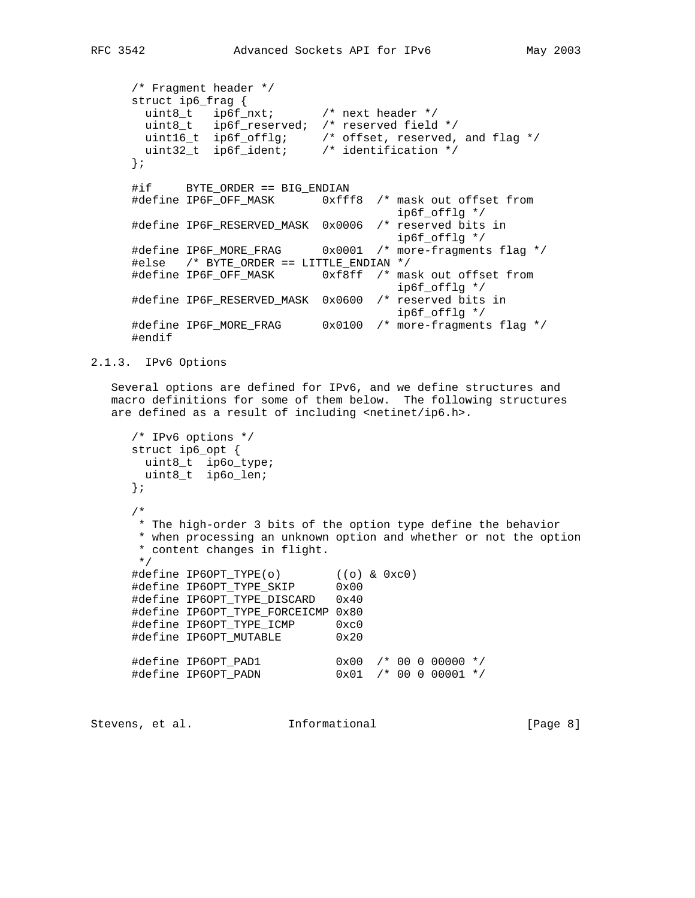```
 /* Fragment header */
     struct ip6_frag {
 uint8_t ip6f_nxt; /* next header */
 uint8_t ip6f_reserved; /* reserved field */
 uint16_t ip6f_offlg; /* offset, reserved, and flag */
 uint32_t ip6f_ident; /* identification */
     };
     #if BYTE_ORDER == BIG_ENDIAN
    #define IP6F_OFF_MASK 0xfff8 /* mask out offset from
                                      ip6f_offlg */
     #define IP6F_RESERVED_MASK 0x0006 /* reserved bits in
 ip6f_offlg */
 #define IP6F_MORE_FRAG 0x0001 /* more-fragments flag */
     #else /* BYTE_ORDER == LITTLE_ENDIAN */
    #define IP6F_OFF_MASK 0xf8ff /* mask out offset from
                                      ip6f_offlg */
     #define IP6F_RESERVED_MASK 0x0600 /* reserved bits in
                                      ip6f_offlg */
     #define IP6F_MORE_FRAG 0x0100 /* more-fragments flag */
     #endif
```
2.1.3. IPv6 Options

 Several options are defined for IPv6, and we define structures and macro definitions for some of them below. The following structures are defined as a result of including <netinet/ip6.h>.

```
 /* IPv6 options */
      struct ip6_opt {
      uint8_t ip6o_type;
       uint8_t ip6o_len;
      };
      /*
       * The high-order 3 bits of the option type define the behavior
      * when processing an unknown option and whether or not the option
       * content changes in flight.
       */
 #define IP6OPT_TYPE(o) ((o) & 0xc0)
 #define IP6OPT_TYPE_SKIP 0x00
      #define IP6OPT_TYPE_DISCARD 0x40
      #define IP6OPT_TYPE_FORCEICMP 0x80
      #define IP6OPT_TYPE_ICMP 0xc0
      #define IP6OPT_MUTABLE 0x20
 #define IP6OPT_PAD1 0x00 /* 00 0 00000 */
 #define IP6OPT_PADN 0x01 /* 00 0 00001 */
```
Stevens, et al. **Informational** [Page 8]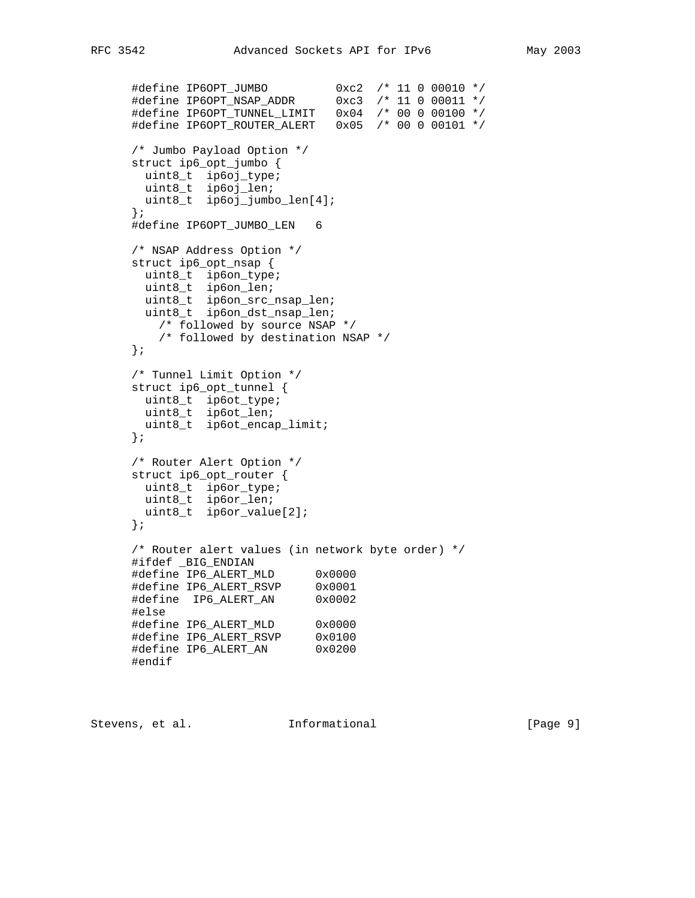```
 #define IP6OPT_JUMBO 0xc2 /* 11 0 00010 */
 #define IP6OPT_NSAP_ADDR 0xc3 /* 11 0 00011 */
 #define IP6OPT_TUNNEL_LIMIT 0x04 /* 00 0 00100 */
 #define IP6OPT_ROUTER_ALERT 0x05 /* 00 0 00101 */
      /* Jumbo Payload Option */
      struct ip6_opt_jumbo {
      uint8_t ip6oj_type;
       uint8_t ip6oj_len;
       uint8_t ip6oj_jumbo_len[4];
      };
      #define IP6OPT_JUMBO_LEN 6
      /* NSAP Address Option */
      struct ip6_opt_nsap {
uint8_t ip6on_type;
uint8_t ip6on_len;
 uint8_t ip6on_src_nsap_len;
        uint8_t ip6on_dst_nsap_len;
         /* followed by source NSAP */
         /* followed by destination NSAP */
      };
      /* Tunnel Limit Option */
      struct ip6_opt_tunnel {
uint8_t ip6ot_type;
 uint8_t ip6ot_len;
 uint8_t ip6ot_encap_limit;
      };
      /* Router Alert Option */
      struct ip6_opt_router {
      uint8_t ip6or_type;
       uint8_t ip6or_len;
       uint8_t ip6or_value[2];
      };
      /* Router alert values (in network byte order) */
      #ifdef _BIG_ENDIAN
      #define IP6_ALERT_MLD 0x0000
     \frac{1}{4}define IP6_ALERT_RSVP 0x0001<br>\frac{1}{4}define IP6_ALERT_RSVP 0x0001
      #define IP6_ALERT_AN 0x0002
      #else
 #define IP6_ALERT_MLD 0x0000
 #define IP6_ALERT_RSVP 0x0100
 #define IP6_ALERT_AN 0x0200
      #endif
```
Stevens, et al. **Informational** [Page 9]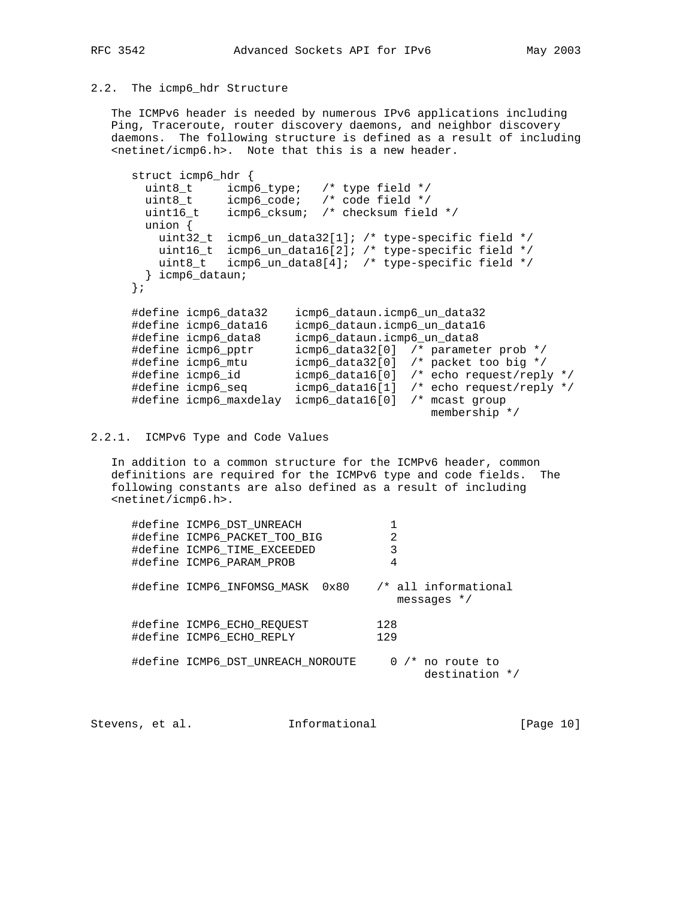# 2.2. The icmp6\_hdr Structure

 The ICMPv6 header is needed by numerous IPv6 applications including Ping, Traceroute, router discovery daemons, and neighbor discovery daemons. The following structure is defined as a result of including <netinet/icmp6.h>. Note that this is a new header.

```
 struct icmp6_hdr {
 uint8_t icmp6_type; /* type field */
 uint8_t icmp6_code; /* code field */
      uint16_t icmp6_cksum; /* checksum field */
       union {
        uint32_t icmp6_un_data32[1]; /* type-specific field */
 uint16_t icmp6_un_data16[2]; /* type-specific field */
 uint8_t icmp6_un_data8[4]; /* type-specific field */
       } icmp6_dataun;
     };
 #define icmp6_data32 icmp6_dataun.icmp6_un_data32
 #define icmp6_data16 icmp6_dataun.icmp6_un_data16
 #define icmp6_data8 icmp6_dataun.icmp6_un_data8
 #define icmp6_pptr icmp6_data32[0] /* parameter prob */
 #define icmp6_mtu icmp6_data32[0] /* packet too big */
 #define icmp6_id icmp6_data16[0] /* echo request/reply */
 #define icmp6_seq icmp6_data16[1] /* echo request/reply */
 #define icmp6_maxdelay icmp6_data16[0] /* mcast group
 membership */
```
2.2.1. ICMPv6 Type and Code Values

 In addition to a common structure for the ICMPv6 header, common definitions are required for the ICMPv6 type and code fields. The following constants are also defined as a result of including <netinet/icmp6.h>.

| #define ICMP6 DST UNREACH<br>#define ICMP6 PACKET TOO BIG<br>#define ICMP6 TIME EXCEEDED<br>#define ICMP6 PARAM PROB | 2<br>3<br>4                           |
|----------------------------------------------------------------------------------------------------------------------|---------------------------------------|
| #define ICMP6 INFOMSG MASK<br>0x80                                                                                   | /* all informational<br>messages $*/$ |
| #define ICMP6 ECHO REOUEST<br>#define ICMP6 ECHO REPLY                                                               | 128<br>129                            |
| #define ICMP6 DST UNREACH NOROUTE                                                                                    | $0$ /* no route to<br>destination */  |

Stevens, et al. **Informational** [Page 10]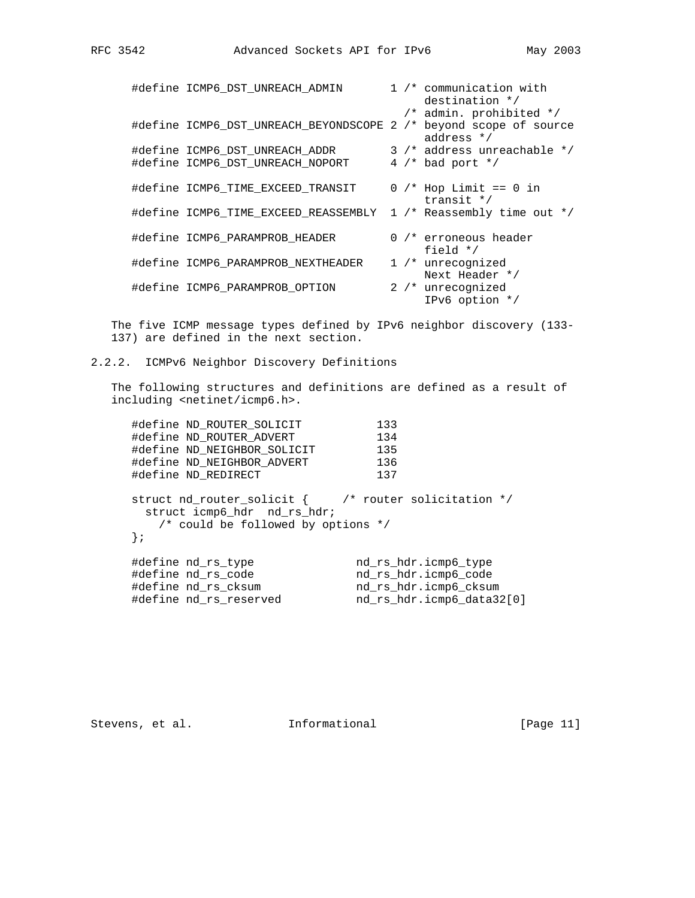|  | #define ICMP6_DST_UNREACH_ADMIN                                   |  | 1 /* communication with<br>destination */ |
|--|-------------------------------------------------------------------|--|-------------------------------------------|
|  |                                                                   |  | /* admin. prohibited */                   |
|  | #define ICMP6 DST UNREACH BEYONDSCOPE 2 /* beyond scope of source |  | address $*/$                              |
|  | #define ICMP6 DST UNREACH ADDR                                    |  | 3 /* address unreachable */               |
|  | #define ICMP6 DST UNREACH NOPORT                                  |  | 4 $/*$ bad port $*/$                      |
|  | #define ICMP6 TIME EXCEED TRANSIT                                 |  | $0$ /* Hop Limit == 0 in<br>transit $*/$  |
|  | #define ICMP6 TIME EXCEED REASSEMBLY                              |  | 1 $/*$ Reassembly time out $*/$           |
|  | #define ICMP6_PARAMPROB HEADER                                    |  | $0$ /* erroneous header<br>field $*/$     |
|  | #define ICMP6 PARAMPROB NEXTHEADER                                |  | 1 /* unrecognized                         |
|  |                                                                   |  | Next Header */                            |
|  | #define ICMP6 PARAMPROB OPTION                                    |  | 2 /* unrecognized                         |
|  |                                                                   |  | IPv6 option */                            |

 The five ICMP message types defined by IPv6 neighbor discovery (133- 137) are defined in the next section.

2.2.2. ICMPv6 Neighbor Discovery Definitions

 The following structures and definitions are defined as a result of including <netinet/icmp6.h>.

| #define ND ROUTER SOLICIT                                                                                                                  | 133                       |
|--------------------------------------------------------------------------------------------------------------------------------------------|---------------------------|
| #define ND ROUTER ADVERT                                                                                                                   | 134                       |
| #define ND NEIGHBOR SOLICIT                                                                                                                | 135                       |
| #define ND NEIGHBOR ADVERT                                                                                                                 | 136                       |
| #define ND REDIRECT                                                                                                                        | 137                       |
| struct nd router solicit $\{$ /* router solicitation */<br>struct icmp6_hdr nd_rs_hdr;<br>$/*$ could be followed by options $*/$<br>$\{$ ; |                           |
| #define nd rs type                                                                                                                         | nd rs hdr.icmp6 type      |
| #define nd rs code                                                                                                                         | nd rs hdr.icmp6 code      |
| #define nd rs cksum                                                                                                                        | nd rs hdr.icmp6 cksum     |
| #define nd rs reserved                                                                                                                     | nd rs hdr.icmp6 data32[0] |

Stevens, et al. 1nformational 1999 [Page 11]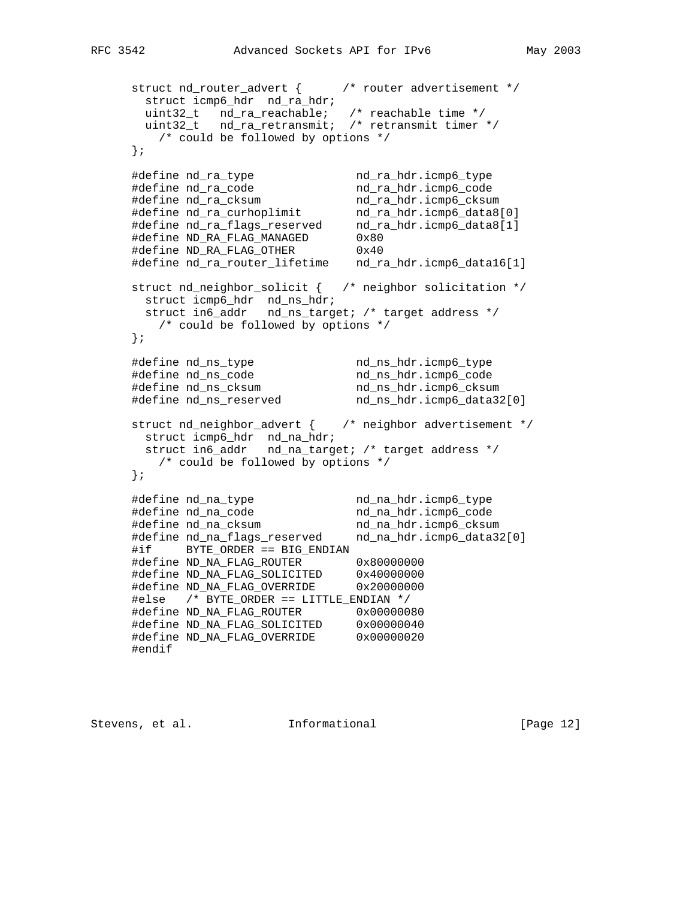```
 struct nd_router_advert { /* router advertisement */
       struct icmp6_hdr nd_ra_hdr;
 uint32_t nd_ra_reachable; /* reachable time */
 uint32_t nd_ra_retransmit; /* retransmit timer */
        /* could be followed by options */
     };
 #define nd_ra_type nd_ra_hdr.icmp6_type
 #define nd_ra_code nd_ra_hdr.icmp6_code
 #define nd_ra_cksum nd_ra_hdr.icmp6_cksum
 #define nd_ra_curhoplimit nd_ra_hdr.icmp6_data8[0]
 #define nd_ra_flags_reserved nd_ra_hdr.icmp6_data8[1]
 #define ND_RA_FLAG_MANAGED 0x80
 #define ND_RA_FLAG_OTHER 0x40
     #define nd_ra_router_lifetime nd_ra_hdr.icmp6_data16[1]
     struct nd_neighbor_solicit { /* neighbor solicitation */
      struct icmp6_hdr nd_ns_hdr;
       struct in6_addr nd_ns_target; /* target address */
        /* could be followed by options */
     };
 #define nd_ns_type nd_ns_hdr.icmp6_type
 #define nd_ns_code nd_ns_hdr.icmp6_code
 #define nd_ns_cksum nd_ns_hdr.icmp6_cksum
 #define nd_ns_reserved nd_ns_hdr.icmp6_data32[0]
     struct nd_neighbor_advert { /* neighbor advertisement */
      struct icmp6_hdr nd_na_hdr;
       struct in6_addr nd_na_target; /* target address */
        /* could be followed by options */
     };
 #define nd_na_type nd_na_hdr.icmp6_type
 #define nd_na_code nd_na_hdr.icmp6_code
 #define nd_na_cksum nd_na_hdr.icmp6_cksum
 #define nd_na_flags_reserved nd_na_hdr.icmp6_data32[0]
     #if BYTE_ORDER == BIG_ENDIAN
     #define ND_NA_FLAG_ROUTER 0x80000000
 #define ND_NA_FLAG_SOLICITED 0x40000000
 #define ND_NA_FLAG_OVERRIDE 0x20000000
     #else /* BYTE_ORDER == LITTLE_ENDIAN */
     #define ND_NA_FLAG_ROUTER 0x00000080
 #define ND_NA_FLAG_SOLICITED 0x00000040
 #define ND_NA_FLAG_OVERRIDE 0x00000020
     #endif
```
Stevens, et al. **Informational** [Page 12]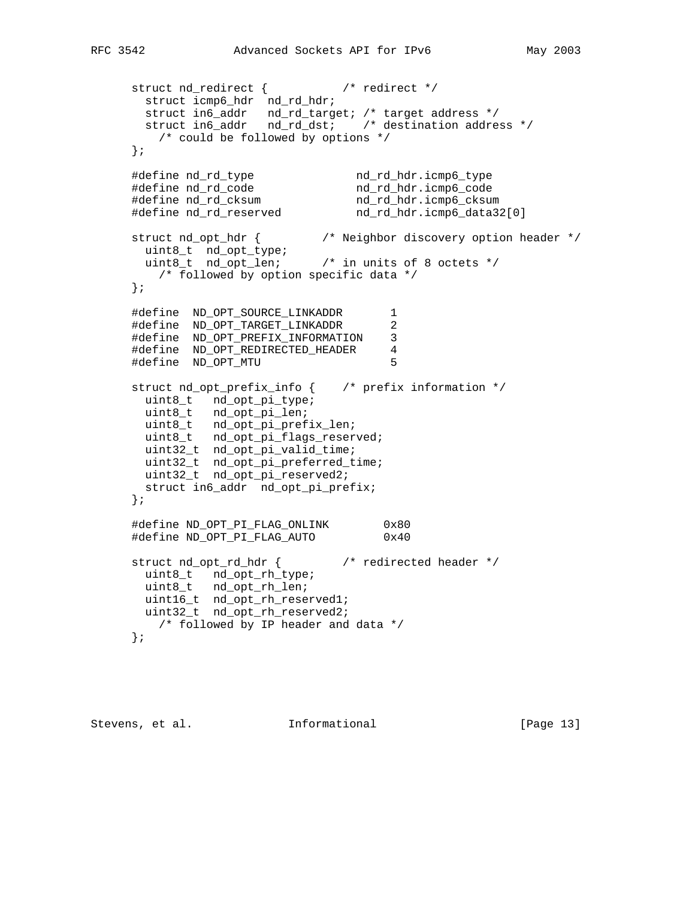```
 struct nd_redirect { /* redirect */
struct icmp6_hdr nd_rd_hdr;
 struct in6_addr nd_rd_target; /* target address */
 struct in6_addr nd_rd_dst; /* destination address */
        /* could be followed by options */
     };
 #define nd_rd_type nd_rd_hdr.icmp6_type
 #define nd_rd_code nd_rd_hdr.icmp6_code
 #define nd_rd_cksum nd_rd_hdr.icmp6_cksum
 #define nd_rd_reserved nd_rd_hdr.icmp6_data32[0]
     struct nd_opt_hdr { /* Neighbor discovery option header */
uint8_t nd_opt_type;
 uint8_t nd_opt_len; /* in units of 8 octets */
        /* followed by option specific data */
     };
     #define ND_OPT_SOURCE_LINKADDR 1
     #define ND_OPT_TARGET_LINKADDR 2
     #define ND_OPT_PREFIX_INFORMATION 3
     #define ND_OPT_REDIRECTED_HEADER 4
     #define ND_OPT_MTU 5
     struct nd_opt_prefix_info { /* prefix information */
uint8_t nd_opt_pi_type;
uint8_t nd_opt_pi_len;
       uint8_t nd_opt_pi_prefix_len;
       uint8_t nd_opt_pi_flags_reserved;
       uint32_t nd_opt_pi_valid_time;
       uint32_t nd_opt_pi_preferred_time;
       uint32_t nd_opt_pi_reserved2;
      struct in6_addr nd_opt_pi_prefix;
     };
     #define ND_OPT_PI_FLAG_ONLINK 0x80
     #define ND_OPT_PI_FLAG_AUTO 0x40
 struct nd_opt_rd_hdr { /* redirected header */
uint8_t nd_opt_rh_type;
       uint8_t nd_opt_rh_len;
       uint16_t nd_opt_rh_reserved1;
       uint32_t nd_opt_rh_reserved2;
        /* followed by IP header and data */
     };
```
Stevens, et al. 1nformational [Page 13]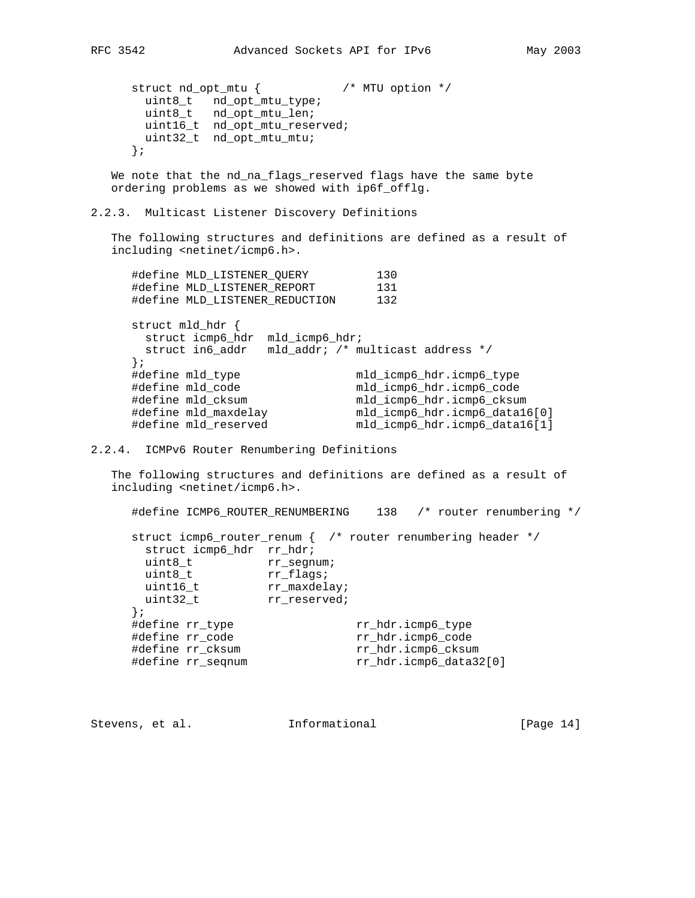struct nd\_opt\_mtu { /\* MTU option \*/ uint8\_t nd\_opt\_mtu\_type; uint8\_t nd\_opt\_mtu\_len; uint16\_t nd\_opt\_mtu\_reserved; uint32\_t nd\_opt\_mtu\_mtu; };

We note that the nd\_na\_flags\_reserved flags have the same byte ordering problems as we showed with ip6f\_offlg.

2.2.3. Multicast Listener Discovery Definitions

 The following structures and definitions are defined as a result of including <netinet/icmp6.h>.

| #define MLD LISTENER QUERY                             | 130                               |
|--------------------------------------------------------|-----------------------------------|
| #define MLD LISTENER REPORT                            | 131                               |
| #define MLD LISTENER REDUCTION                         | 132                               |
| struct mld hdr {<br>struct icmp6 hdr<br>mld icmp6 hdr; |                                   |
| struct in6 addr                                        | mld addr; /* multicast address */ |
| $\{$ ;                                                 |                                   |
| #define mld type                                       | mld icmp6 hdr.icmp6 type          |
| #define mld code                                       | mld_icmp6_hdr.icmp6_code          |
| #define mld cksum                                      | mld_icmp6_hdr.icmp6_cksum         |
| #define mld_maxdelay                                   | mld_icmp6_hdr.icmp6_data16[0]     |
| #define mld reserved                                   | mld_icmp6_hdr.icmp6_data16[1]     |
|                                                        |                                   |

2.2.4. ICMPv6 Router Renumbering Definitions

 The following structures and definitions are defined as a result of including <netinet/icmp6.h>.

#define ICMP6\_ROUTER\_RENUMBERING 138 /\* router renumbering \*/

|                          |              | struct icmp6_router_renum { /* router renumbering header */ |  |
|--------------------------|--------------|-------------------------------------------------------------|--|
| struct icmp6_hdr rr_hdr; |              |                                                             |  |
| uint8 t                  | rr segnum;   |                                                             |  |
| uint8 t                  | rr flags;    |                                                             |  |
| uint16 t                 | rr maxdelay; |                                                             |  |
| uint32 t                 | rr reserved; |                                                             |  |
| $\{$ ;                   |              |                                                             |  |
| #define rr_type          |              | rr_hdr.icmp6_type                                           |  |
| #define rr code          |              | rr hdr.icmp6 code                                           |  |
| #define rr cksum         |              | rr hdr.icmp6 cksum                                          |  |
| #define rr_seqnum        |              | rr_hdr.icmp6_data32[0]                                      |  |

Stevens, et al. **Informational** [Page 14]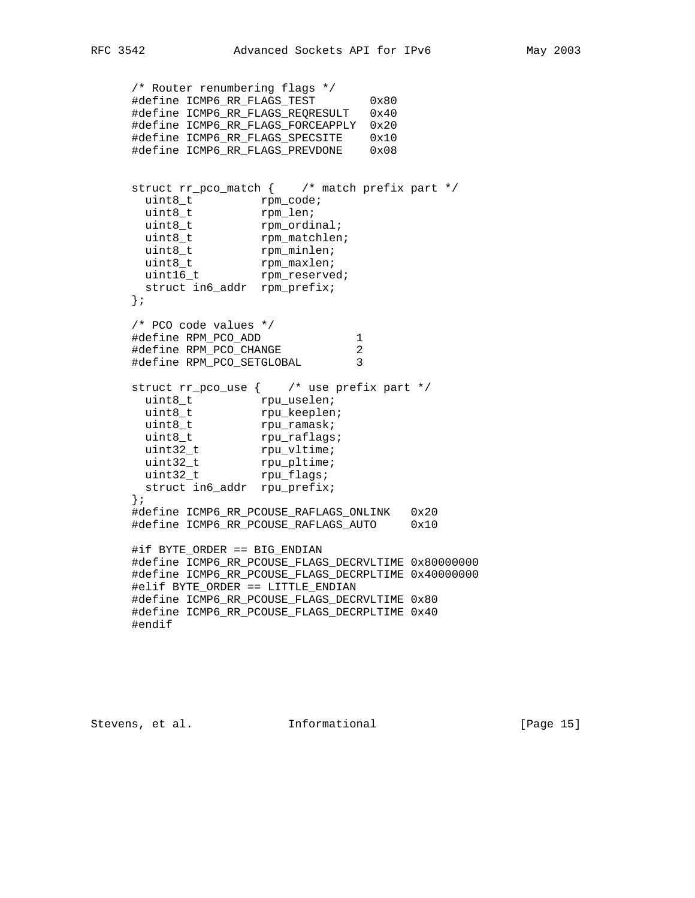```
 /* Router renumbering flags */
     #define ICMP6_RR_FLAGS_TEST 0x80
     #define ICMP6_RR_FLAGS_REQRESULT 0x40
     #define ICMP6_RR_FLAGS_FORCEAPPLY 0x20
     #define ICMP6_RR_FLAGS_SPECSITE 0x10
    #define ICMP6_RR_FLAGS_PREVDONE
     struct rr_pco_match { /* match prefix part */
uint8_t rpm_code;
uint8_t rpm_len;
uint8_t rpm_ordinal;
uint8_t rpm_matchlen;
uint8_t rpm_minlen;
uint8_t rpm_maxlen;
uint16_t rpm_reserved;
      struct in6_addr rpm_prefix;
     };
     /* PCO code values */
 #define RPM_PCO_ADD 1
 #define RPM_PCO_CHANGE 2
 #define RPM_PCO_SETGLOBAL 3
     struct rr_pco_use { /* use prefix part */
uint8_t rpu_uselen;
uint8_t rpu_keeplen;
uint8_t rpu_ramask;
uint8_t rpu_raflags;
uint32_t rpu_vltime;
uint32_t rpu_pltime;
uint32_t rpu_flags;
      struct in6_addr rpu_prefix;
     };
     #define ICMP6_RR_PCOUSE_RAFLAGS_ONLINK 0x20
     #define ICMP6_RR_PCOUSE_RAFLAGS_AUTO 0x10
     #if BYTE_ORDER == BIG_ENDIAN
     #define ICMP6_RR_PCOUSE_FLAGS_DECRVLTIME 0x80000000
     #define ICMP6_RR_PCOUSE_FLAGS_DECRPLTIME 0x40000000
     #elif BYTE_ORDER == LITTLE_ENDIAN
     #define ICMP6_RR_PCOUSE_FLAGS_DECRVLTIME 0x80
     #define ICMP6_RR_PCOUSE_FLAGS_DECRPLTIME 0x40
     #endif
```
Stevens, et al. 1nformational [Page 15]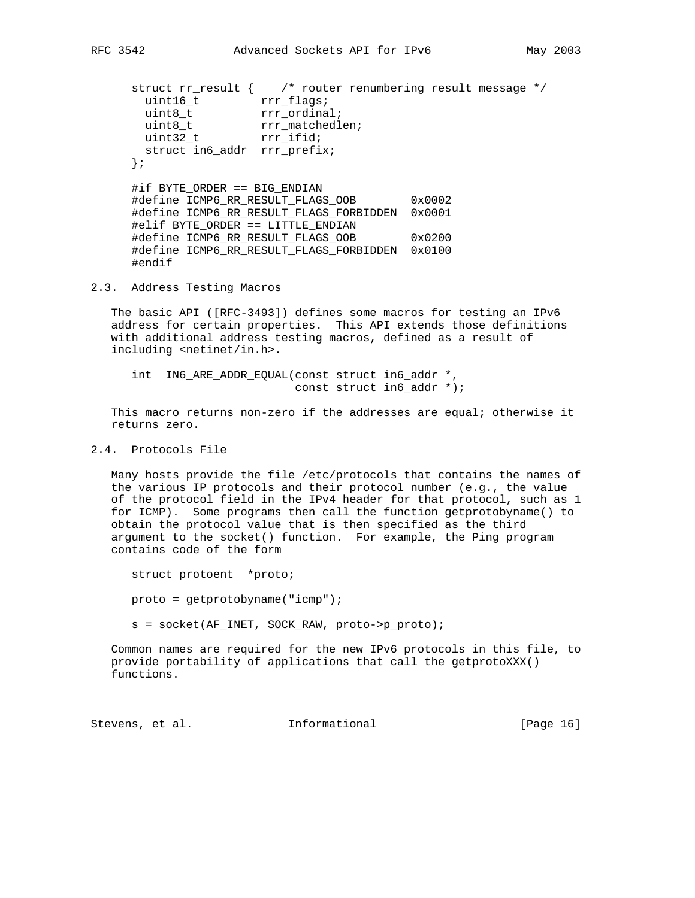struct rr\_result { /\* router renumbering result message \*/ uint16\_t rrr\_flags; uint8\_t rrr\_ordinal; uint8\_t rrr\_matchedlen; uint32\_t rrr\_ifid; struct in6\_addr rrr\_prefix; }; #if BYTE\_ORDER == BIG\_ENDIAN #define ICMP6\_RR\_RESULT\_FLAGS\_OOB 0x0002 #define ICMP6\_RR\_RESULT\_FLAGS\_FORBIDDEN 0x0001 #elif BYTE\_ORDER == LITTLE\_ENDIAN #define ICMP6\_RR\_RESULT\_FLAGS\_OOB 0x0200 #define ICMP6\_RR\_RESULT\_FLAGS\_FORBIDDEN 0x0100

```
2.3. Address Testing Macros
```
#endif

 The basic API ([RFC-3493]) defines some macros for testing an IPv6 address for certain properties. This API extends those definitions with additional address testing macros, defined as a result of including <netinet/in.h>.

 int IN6\_ARE\_ADDR\_EQUAL(const struct in6\_addr \*, const struct in6\_addr \*);

 This macro returns non-zero if the addresses are equal; otherwise it returns zero.

# 2.4. Protocols File

 Many hosts provide the file /etc/protocols that contains the names of the various IP protocols and their protocol number (e.g., the value of the protocol field in the IPv4 header for that protocol, such as 1 for ICMP). Some programs then call the function getprotobyname() to obtain the protocol value that is then specified as the third argument to the socket() function. For example, the Ping program contains code of the form

struct protoent \*proto;

proto = getprotobyname("icmp");

s = socket(AF\_INET, SOCK\_RAW, proto->p\_proto);

 Common names are required for the new IPv6 protocols in this file, to provide portability of applications that call the getprotoXXX() functions.

Stevens, et al. **Informational** [Page 16]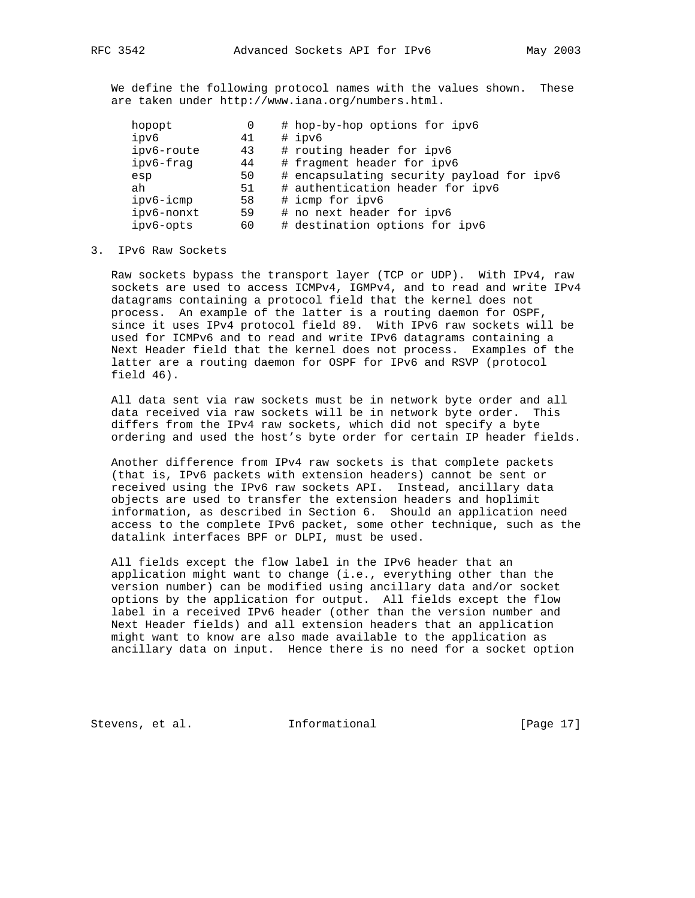We define the following protocol names with the values shown. These are taken under http://www.iana.org/numbers.html.

| hopopt |                  | 0 | # hop-by-hop options for ipv6             |
|--------|------------------|---|-------------------------------------------|
| ipv6   | 41               |   | # ipv6                                    |
|        | ipv6-route<br>43 |   | # routing header for ipv6                 |
|        | ipv6-frag<br>44  |   | # fragment header for ipv6                |
| esp    | 50               |   | # encapsulating security payload for ipv6 |
| ah     | 51               |   | # authentication header for ipv6          |
|        | ipv6-icmp<br>58  |   | # icmp for ipv6                           |
|        | ipv6-nonxt<br>59 |   | # no next header for ipv6                 |
|        | ipv6-opts<br>60  |   | # destination options for ipv6            |

3. IPv6 Raw Sockets

 Raw sockets bypass the transport layer (TCP or UDP). With IPv4, raw sockets are used to access ICMPv4, IGMPv4, and to read and write IPv4 datagrams containing a protocol field that the kernel does not process. An example of the latter is a routing daemon for OSPF, since it uses IPv4 protocol field 89. With IPv6 raw sockets will be used for ICMPv6 and to read and write IPv6 datagrams containing a Next Header field that the kernel does not process. Examples of the latter are a routing daemon for OSPF for IPv6 and RSVP (protocol field 46).

 All data sent via raw sockets must be in network byte order and all data received via raw sockets will be in network byte order. This differs from the IPv4 raw sockets, which did not specify a byte ordering and used the host's byte order for certain IP header fields.

 Another difference from IPv4 raw sockets is that complete packets (that is, IPv6 packets with extension headers) cannot be sent or received using the IPv6 raw sockets API. Instead, ancillary data objects are used to transfer the extension headers and hoplimit information, as described in Section 6. Should an application need access to the complete IPv6 packet, some other technique, such as the datalink interfaces BPF or DLPI, must be used.

 All fields except the flow label in the IPv6 header that an application might want to change (i.e., everything other than the version number) can be modified using ancillary data and/or socket options by the application for output. All fields except the flow label in a received IPv6 header (other than the version number and Next Header fields) and all extension headers that an application might want to know are also made available to the application as ancillary data on input. Hence there is no need for a socket option

Stevens, et al. **Informational** [Page 17]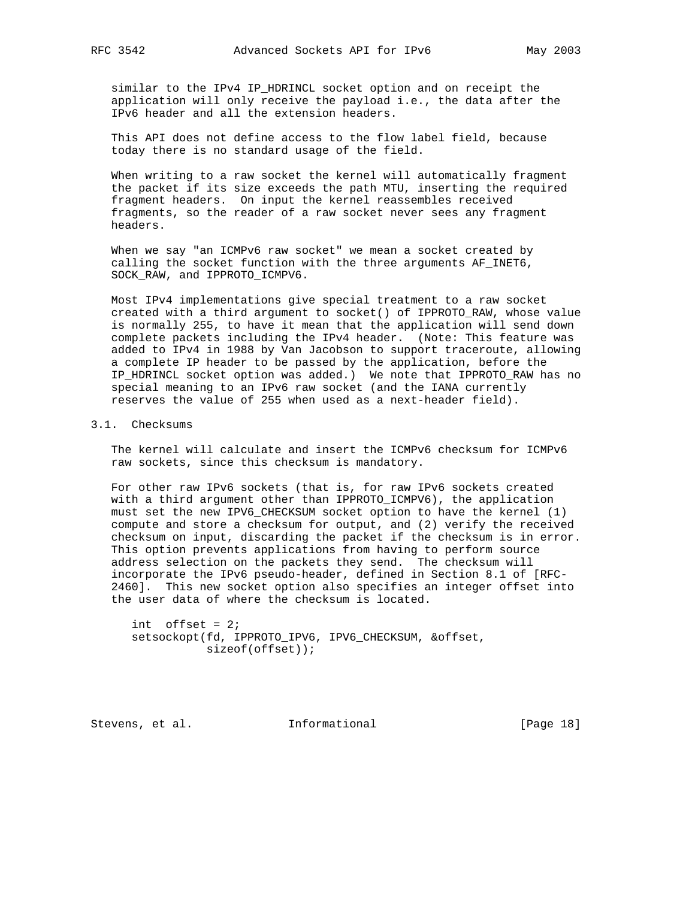similar to the IPv4 IP\_HDRINCL socket option and on receipt the application will only receive the payload i.e., the data after the IPv6 header and all the extension headers.

 This API does not define access to the flow label field, because today there is no standard usage of the field.

 When writing to a raw socket the kernel will automatically fragment the packet if its size exceeds the path MTU, inserting the required fragment headers. On input the kernel reassembles received fragments, so the reader of a raw socket never sees any fragment headers.

 When we say "an ICMPv6 raw socket" we mean a socket created by calling the socket function with the three arguments AF\_INET6, SOCK RAW, and IPPROTO ICMPV6.

 Most IPv4 implementations give special treatment to a raw socket created with a third argument to socket() of IPPROTO\_RAW, whose value is normally 255, to have it mean that the application will send down complete packets including the IPv4 header. (Note: This feature was added to IPv4 in 1988 by Van Jacobson to support traceroute, allowing a complete IP header to be passed by the application, before the IP\_HDRINCL socket option was added.) We note that IPPROTO\_RAW has no special meaning to an IPv6 raw socket (and the IANA currently reserves the value of 255 when used as a next-header field).

## 3.1. Checksums

 The kernel will calculate and insert the ICMPv6 checksum for ICMPv6 raw sockets, since this checksum is mandatory.

 For other raw IPv6 sockets (that is, for raw IPv6 sockets created with a third argument other than IPPROTO\_ICMPV6), the application must set the new IPV6\_CHECKSUM socket option to have the kernel (1) compute and store a checksum for output, and (2) verify the received checksum on input, discarding the packet if the checksum is in error. This option prevents applications from having to perform source address selection on the packets they send. The checksum will incorporate the IPv6 pseudo-header, defined in Section 8.1 of [RFC- 2460]. This new socket option also specifies an integer offset into the user data of where the checksum is located.

int offset =  $2i$  setsockopt(fd, IPPROTO\_IPV6, IPV6\_CHECKSUM, &offset, sizeof(offset));

Stevens, et al. **Informational** [Page 18]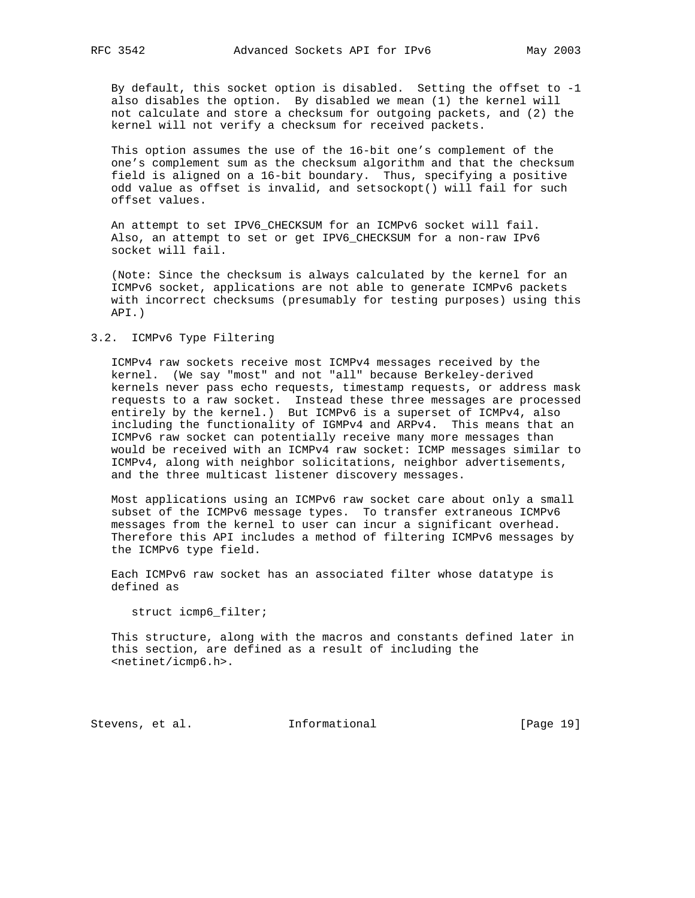By default, this socket option is disabled. Setting the offset to -1 also disables the option. By disabled we mean (1) the kernel will not calculate and store a checksum for outgoing packets, and (2) the kernel will not verify a checksum for received packets.

 This option assumes the use of the 16-bit one's complement of the one's complement sum as the checksum algorithm and that the checksum field is aligned on a 16-bit boundary. Thus, specifying a positive odd value as offset is invalid, and setsockopt() will fail for such offset values.

 An attempt to set IPV6\_CHECKSUM for an ICMPv6 socket will fail. Also, an attempt to set or get IPV6\_CHECKSUM for a non-raw IPv6 socket will fail.

 (Note: Since the checksum is always calculated by the kernel for an ICMPv6 socket, applications are not able to generate ICMPv6 packets with incorrect checksums (presumably for testing purposes) using this API.)

## 3.2. ICMPv6 Type Filtering

 ICMPv4 raw sockets receive most ICMPv4 messages received by the kernel. (We say "most" and not "all" because Berkeley-derived kernels never pass echo requests, timestamp requests, or address mask requests to a raw socket. Instead these three messages are processed entirely by the kernel.) But ICMPv6 is a superset of ICMPv4, also including the functionality of IGMPv4 and ARPv4. This means that an ICMPv6 raw socket can potentially receive many more messages than would be received with an ICMPv4 raw socket: ICMP messages similar to ICMPv4, along with neighbor solicitations, neighbor advertisements, and the three multicast listener discovery messages.

 Most applications using an ICMPv6 raw socket care about only a small subset of the ICMPv6 message types. To transfer extraneous ICMPv6 messages from the kernel to user can incur a significant overhead. Therefore this API includes a method of filtering ICMPv6 messages by the ICMPv6 type field.

 Each ICMPv6 raw socket has an associated filter whose datatype is defined as

struct icmp6\_filter;

 This structure, along with the macros and constants defined later in this section, are defined as a result of including the <netinet/icmp6.h>.

Stevens, et al. **Informational** [Page 19]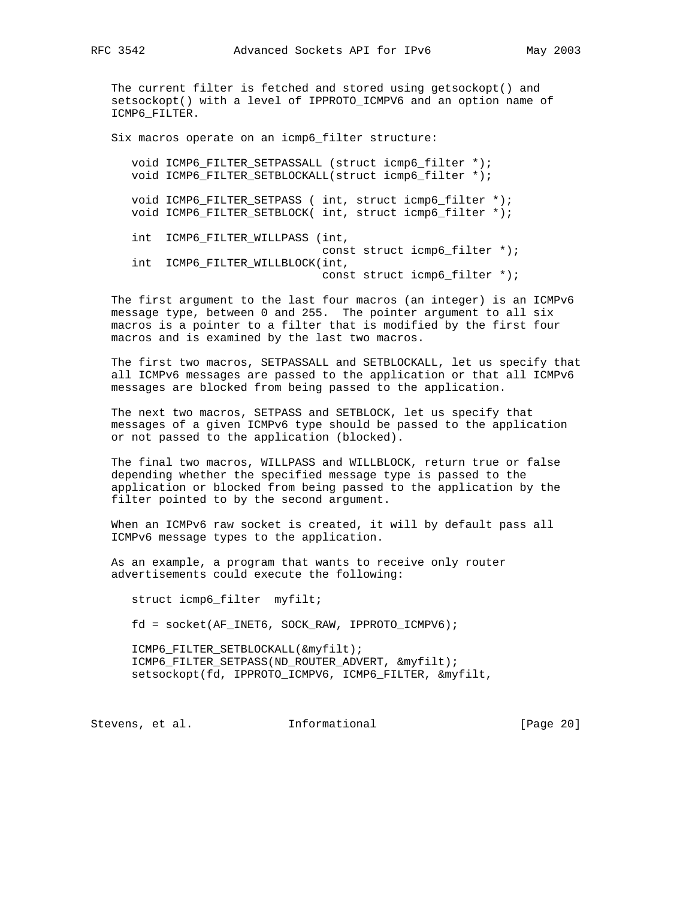The current filter is fetched and stored using getsockopt() and setsockopt() with a level of IPPROTO\_ICMPV6 and an option name of ICMP6\_FILTER.

Six macros operate on an icmp6\_filter structure:

 void ICMP6\_FILTER\_SETPASSALL (struct icmp6\_filter \*); void ICMP6\_FILTER\_SETBLOCKALL(struct icmp6\_filter \*);

void ICMP6 FILTER SETPASS ( int, struct icmp6 filter \*); void ICMP6\_FILTER\_SETBLOCK( int, struct icmp6\_filter \*);

 int ICMP6\_FILTER\_WILLPASS (int, const struct icmp6\_filter \*); int ICMP6\_FILTER\_WILLBLOCK(int, const struct icmp6\_filter \*);

 The first argument to the last four macros (an integer) is an ICMPv6 message type, between 0 and 255. The pointer argument to all six macros is a pointer to a filter that is modified by the first four macros and is examined by the last two macros.

 The first two macros, SETPASSALL and SETBLOCKALL, let us specify that all ICMPv6 messages are passed to the application or that all ICMPv6 messages are blocked from being passed to the application.

 The next two macros, SETPASS and SETBLOCK, let us specify that messages of a given ICMPv6 type should be passed to the application or not passed to the application (blocked).

 The final two macros, WILLPASS and WILLBLOCK, return true or false depending whether the specified message type is passed to the application or blocked from being passed to the application by the filter pointed to by the second argument.

 When an ICMPv6 raw socket is created, it will by default pass all ICMPv6 message types to the application.

 As an example, a program that wants to receive only router advertisements could execute the following:

struct icmp6\_filter myfilt;

fd = socket(AF\_INET6, SOCK\_RAW, IPPROTO\_ICMPV6);

 ICMP6\_FILTER\_SETBLOCKALL(&myfilt); ICMP6\_FILTER\_SETPASS(ND\_ROUTER\_ADVERT, &myfilt); setsockopt(fd, IPPROTO\_ICMPV6, ICMP6\_FILTER, &myfilt,

Stevens, et al. 1nformational [Page 20]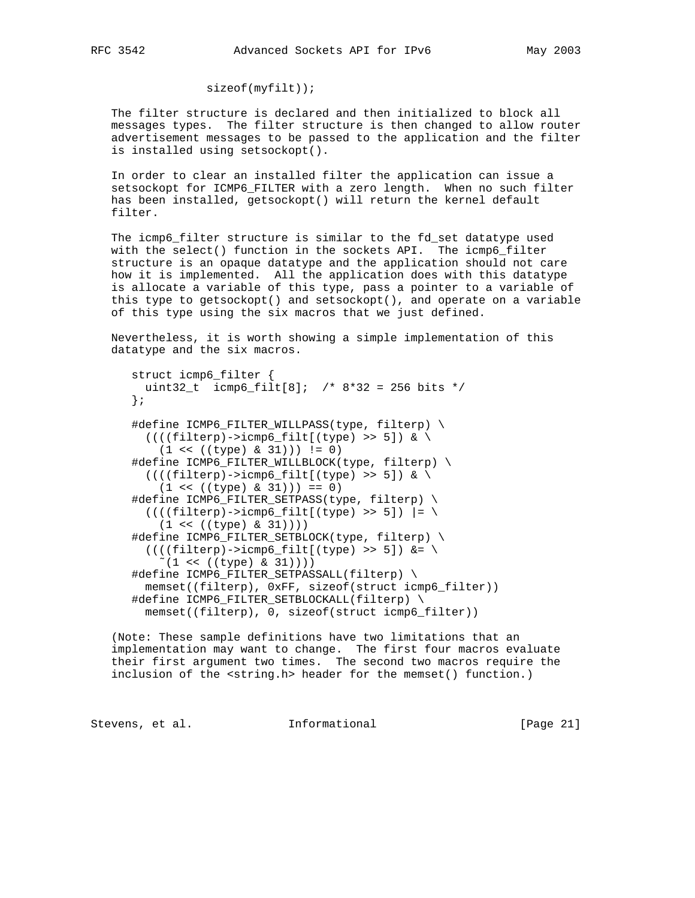# sizeof(myfilt));

 The filter structure is declared and then initialized to block all messages types. The filter structure is then changed to allow router advertisement messages to be passed to the application and the filter is installed using setsockopt().

 In order to clear an installed filter the application can issue a setsockopt for ICMP6\_FILTER with a zero length. When no such filter has been installed, getsockopt() will return the kernel default filter.

 The icmp6\_filter structure is similar to the fd\_set datatype used with the select() function in the sockets API. The icmp6\_filter structure is an opaque datatype and the application should not care how it is implemented. All the application does with this datatype is allocate a variable of this type, pass a pointer to a variable of this type to getsockopt() and setsockopt(), and operate on a variable of this type using the six macros that we just defined.

 Nevertheless, it is worth showing a simple implementation of this datatype and the six macros.

```
 struct icmp6_filter {
  uint32_t icmp6_filt[8]; /* 8*32 = 256 bits */
 };
 #define ICMP6_FILTER_WILLPASS(type, filterp) \
  ((((filterp) - \text{simp6}_file(type) >> 5]) < \setminus(1 \le ( (type) \& 31) )) := 0) #define ICMP6_FILTER_WILLBLOCK(type, filterp) \
  (((fitterp) - \text{simp6}_file[(type) >> 5]) <(1 \le ( |type) \& 31) ) = 0)#define ICMP6 FILTER SETPASS(type, filterp) \
  ((((filterp) - \text{simp6\_filt}(\text{type}) \gg 5)) = \setminus(1 \le ( (type) \& 31) )) #define ICMP6_FILTER_SETBLOCK(type, filterp) \
  (((filterp)->icmp6_filt[(type) >> 5]) &= \n(1 \le ( (type) \& 31) ) ) #define ICMP6_FILTER_SETPASSALL(filterp) \
   memset((filterp), 0xFF, sizeof(struct icmp6_filter))
 #define ICMP6_FILTER_SETBLOCKALL(filterp) \
   memset((filterp), 0, sizeof(struct icmp6_filter))
```
 (Note: These sample definitions have two limitations that an implementation may want to change. The first four macros evaluate their first argument two times. The second two macros require the inclusion of the <string.h> header for the memset() function.)

Stevens, et al. 1nformational [Page 21]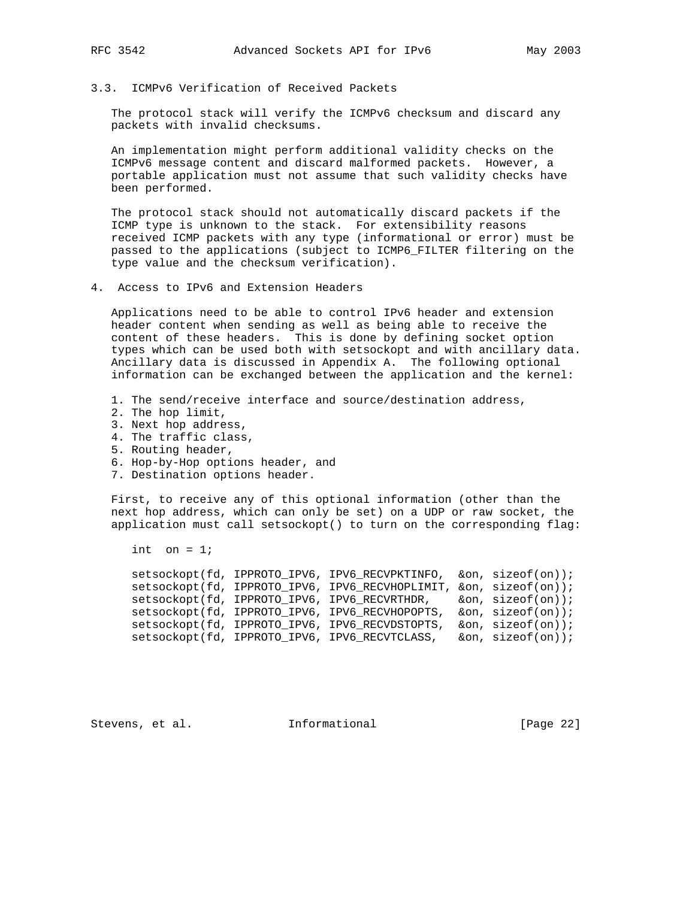## 3.3. ICMPv6 Verification of Received Packets

 The protocol stack will verify the ICMPv6 checksum and discard any packets with invalid checksums.

 An implementation might perform additional validity checks on the ICMPv6 message content and discard malformed packets. However, a portable application must not assume that such validity checks have been performed.

 The protocol stack should not automatically discard packets if the ICMP type is unknown to the stack. For extensibility reasons received ICMP packets with any type (informational or error) must be passed to the applications (subject to ICMP6\_FILTER filtering on the type value and the checksum verification).

4. Access to IPv6 and Extension Headers

 Applications need to be able to control IPv6 header and extension header content when sending as well as being able to receive the content of these headers. This is done by defining socket option types which can be used both with setsockopt and with ancillary data. Ancillary data is discussed in Appendix A. The following optional information can be exchanged between the application and the kernel:

- 1. The send/receive interface and source/destination address,
- 2. The hop limit,
- 3. Next hop address,
- 4. The traffic class,
- 5. Routing header,
- 6. Hop-by-Hop options header, and
- 7. Destination options header.

 First, to receive any of this optional information (other than the next hop address, which can only be set) on a UDP or raw socket, the application must call setsockopt() to turn on the corresponding flag:

int on  $= 1$ ;

 setsockopt(fd, IPPROTO\_IPV6, IPV6\_RECVPKTINFO, &on, sizeof(on)); setsockopt(fd, IPPROTO\_IPV6, IPV6\_RECVHOPLIMIT, &on, sizeof(on)); setsockopt(fd, IPPROTO\_IPV6, IPV6\_RECVRTHDR, &on, sizeof(on)); setsockopt(fd, IPPROTO\_IPV6, IPV6\_RECVHOPOPTS, &on, sizeof(on)); setsockopt(fd, IPPROTO\_IPV6, IPV6\_RECVDSTOPTS, &on, sizeof(on)); setsockopt(fd, IPPROTO\_IPV6, IPV6\_RECVTCLASS, &on, sizeof(on));

Stevens, et al. **Informational** [Page 22]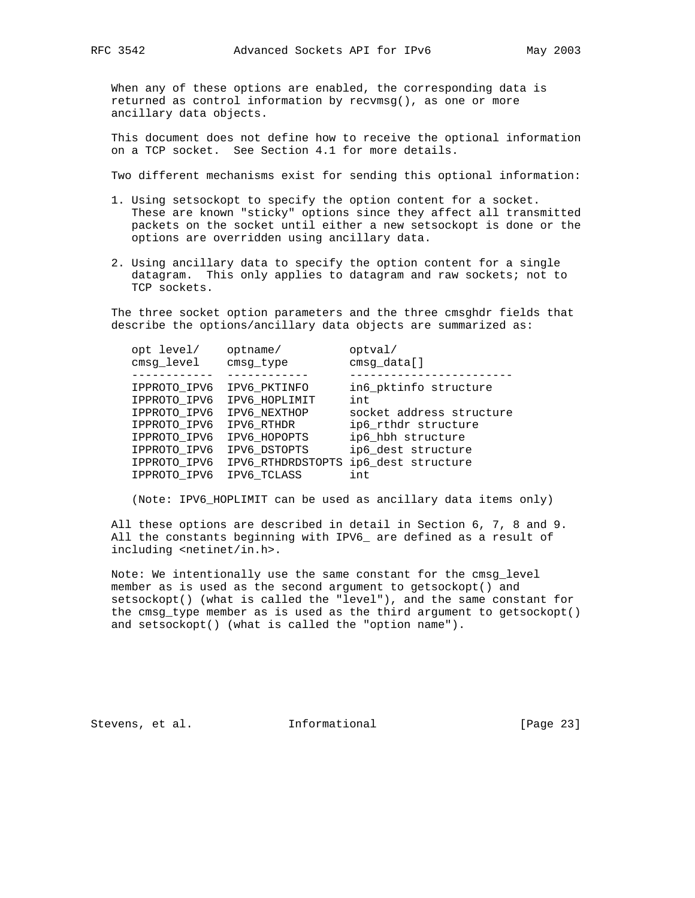When any of these options are enabled, the corresponding data is returned as control information by recvmsg(), as one or more ancillary data objects.

 This document does not define how to receive the optional information on a TCP socket. See Section 4.1 for more details.

Two different mechanisms exist for sending this optional information:

- 1. Using setsockopt to specify the option content for a socket. These are known "sticky" options since they affect all transmitted packets on the socket until either a new setsockopt is done or the options are overridden using ancillary data.
- 2. Using ancillary data to specify the option content for a single datagram. This only applies to datagram and raw sockets; not to TCP sockets.

 The three socket option parameters and the three cmsghdr fields that describe the options/ancillary data objects are summarized as:

| opt level/<br>cmsg_level | optname/<br>cmsg_type | optval/<br>cmsg_data[]   |
|--------------------------|-----------------------|--------------------------|
|                          |                       |                          |
| IPPROTO IPV6             | IPV6 PKTINFO          | in6 pktinfo structure    |
| IPPROTO IPV6             | IPV6 HOPLIMIT         | int                      |
| IPPROTO IPV6             | IPV6 NEXTHOP          | socket address structure |
| IPPROTO IPV6             | IPV6 RTHDR            | ip6_rthdr structure      |
| IPPROTO_IPV6             | IPV6 HOPOPTS          | ip6_hbh structure        |
| IPPROTO IPV6             | IPV6 DSTOPTS          | ip6 dest structure       |
| IPPROTO IPV6             | IPV6 RTHDRDSTOPTS     | ip6_dest structure       |
| IPPROTO IPV6             | IPV6 TCLASS           | int                      |

(Note: IPV6\_HOPLIMIT can be used as ancillary data items only)

 All these options are described in detail in Section 6, 7, 8 and 9. All the constants beginning with IPV6\_ are defined as a result of including <netinet/in.h>.

 Note: We intentionally use the same constant for the cmsg\_level member as is used as the second argument to getsockopt() and setsockopt() (what is called the "level"), and the same constant for the cmsg\_type member as is used as the third argument to getsockopt() and setsockopt() (what is called the "option name").

Stevens, et al. **Informational** [Page 23]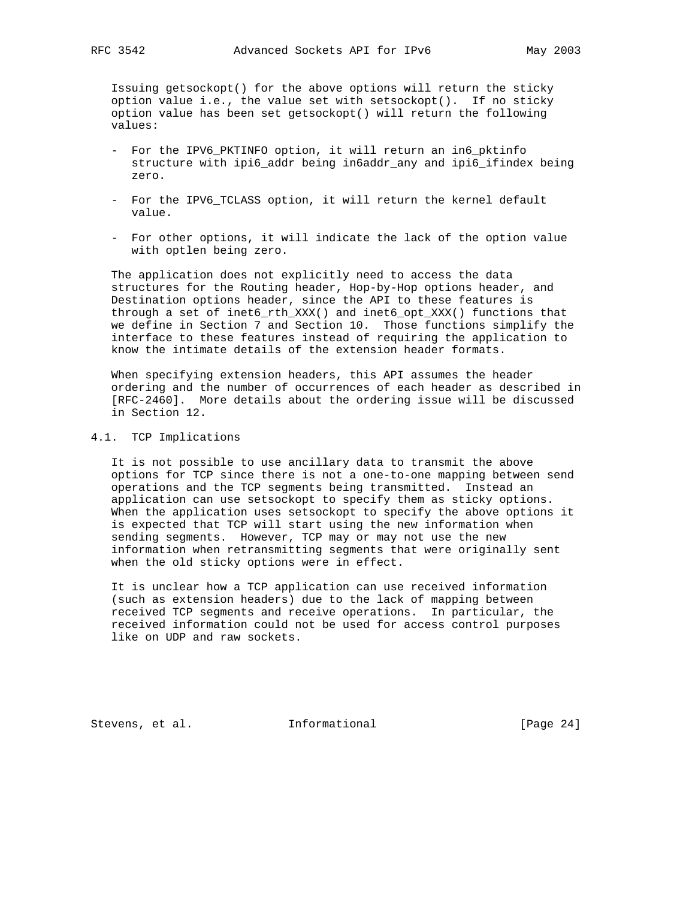Issuing getsockopt() for the above options will return the sticky option value i.e., the value set with setsockopt(). If no sticky option value has been set getsockopt() will return the following values:

- For the IPV6\_PKTINFO option, it will return an in6\_pktinfo structure with ipi6\_addr being in6addr\_any and ipi6\_ifindex being zero.
- For the IPV6 TCLASS option, it will return the kernel default value.
- For other options, it will indicate the lack of the option value with optlen being zero.

 The application does not explicitly need to access the data structures for the Routing header, Hop-by-Hop options header, and Destination options header, since the API to these features is through a set of inet6\_rth\_XXX() and inet6\_opt\_XXX() functions that we define in Section 7 and Section 10. Those functions simplify the interface to these features instead of requiring the application to know the intimate details of the extension header formats.

 When specifying extension headers, this API assumes the header ordering and the number of occurrences of each header as described in [RFC-2460]. More details about the ordering issue will be discussed in Section 12.

# 4.1. TCP Implications

 It is not possible to use ancillary data to transmit the above options for TCP since there is not a one-to-one mapping between send operations and the TCP segments being transmitted. Instead an application can use setsockopt to specify them as sticky options. When the application uses setsockopt to specify the above options it is expected that TCP will start using the new information when sending segments. However, TCP may or may not use the new information when retransmitting segments that were originally sent when the old sticky options were in effect.

 It is unclear how a TCP application can use received information (such as extension headers) due to the lack of mapping between received TCP segments and receive operations. In particular, the received information could not be used for access control purposes like on UDP and raw sockets.

Stevens, et al. **Informational** [Page 24]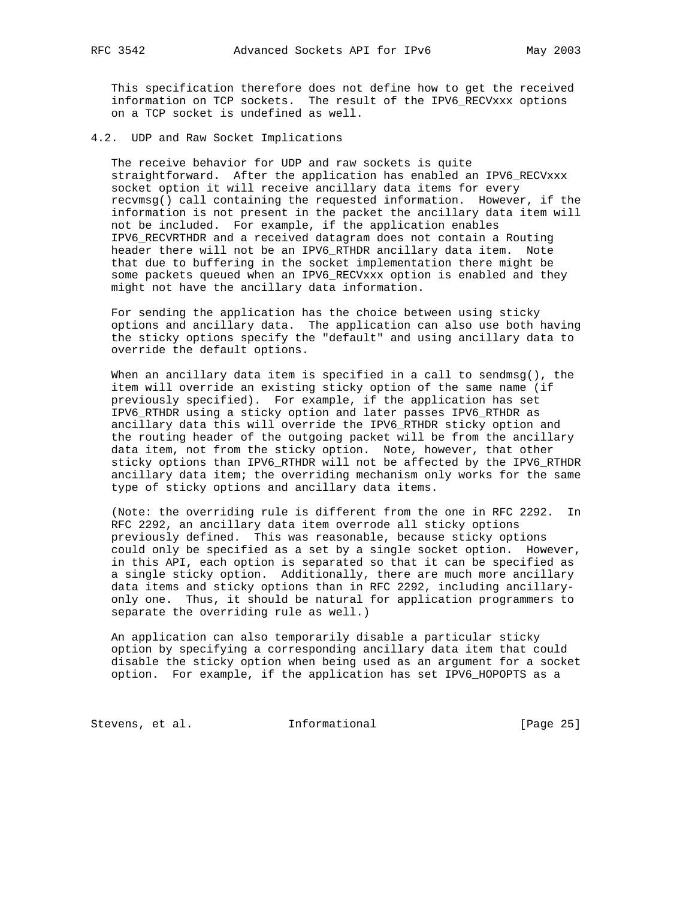This specification therefore does not define how to get the received information on TCP sockets. The result of the IPV6\_RECVxxx options on a TCP socket is undefined as well.

4.2. UDP and Raw Socket Implications

 The receive behavior for UDP and raw sockets is quite straightforward. After the application has enabled an IPV6\_RECVxxx socket option it will receive ancillary data items for every recvmsg() call containing the requested information. However, if the information is not present in the packet the ancillary data item will not be included. For example, if the application enables IPV6\_RECVRTHDR and a received datagram does not contain a Routing header there will not be an IPV6\_RTHDR ancillary data item. Note that due to buffering in the socket implementation there might be some packets queued when an IPV6\_RECVxxx option is enabled and they might not have the ancillary data information.

 For sending the application has the choice between using sticky options and ancillary data. The application can also use both having the sticky options specify the "default" and using ancillary data to override the default options.

When an ancillary data item is specified in a call to sendmsg(), the item will override an existing sticky option of the same name (if previously specified). For example, if the application has set IPV6\_RTHDR using a sticky option and later passes IPV6\_RTHDR as ancillary data this will override the IPV6\_RTHDR sticky option and the routing header of the outgoing packet will be from the ancillary data item, not from the sticky option. Note, however, that other sticky options than IPV6\_RTHDR will not be affected by the IPV6\_RTHDR ancillary data item; the overriding mechanism only works for the same type of sticky options and ancillary data items.

 (Note: the overriding rule is different from the one in RFC 2292. In RFC 2292, an ancillary data item overrode all sticky options previously defined. This was reasonable, because sticky options could only be specified as a set by a single socket option. However, in this API, each option is separated so that it can be specified as a single sticky option. Additionally, there are much more ancillary data items and sticky options than in RFC 2292, including ancillary only one. Thus, it should be natural for application programmers to separate the overriding rule as well.)

 An application can also temporarily disable a particular sticky option by specifying a corresponding ancillary data item that could disable the sticky option when being used as an argument for a socket option. For example, if the application has set IPV6\_HOPOPTS as a

Stevens, et al. 1nformational [Page 25]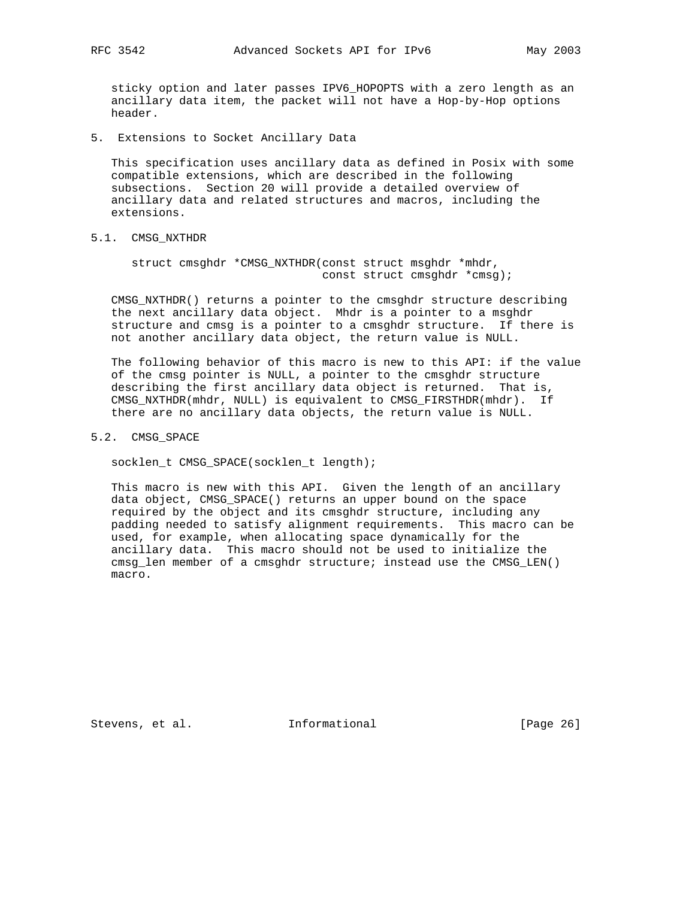sticky option and later passes IPV6\_HOPOPTS with a zero length as an ancillary data item, the packet will not have a Hop-by-Hop options header.

5. Extensions to Socket Ancillary Data

 This specification uses ancillary data as defined in Posix with some compatible extensions, which are described in the following subsections. Section 20 will provide a detailed overview of ancillary data and related structures and macros, including the extensions.

## 5.1. CMSG\_NXTHDR

 struct cmsghdr \*CMSG\_NXTHDR(const struct msghdr \*mhdr, const struct cmsghdr \*cmsg);

 CMSG\_NXTHDR() returns a pointer to the cmsghdr structure describing the next ancillary data object. Mhdr is a pointer to a msghdr structure and cmsg is a pointer to a cmsghdr structure. If there is not another ancillary data object, the return value is NULL.

 The following behavior of this macro is new to this API: if the value of the cmsg pointer is NULL, a pointer to the cmsghdr structure describing the first ancillary data object is returned. That is, CMSG\_NXTHDR(mhdr, NULL) is equivalent to CMSG\_FIRSTHDR(mhdr). If there are no ancillary data objects, the return value is NULL.

5.2. CMSG\_SPACE

socklen\_t CMSG\_SPACE(socklen\_t length);

 This macro is new with this API. Given the length of an ancillary data object, CMSG\_SPACE() returns an upper bound on the space required by the object and its cmsghdr structure, including any padding needed to satisfy alignment requirements. This macro can be used, for example, when allocating space dynamically for the ancillary data. This macro should not be used to initialize the cmsg\_len member of a cmsghdr structure; instead use the CMSG\_LEN() macro.

Stevens, et al. **Informational** [Page 26]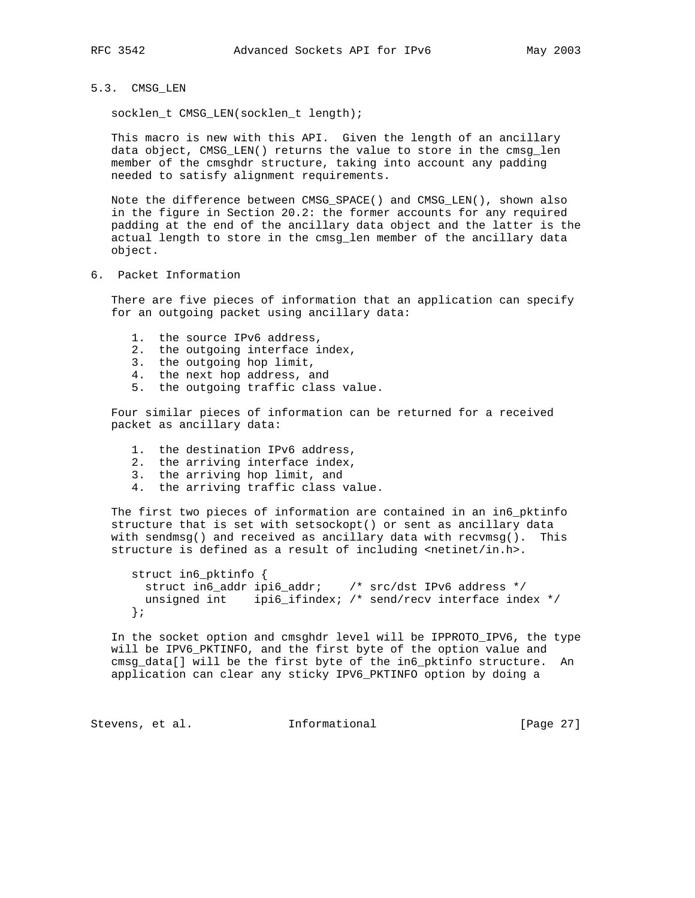## 5.3. CMSG\_LEN

socklen\_t CMSG\_LEN(socklen\_t length);

 This macro is new with this API. Given the length of an ancillary data object, CMSG\_LEN() returns the value to store in the cmsg\_len member of the cmsghdr structure, taking into account any padding needed to satisfy alignment requirements.

 Note the difference between CMSG\_SPACE() and CMSG\_LEN(), shown also in the figure in Section 20.2: the former accounts for any required padding at the end of the ancillary data object and the latter is the actual length to store in the cmsg\_len member of the ancillary data object.

6. Packet Information

 There are five pieces of information that an application can specify for an outgoing packet using ancillary data:

- 1. the source IPv6 address,
- 2. the outgoing interface index,
- 3. the outgoing hop limit,
- 4. the next hop address, and
- 5. the outgoing traffic class value.

 Four similar pieces of information can be returned for a received packet as ancillary data:

- 1. the destination IPv6 address,
- 2. the arriving interface index,
- 3. the arriving hop limit, and
- 4. the arriving traffic class value.

 The first two pieces of information are contained in an in6\_pktinfo structure that is set with setsockopt() or sent as ancillary data with sendmsg() and received as ancillary data with recvmsg(). This structure is defined as a result of including <netinet/in.h>.

```
 struct in6_pktinfo {
  struct in6_addr ipi6_addr; /* src/dst IPv6 address */
 unsigned int ipi6_ifindex; /* send/recv interface index */
 };
```
 In the socket option and cmsghdr level will be IPPROTO\_IPV6, the type will be IPV6\_PKTINFO, and the first byte of the option value and cmsg\_data[] will be the first byte of the in6\_pktinfo structure. An application can clear any sticky IPV6\_PKTINFO option by doing a

Stevens, et al. 1nformational [Page 27]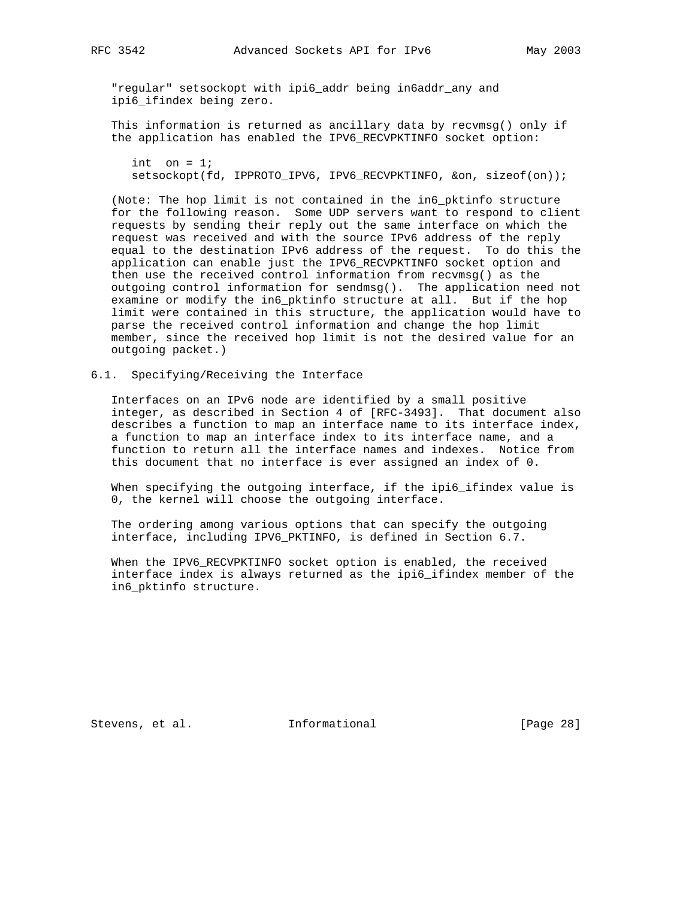"regular" setsockopt with ipi6\_addr being in6addr\_any and ipi6\_ifindex being zero.

 This information is returned as ancillary data by recvmsg() only if the application has enabled the IPV6\_RECVPKTINFO socket option:

int on  $= 1$ ; setsockopt(fd, IPPROTO\_IPV6, IPV6\_RECVPKTINFO, &on, sizeof(on));

 (Note: The hop limit is not contained in the in6\_pktinfo structure for the following reason. Some UDP servers want to respond to client requests by sending their reply out the same interface on which the request was received and with the source IPv6 address of the reply equal to the destination IPv6 address of the request. To do this the application can enable just the IPV6\_RECVPKTINFO socket option and then use the received control information from recvmsg() as the outgoing control information for sendmsg(). The application need not examine or modify the in6\_pktinfo structure at all. But if the hop limit were contained in this structure, the application would have to parse the received control information and change the hop limit member, since the received hop limit is not the desired value for an outgoing packet.)

6.1. Specifying/Receiving the Interface

 Interfaces on an IPv6 node are identified by a small positive integer, as described in Section 4 of [RFC-3493]. That document also describes a function to map an interface name to its interface index, a function to map an interface index to its interface name, and a function to return all the interface names and indexes. Notice from this document that no interface is ever assigned an index of 0.

 When specifying the outgoing interface, if the ipi6\_ifindex value is 0, the kernel will choose the outgoing interface.

 The ordering among various options that can specify the outgoing interface, including IPV6\_PKTINFO, is defined in Section 6.7.

 When the IPV6\_RECVPKTINFO socket option is enabled, the received interface index is always returned as the ipi6\_ifindex member of the in6\_pktinfo structure.

Stevens, et al. **Informational** [Page 28]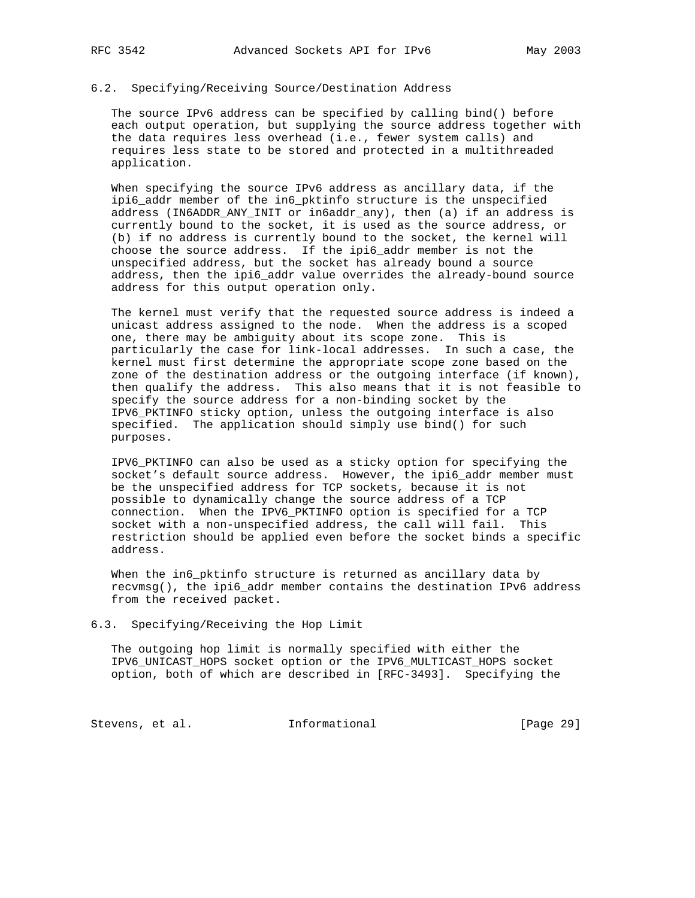#### 6.2. Specifying/Receiving Source/Destination Address

 The source IPv6 address can be specified by calling bind() before each output operation, but supplying the source address together with the data requires less overhead (i.e., fewer system calls) and requires less state to be stored and protected in a multithreaded application.

 When specifying the source IPv6 address as ancillary data, if the ipi6\_addr member of the in6\_pktinfo structure is the unspecified address (IN6ADDR\_ANY\_INIT or in6addr\_any), then (a) if an address is currently bound to the socket, it is used as the source address, or (b) if no address is currently bound to the socket, the kernel will choose the source address. If the ipi6\_addr member is not the unspecified address, but the socket has already bound a source address, then the ipi6\_addr value overrides the already-bound source address for this output operation only.

 The kernel must verify that the requested source address is indeed a unicast address assigned to the node. When the address is a scoped one, there may be ambiguity about its scope zone. This is particularly the case for link-local addresses. In such a case, the kernel must first determine the appropriate scope zone based on the zone of the destination address or the outgoing interface (if known), then qualify the address. This also means that it is not feasible to specify the source address for a non-binding socket by the IPV6\_PKTINFO sticky option, unless the outgoing interface is also specified. The application should simply use bind() for such purposes.

 IPV6\_PKTINFO can also be used as a sticky option for specifying the socket's default source address. However, the ipi6\_addr member must be the unspecified address for TCP sockets, because it is not possible to dynamically change the source address of a TCP connection. When the IPV6\_PKTINFO option is specified for a TCP socket with a non-unspecified address, the call will fail. This restriction should be applied even before the socket binds a specific address.

When the in6\_pktinfo structure is returned as ancillary data by recvmsg(), the ipi6\_addr member contains the destination IPv6 address from the received packet.

6.3. Specifying/Receiving the Hop Limit

 The outgoing hop limit is normally specified with either the IPV6\_UNICAST\_HOPS socket option or the IPV6\_MULTICAST\_HOPS socket option, both of which are described in [RFC-3493]. Specifying the

Stevens, et al. 1nformational 1999 [Page 29]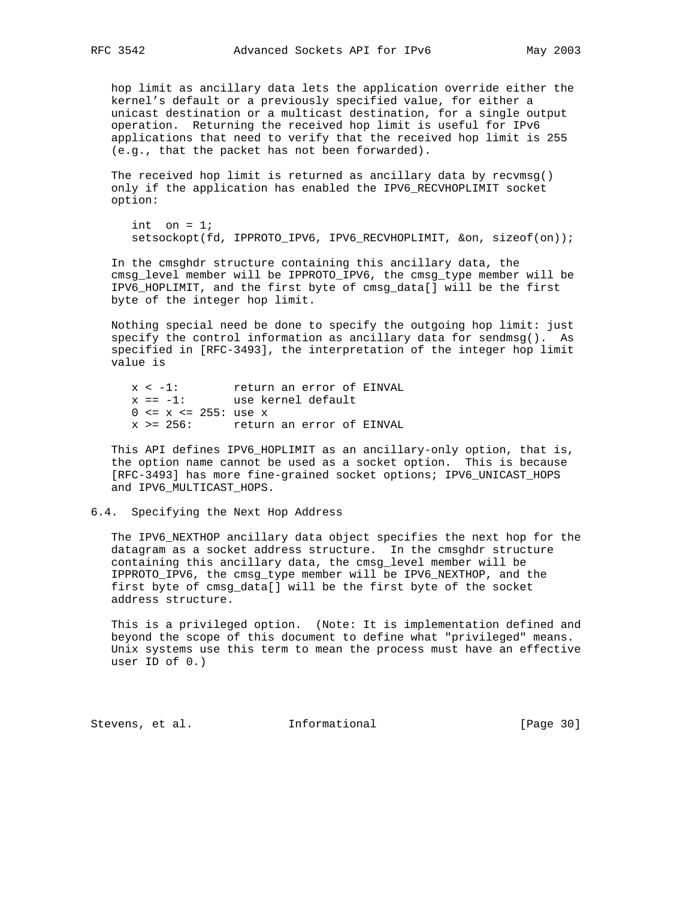hop limit as ancillary data lets the application override either the kernel's default or a previously specified value, for either a unicast destination or a multicast destination, for a single output operation. Returning the received hop limit is useful for IPv6 applications that need to verify that the received hop limit is 255 (e.g., that the packet has not been forwarded).

 The received hop limit is returned as ancillary data by recvmsg() only if the application has enabled the IPV6\_RECVHOPLIMIT socket option:

```
int on = 1;
 setsockopt(fd, IPPROTO_IPV6, IPV6_RECVHOPLIMIT, &on, sizeof(on));
```
 In the cmsghdr structure containing this ancillary data, the cmsg\_level member will be IPPROTO\_IPV6, the cmsg\_type member will be IPV6\_HOPLIMIT, and the first byte of cmsg\_data[] will be the first byte of the integer hop limit.

 Nothing special need be done to specify the outgoing hop limit: just specify the control information as ancillary data for sendmsg(). As specified in [RFC-3493], the interpretation of the integer hop limit value is

 x < -1: return an error of EINVAL x == -1: use kernel default 0 <= x <= 255: use x x >= 256: return an error of EINVAL

 This API defines IPV6\_HOPLIMIT as an ancillary-only option, that is, the option name cannot be used as a socket option. This is because [RFC-3493] has more fine-grained socket options; IPV6\_UNICAST\_HOPS and IPV6\_MULTICAST\_HOPS.

#### 6.4. Specifying the Next Hop Address

 The IPV6\_NEXTHOP ancillary data object specifies the next hop for the datagram as a socket address structure. In the cmsghdr structure containing this ancillary data, the cmsg\_level member will be IPPROTO\_IPV6, the cmsg\_type member will be IPV6\_NEXTHOP, and the first byte of cmsg\_data[] will be the first byte of the socket address structure.

 This is a privileged option. (Note: It is implementation defined and beyond the scope of this document to define what "privileged" means. Unix systems use this term to mean the process must have an effective user ID of 0.)

Stevens, et al. **Informational** [Page 30]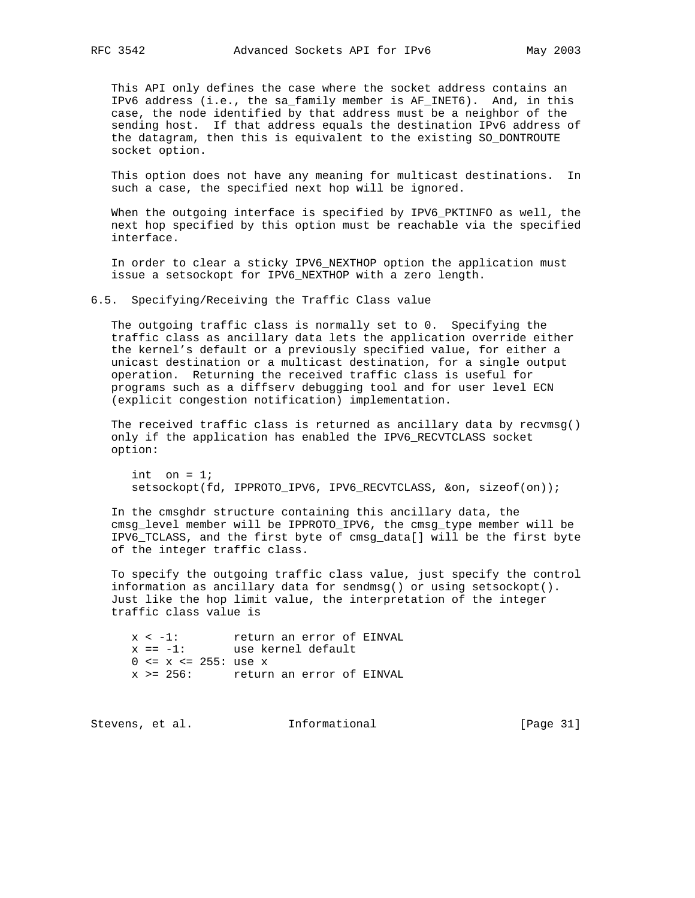This API only defines the case where the socket address contains an IPv6 address (i.e., the sa\_family member is AF\_INET6). And, in this case, the node identified by that address must be a neighbor of the sending host. If that address equals the destination IPv6 address of the datagram, then this is equivalent to the existing SO\_DONTROUTE socket option.

 This option does not have any meaning for multicast destinations. In such a case, the specified next hop will be ignored.

 When the outgoing interface is specified by IPV6\_PKTINFO as well, the next hop specified by this option must be reachable via the specified interface.

 In order to clear a sticky IPV6\_NEXTHOP option the application must issue a setsockopt for IPV6\_NEXTHOP with a zero length.

6.5. Specifying/Receiving the Traffic Class value

 The outgoing traffic class is normally set to 0. Specifying the traffic class as ancillary data lets the application override either the kernel's default or a previously specified value, for either a unicast destination or a multicast destination, for a single output operation. Returning the received traffic class is useful for programs such as a diffserv debugging tool and for user level ECN (explicit congestion notification) implementation.

 The received traffic class is returned as ancillary data by recvmsg() only if the application has enabled the IPV6\_RECVTCLASS socket option:

```
int on = 1;
 setsockopt(fd, IPPROTO_IPV6, IPV6_RECVTCLASS, &on, sizeof(on));
```
 In the cmsghdr structure containing this ancillary data, the cmsg\_level member will be IPPROTO\_IPV6, the cmsg\_type member will be IPV6\_TCLASS, and the first byte of cmsg\_data[] will be the first byte of the integer traffic class.

 To specify the outgoing traffic class value, just specify the control information as ancillary data for sendmsg() or using setsockopt(). Just like the hop limit value, the interpretation of the integer traffic class value is

 x < -1: return an error of EINVAL x == -1: use kernel default  $0 \le x \le 255$ : use x x >= 256: return an error of EINVAL

Stevens, et al. **Informational** [Page 31]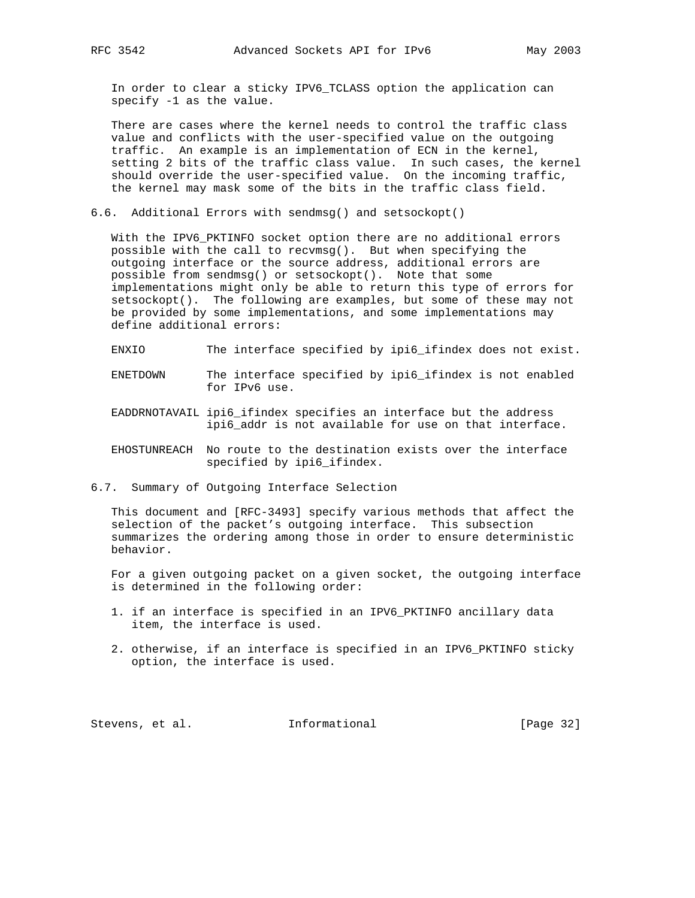In order to clear a sticky IPV6\_TCLASS option the application can specify -1 as the value.

 There are cases where the kernel needs to control the traffic class value and conflicts with the user-specified value on the outgoing traffic. An example is an implementation of ECN in the kernel, setting 2 bits of the traffic class value. In such cases, the kernel should override the user-specified value. On the incoming traffic, the kernel may mask some of the bits in the traffic class field.

6.6. Additional Errors with sendmsg() and setsockopt()

With the IPV6 PKTINFO socket option there are no additional errors possible with the call to recvmsg(). But when specifying the outgoing interface or the source address, additional errors are possible from sendmsg() or setsockopt(). Note that some implementations might only be able to return this type of errors for setsockopt(). The following are examples, but some of these may not be provided by some implementations, and some implementations may define additional errors:

- ENXIO The interface specified by ipi6\_ifindex does not exist.
- ENETDOWN The interface specified by ipi6\_ifindex is not enabled for IPv6 use.
- EADDRNOTAVAIL ipi6\_ifindex specifies an interface but the address ipi6\_addr is not available for use on that interface.
- EHOSTUNREACH No route to the destination exists over the interface specified by ipi6\_ifindex.
- 6.7. Summary of Outgoing Interface Selection

 This document and [RFC-3493] specify various methods that affect the selection of the packet's outgoing interface. This subsection summarizes the ordering among those in order to ensure deterministic behavior.

 For a given outgoing packet on a given socket, the outgoing interface is determined in the following order:

- 1. if an interface is specified in an IPV6\_PKTINFO ancillary data item, the interface is used.
- 2. otherwise, if an interface is specified in an IPV6\_PKTINFO sticky option, the interface is used.

Stevens, et al. **Informational** [Page 32]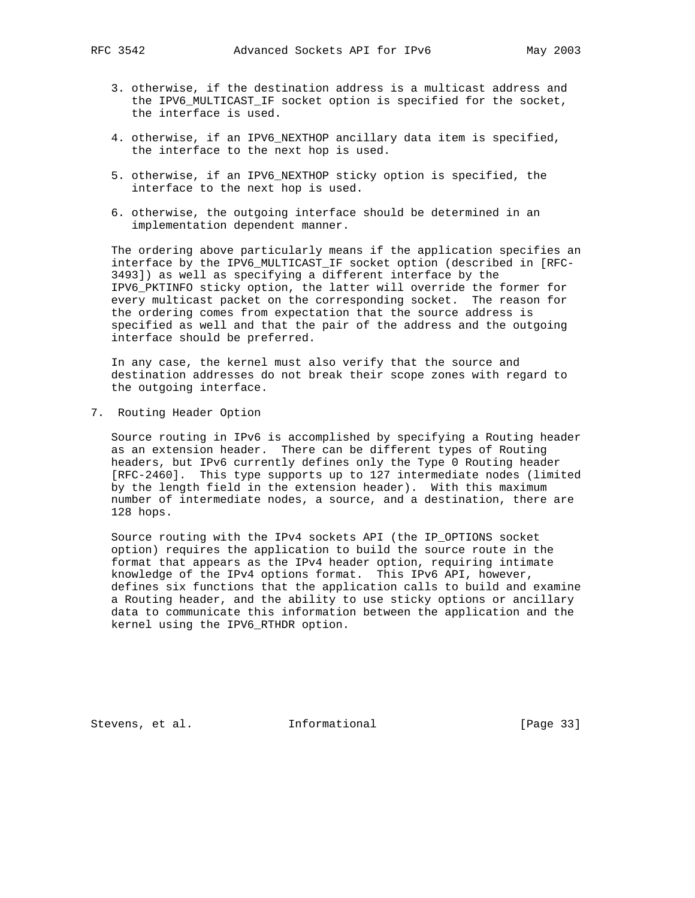- 3. otherwise, if the destination address is a multicast address and the IPV6\_MULTICAST\_IF socket option is specified for the socket, the interface is used.
- 4. otherwise, if an IPV6\_NEXTHOP ancillary data item is specified, the interface to the next hop is used.
- 5. otherwise, if an IPV6\_NEXTHOP sticky option is specified, the interface to the next hop is used.
- 6. otherwise, the outgoing interface should be determined in an implementation dependent manner.

 The ordering above particularly means if the application specifies an interface by the IPV6\_MULTICAST\_IF socket option (described in [RFC- 3493]) as well as specifying a different interface by the IPV6\_PKTINFO sticky option, the latter will override the former for every multicast packet on the corresponding socket. The reason for the ordering comes from expectation that the source address is specified as well and that the pair of the address and the outgoing interface should be preferred.

 In any case, the kernel must also verify that the source and destination addresses do not break their scope zones with regard to the outgoing interface.

7. Routing Header Option

 Source routing in IPv6 is accomplished by specifying a Routing header as an extension header. There can be different types of Routing headers, but IPv6 currently defines only the Type 0 Routing header [RFC-2460]. This type supports up to 127 intermediate nodes (limited by the length field in the extension header). With this maximum number of intermediate nodes, a source, and a destination, there are 128 hops.

 Source routing with the IPv4 sockets API (the IP\_OPTIONS socket option) requires the application to build the source route in the format that appears as the IPv4 header option, requiring intimate knowledge of the IPv4 options format. This IPv6 API, however, defines six functions that the application calls to build and examine a Routing header, and the ability to use sticky options or ancillary data to communicate this information between the application and the kernel using the IPV6\_RTHDR option.

Stevens, et al. **Informational** [Page 33]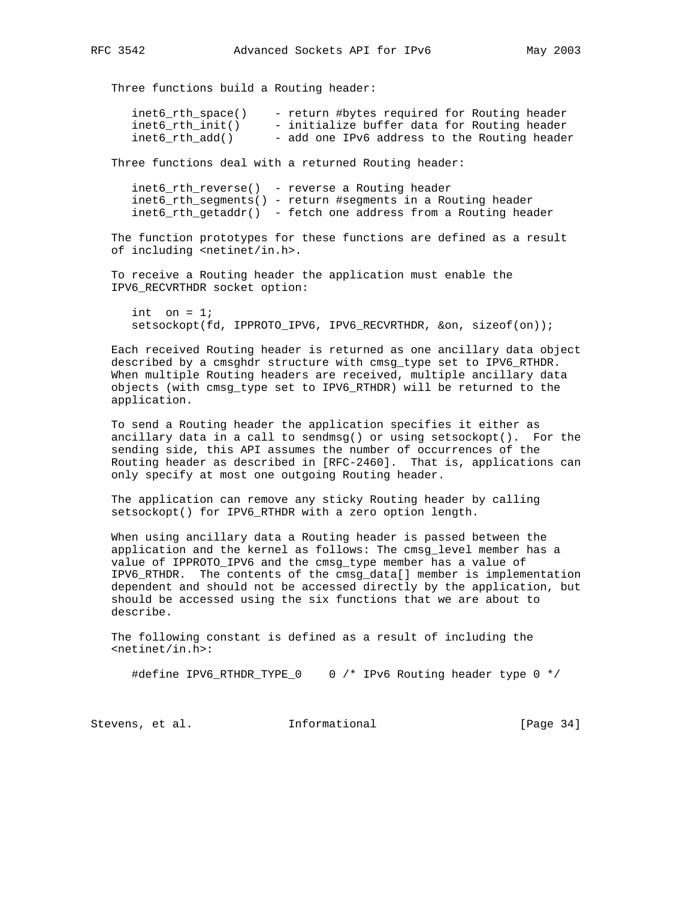Three functions build a Routing header:

| inet6_rth_space()  | - return #bytes required for Routing header  |
|--------------------|----------------------------------------------|
| inet6 $rth$ init() | - initialize buffer data for Routing header  |
| inet6 rth add()    | - add one IPv6 address to the Routing header |

Three functions deal with a returned Routing header:

 inet6\_rth\_reverse() - reverse a Routing header inet6\_rth\_segments() - return #segments in a Routing header inet6\_rth\_getaddr() - fetch one address from a Routing header

 The function prototypes for these functions are defined as a result of including <netinet/in.h>.

 To receive a Routing header the application must enable the IPV6\_RECVRTHDR socket option:

```
int on = 1;
 setsockopt(fd, IPPROTO_IPV6, IPV6_RECVRTHDR, &on, sizeof(on));
```
 Each received Routing header is returned as one ancillary data object described by a cmsghdr structure with cmsg\_type set to IPV6\_RTHDR. When multiple Routing headers are received, multiple ancillary data objects (with cmsg\_type set to IPV6\_RTHDR) will be returned to the application.

 To send a Routing header the application specifies it either as ancillary data in a call to sendmsg() or using setsockopt(). For the sending side, this API assumes the number of occurrences of the Routing header as described in [RFC-2460]. That is, applications can only specify at most one outgoing Routing header.

 The application can remove any sticky Routing header by calling setsockopt() for IPV6\_RTHDR with a zero option length.

 When using ancillary data a Routing header is passed between the application and the kernel as follows: The cmsg\_level member has a value of IPPROTO\_IPV6 and the cmsg\_type member has a value of IPV6\_RTHDR. The contents of the cmsg\_data[] member is implementation dependent and should not be accessed directly by the application, but should be accessed using the six functions that we are about to describe.

 The following constant is defined as a result of including the <netinet/in.h>:

#define IPV6\_RTHDR\_TYPE\_0 0 /\* IPv6 Routing header type 0 \*/

Stevens, et al. 1nformational [Page 34]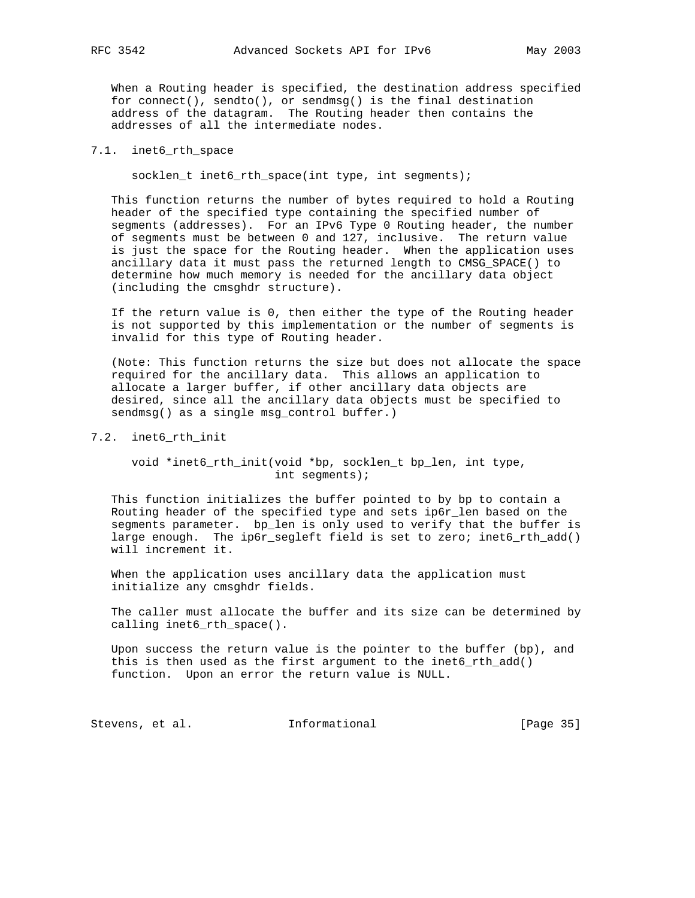When a Routing header is specified, the destination address specified for connect(), sendto(), or sendmsg() is the final destination address of the datagram. The Routing header then contains the addresses of all the intermediate nodes.

#### 7.1. inet6\_rth\_space

socklen\_t inet6\_rth\_space(int type, int segments);

 This function returns the number of bytes required to hold a Routing header of the specified type containing the specified number of segments (addresses). For an IPv6 Type 0 Routing header, the number of segments must be between 0 and 127, inclusive. The return value is just the space for the Routing header. When the application uses ancillary data it must pass the returned length to CMSG\_SPACE() to determine how much memory is needed for the ancillary data object (including the cmsghdr structure).

 If the return value is 0, then either the type of the Routing header is not supported by this implementation or the number of segments is invalid for this type of Routing header.

 (Note: This function returns the size but does not allocate the space required for the ancillary data. This allows an application to allocate a larger buffer, if other ancillary data objects are desired, since all the ancillary data objects must be specified to sendmsg() as a single msg\_control buffer.)

#### 7.2. inet6\_rth\_init

## void \*inet6\_rth\_init(void \*bp, socklen\_t bp\_len, int type, int segments);

 This function initializes the buffer pointed to by bp to contain a Routing header of the specified type and sets ip6r\_len based on the segments parameter. bp\_len is only used to verify that the buffer is large enough. The ip6r\_segleft field is set to zero; inet6\_rth\_add() will increment it.

 When the application uses ancillary data the application must initialize any cmsghdr fields.

 The caller must allocate the buffer and its size can be determined by calling inet6\_rth\_space().

 Upon success the return value is the pointer to the buffer (bp), and this is then used as the first argument to the inet6\_rth\_add() function. Upon an error the return value is NULL.

Stevens, et al. 1nformational [Page 35]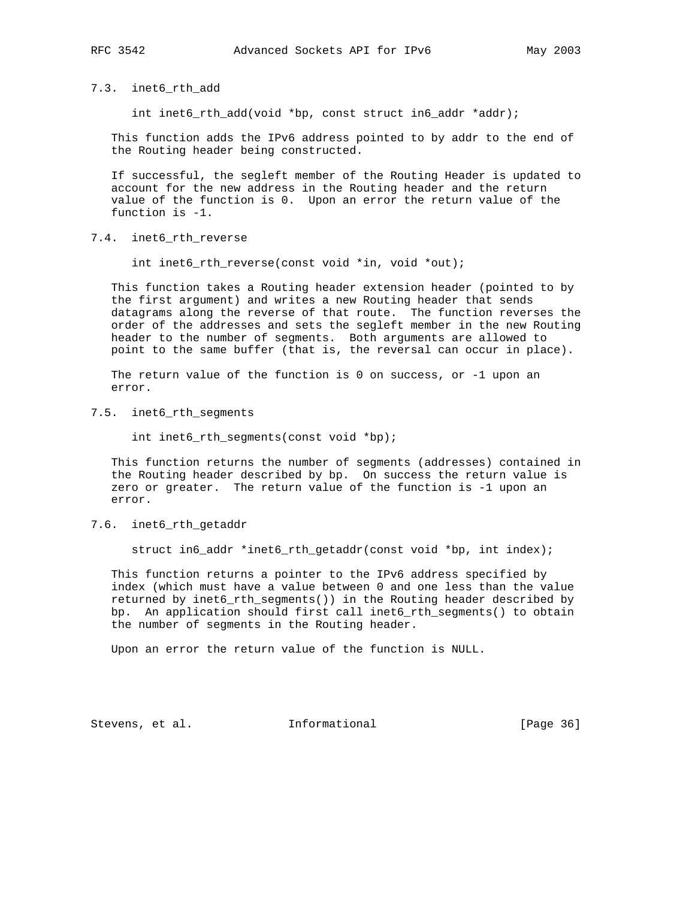7.3. inet6\_rth\_add

int inet6\_rth\_add(void \*bp, const struct in6\_addr \*addr);

 This function adds the IPv6 address pointed to by addr to the end of the Routing header being constructed.

 If successful, the segleft member of the Routing Header is updated to account for the new address in the Routing header and the return value of the function is 0. Upon an error the return value of the function is -1.

7.4. inet6\_rth\_reverse

int inet6\_rth\_reverse(const void \*in, void \*out);

 This function takes a Routing header extension header (pointed to by the first argument) and writes a new Routing header that sends datagrams along the reverse of that route. The function reverses the order of the addresses and sets the segleft member in the new Routing header to the number of segments. Both arguments are allowed to point to the same buffer (that is, the reversal can occur in place).

 The return value of the function is 0 on success, or -1 upon an error.

7.5. inet6\_rth\_segments

int inet6\_rth\_segments(const void \*bp);

 This function returns the number of segments (addresses) contained in the Routing header described by bp. On success the return value is zero or greater. The return value of the function is -1 upon an error.

#### 7.6. inet6\_rth\_getaddr

struct in6\_addr \*inet6\_rth\_getaddr(const void \*bp, int index);

 This function returns a pointer to the IPv6 address specified by index (which must have a value between 0 and one less than the value returned by inet6\_rth\_segments()) in the Routing header described by bp. An application should first call inet6\_rth\_segments() to obtain the number of segments in the Routing header.

Upon an error the return value of the function is NULL.

Stevens, et al. **Informational** [Page 36]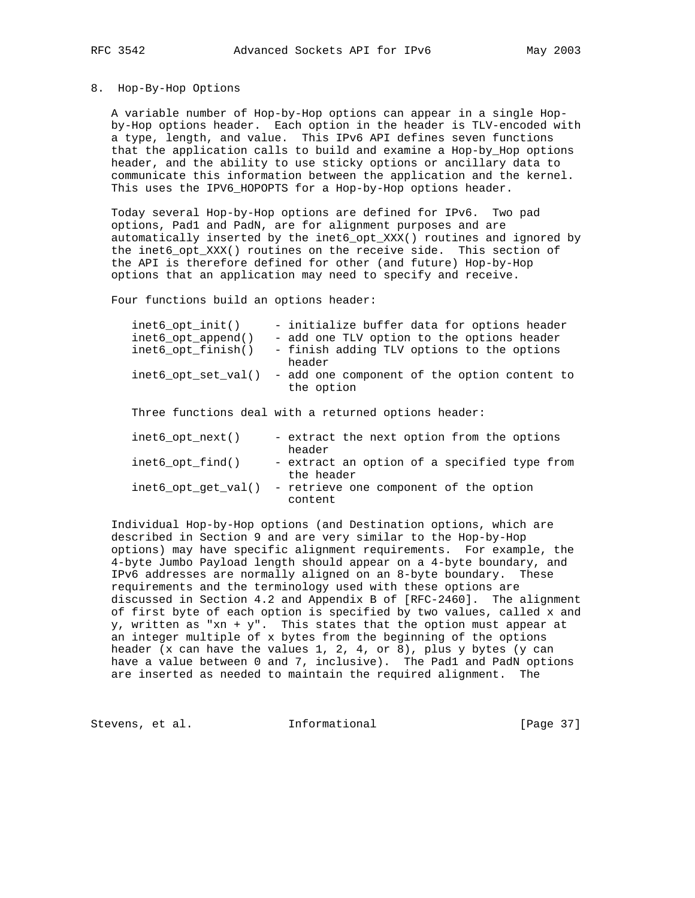#### 8. Hop-By-Hop Options

 A variable number of Hop-by-Hop options can appear in a single Hop by-Hop options header. Each option in the header is TLV-encoded with a type, length, and value. This IPv6 API defines seven functions that the application calls to build and examine a Hop-by\_Hop options header, and the ability to use sticky options or ancillary data to communicate this information between the application and the kernel. This uses the IPV6\_HOPOPTS for a Hop-by-Hop options header.

 Today several Hop-by-Hop options are defined for IPv6. Two pad options, Pad1 and PadN, are for alignment purposes and are automatically inserted by the inet6\_opt\_XXX() routines and ignored by the inet6\_opt\_XXX() routines on the receive side. This section of the API is therefore defined for other (and future) Hop-by-Hop options that an application may need to specify and receive.

Four functions build an options header:

| $inet6_opt_init()$<br>$inet6\_opt\_append()$ | - initialize buffer data for options header<br>- add one TLV option to the options header |
|----------------------------------------------|-------------------------------------------------------------------------------------------|
| inet6 opt finish()                           | - finish adding TLV options to the options<br>header                                      |
| inet6 opt set $val()$                        | - add one component of the option content to<br>the option                                |
|                                              | Three functions deal with a returned options header:                                      |
| inet $6$ opt next()                          | - extract the next option from the options<br>header                                      |
| inet6 $opt$ find()                           | - extract an option of a specified type from<br>the header                                |
| inet6 opt get $val()$                        | - retrieve one component of the option<br>content                                         |

 Individual Hop-by-Hop options (and Destination options, which are described in Section 9 and are very similar to the Hop-by-Hop options) may have specific alignment requirements. For example, the 4-byte Jumbo Payload length should appear on a 4-byte boundary, and IPv6 addresses are normally aligned on an 8-byte boundary. These requirements and the terminology used with these options are discussed in Section 4.2 and Appendix B of [RFC-2460]. The alignment of first byte of each option is specified by two values, called x and y, written as "xn + y". This states that the option must appear at an integer multiple of x bytes from the beginning of the options header (x can have the values 1, 2, 4, or 8), plus y bytes (y can have a value between 0 and 7, inclusive). The Pad1 and PadN options are inserted as needed to maintain the required alignment. The

Stevens, et al. **Informational** [Page 37]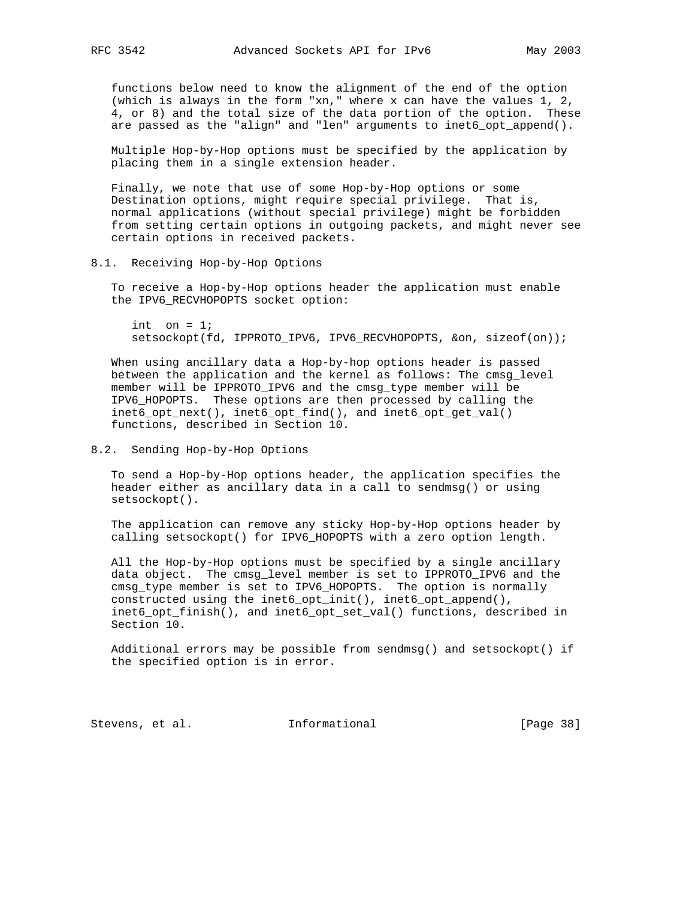functions below need to know the alignment of the end of the option (which is always in the form "xn," where x can have the values 1, 2, 4, or 8) and the total size of the data portion of the option. These are passed as the "align" and "len" arguments to inet6\_opt\_append().

 Multiple Hop-by-Hop options must be specified by the application by placing them in a single extension header.

 Finally, we note that use of some Hop-by-Hop options or some Destination options, might require special privilege. That is, normal applications (without special privilege) might be forbidden from setting certain options in outgoing packets, and might never see certain options in received packets.

8.1. Receiving Hop-by-Hop Options

 To receive a Hop-by-Hop options header the application must enable the IPV6\_RECVHOPOPTS socket option:

int on  $= 1$ ; setsockopt(fd, IPPROTO\_IPV6, IPV6\_RECVHOPOPTS, &on, sizeof(on));

 When using ancillary data a Hop-by-hop options header is passed between the application and the kernel as follows: The cmsg\_level member will be IPPROTO\_IPV6 and the cmsg\_type member will be IPV6\_HOPOPTS. These options are then processed by calling the inet6\_opt\_next(), inet6\_opt\_find(), and inet6\_opt\_get\_val() functions, described in Section 10.

## 8.2. Sending Hop-by-Hop Options

 To send a Hop-by-Hop options header, the application specifies the header either as ancillary data in a call to sendmsg() or using setsockopt().

 The application can remove any sticky Hop-by-Hop options header by calling setsockopt() for IPV6\_HOPOPTS with a zero option length.

 All the Hop-by-Hop options must be specified by a single ancillary data object. The cmsg\_level member is set to IPPROTO\_IPV6 and the cmsg\_type member is set to IPV6\_HOPOPTS. The option is normally constructed using the inet6\_opt\_init(), inet6\_opt\_append(), inet6\_opt\_finish(), and inet6\_opt\_set\_val() functions, described in Section 10.

 Additional errors may be possible from sendmsg() and setsockopt() if the specified option is in error.

Stevens, et al. 1nformational [Page 38]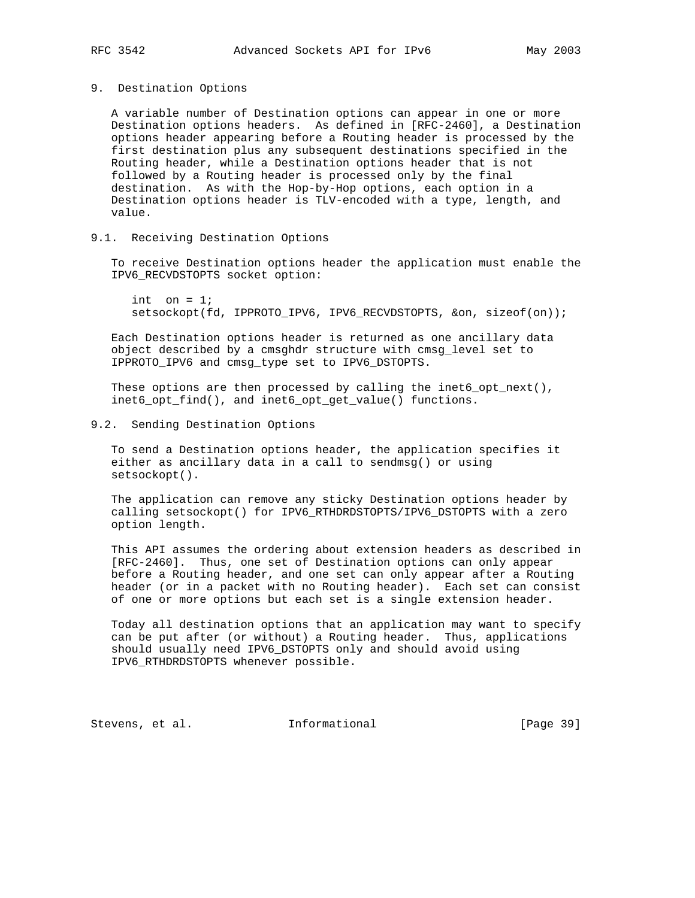#### 9. Destination Options

 A variable number of Destination options can appear in one or more Destination options headers. As defined in [RFC-2460], a Destination options header appearing before a Routing header is processed by the first destination plus any subsequent destinations specified in the Routing header, while a Destination options header that is not followed by a Routing header is processed only by the final destination. As with the Hop-by-Hop options, each option in a Destination options header is TLV-encoded with a type, length, and value.

## 9.1. Receiving Destination Options

 To receive Destination options header the application must enable the IPV6\_RECVDSTOPTS socket option:

int on  $= 1$ ; setsockopt(fd, IPPROTO\_IPV6, IPV6\_RECVDSTOPTS, &on, sizeof(on));

 Each Destination options header is returned as one ancillary data object described by a cmsghdr structure with cmsg\_level set to IPPROTO\_IPV6 and cmsg\_type set to IPV6\_DSTOPTS.

These options are then processed by calling the inet6\_opt\_next(), inet6\_opt\_find(), and inet6\_opt\_get\_value() functions.

### 9.2. Sending Destination Options

 To send a Destination options header, the application specifies it either as ancillary data in a call to sendmsg() or using setsockopt().

 The application can remove any sticky Destination options header by calling setsockopt() for IPV6\_RTHDRDSTOPTS/IPV6\_DSTOPTS with a zero option length.

 This API assumes the ordering about extension headers as described in [RFC-2460]. Thus, one set of Destination options can only appear before a Routing header, and one set can only appear after a Routing header (or in a packet with no Routing header). Each set can consist of one or more options but each set is a single extension header.

 Today all destination options that an application may want to specify can be put after (or without) a Routing header. Thus, applications should usually need IPV6\_DSTOPTS only and should avoid using IPV6\_RTHDRDSTOPTS whenever possible.

Stevens, et al. **Informational** [Page 39]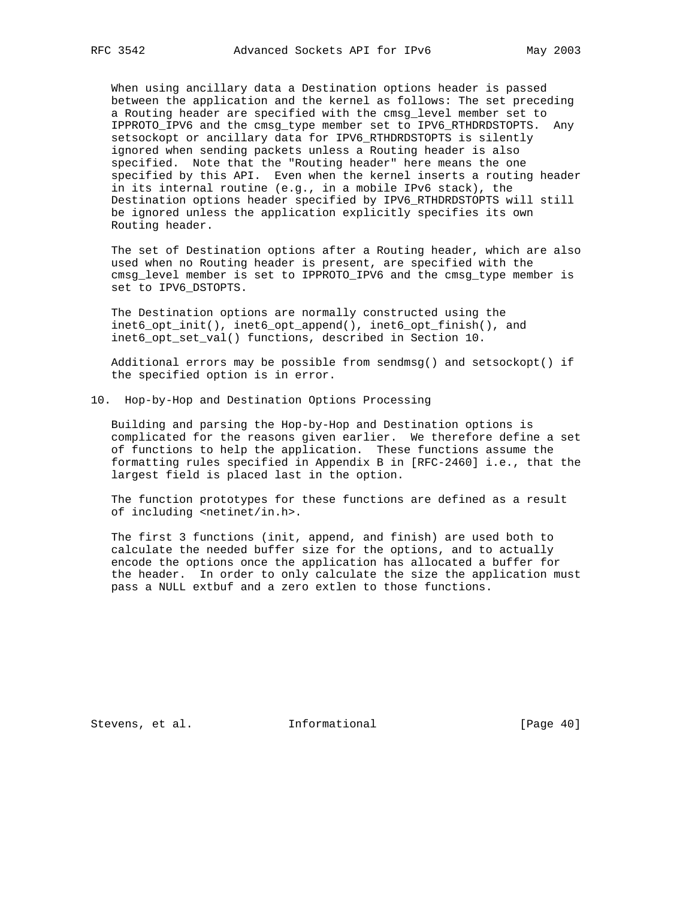When using ancillary data a Destination options header is passed between the application and the kernel as follows: The set preceding a Routing header are specified with the cmsg\_level member set to IPPROTO\_IPV6 and the cmsg\_type member set to IPV6\_RTHDRDSTOPTS. Any setsockopt or ancillary data for IPV6\_RTHDRDSTOPTS is silently ignored when sending packets unless a Routing header is also specified. Note that the "Routing header" here means the one specified by this API. Even when the kernel inserts a routing header in its internal routine (e.g., in a mobile IPv6 stack), the Destination options header specified by IPV6\_RTHDRDSTOPTS will still be ignored unless the application explicitly specifies its own Routing header.

 The set of Destination options after a Routing header, which are also used when no Routing header is present, are specified with the cmsg level member is set to IPPROTO IPV6 and the cmsg type member is set to IPV6\_DSTOPTS.

 The Destination options are normally constructed using the inet6\_opt\_init(), inet6\_opt\_append(), inet6\_opt\_finish(), and inet6\_opt\_set\_val() functions, described in Section 10.

 Additional errors may be possible from sendmsg() and setsockopt() if the specified option is in error.

10. Hop-by-Hop and Destination Options Processing

 Building and parsing the Hop-by-Hop and Destination options is complicated for the reasons given earlier. We therefore define a set of functions to help the application. These functions assume the formatting rules specified in Appendix B in [RFC-2460] i.e., that the largest field is placed last in the option.

 The function prototypes for these functions are defined as a result of including <netinet/in.h>.

 The first 3 functions (init, append, and finish) are used both to calculate the needed buffer size for the options, and to actually encode the options once the application has allocated a buffer for the header. In order to only calculate the size the application must pass a NULL extbuf and a zero extlen to those functions.

Stevens, et al. **Informational** [Page 40]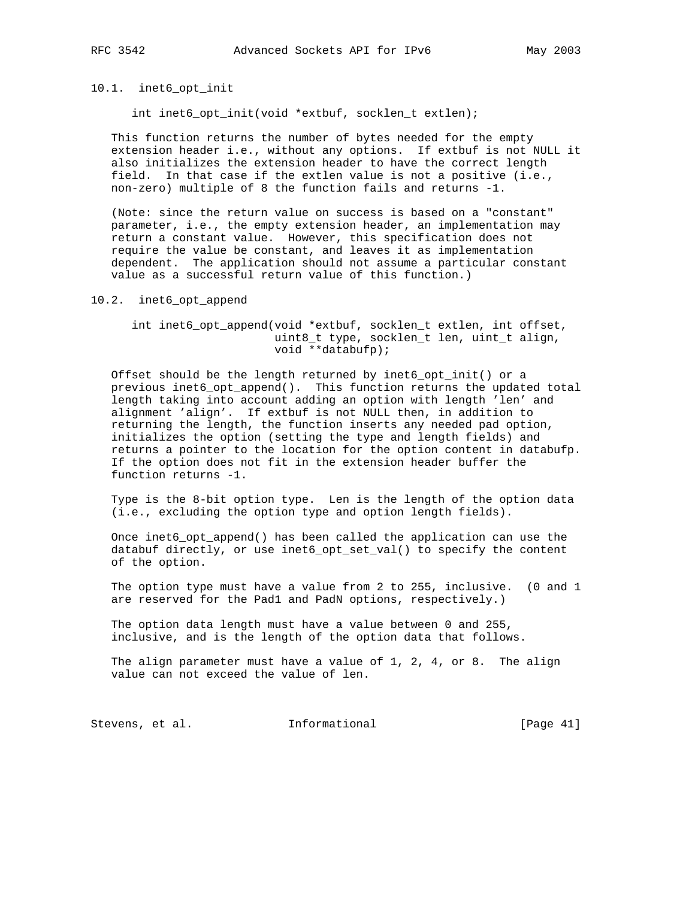# 10.1. inet6\_opt\_init

int inet6\_opt\_init(void \*extbuf, socklen\_t extlen);

 This function returns the number of bytes needed for the empty extension header i.e., without any options. If extbuf is not NULL it also initializes the extension header to have the correct length field. In that case if the extlen value is not a positive (i.e., non-zero) multiple of 8 the function fails and returns -1.

 (Note: since the return value on success is based on a "constant" parameter, i.e., the empty extension header, an implementation may return a constant value. However, this specification does not require the value be constant, and leaves it as implementation dependent. The application should not assume a particular constant value as a successful return value of this function.)

#### 10.2. inet6\_opt\_append

## int inet6\_opt\_append(void \*extbuf, socklen\_t extlen, int offset, uint8\_t type, socklen\_t len, uint\_t align, void \*\*databufp);

 Offset should be the length returned by inet6\_opt\_init() or a previous inet6\_opt\_append(). This function returns the updated total length taking into account adding an option with length 'len' and alignment 'align'. If extbuf is not NULL then, in addition to returning the length, the function inserts any needed pad option, initializes the option (setting the type and length fields) and returns a pointer to the location for the option content in databufp. If the option does not fit in the extension header buffer the function returns -1.

 Type is the 8-bit option type. Len is the length of the option data (i.e., excluding the option type and option length fields).

Once inet6 opt append() has been called the application can use the databuf directly, or use inet6\_opt\_set\_val() to specify the content of the option.

 The option type must have a value from 2 to 255, inclusive. (0 and 1 are reserved for the Pad1 and PadN options, respectively.)

 The option data length must have a value between 0 and 255, inclusive, and is the length of the option data that follows.

 The align parameter must have a value of 1, 2, 4, or 8. The align value can not exceed the value of len.

Stevens, et al. 1nformational [Page 41]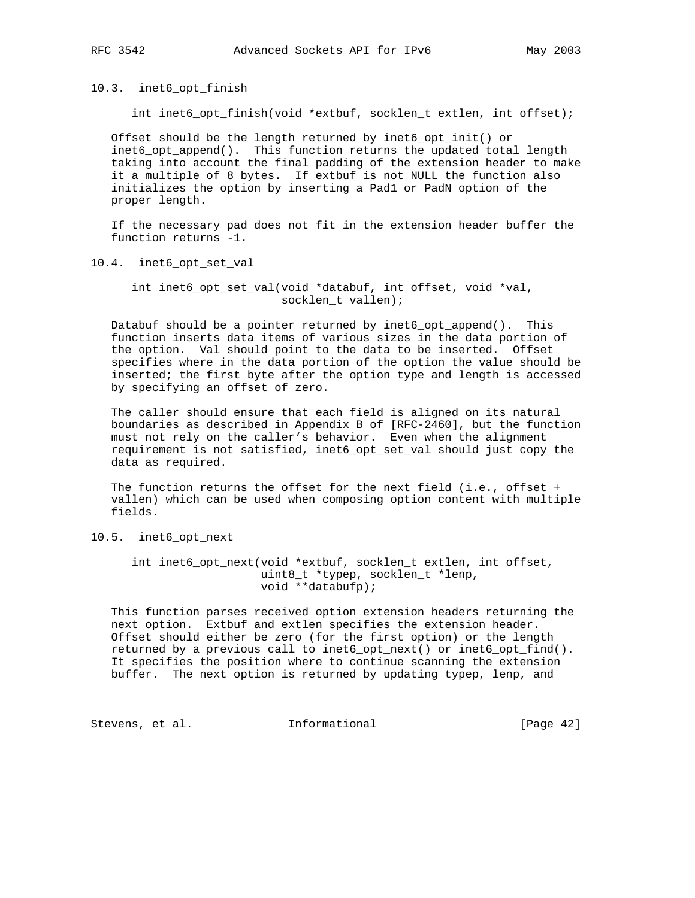10.3. inet6\_opt\_finish

int inet6\_opt\_finish(void \*extbuf, socklen\_t extlen, int offset);

 Offset should be the length returned by inet6\_opt\_init() or inet6\_opt\_append(). This function returns the updated total length taking into account the final padding of the extension header to make it a multiple of 8 bytes. If extbuf is not NULL the function also initializes the option by inserting a Pad1 or PadN option of the proper length.

 If the necessary pad does not fit in the extension header buffer the function returns -1.

10.4. inet6\_opt\_set\_val

 int inet6\_opt\_set\_val(void \*databuf, int offset, void \*val, socklen\_t vallen);

 Databuf should be a pointer returned by inet6\_opt\_append(). This function inserts data items of various sizes in the data portion of the option. Val should point to the data to be inserted. Offset specifies where in the data portion of the option the value should be inserted; the first byte after the option type and length is accessed by specifying an offset of zero.

 The caller should ensure that each field is aligned on its natural boundaries as described in Appendix B of [RFC-2460], but the function must not rely on the caller's behavior. Even when the alignment requirement is not satisfied, inet6\_opt\_set\_val should just copy the data as required.

 The function returns the offset for the next field (i.e., offset + vallen) which can be used when composing option content with multiple fields.

10.5. inet6\_opt\_next

 int inet6\_opt\_next(void \*extbuf, socklen\_t extlen, int offset, uint8\_t \*typep, socklen\_t \*lenp, void \*\*databufp);

 This function parses received option extension headers returning the next option. Extbuf and extlen specifies the extension header. Offset should either be zero (for the first option) or the length returned by a previous call to inet6\_opt\_next() or inet6\_opt\_find(). It specifies the position where to continue scanning the extension buffer. The next option is returned by updating typep, lenp, and

Stevens, et al. 1nformational [Page 42]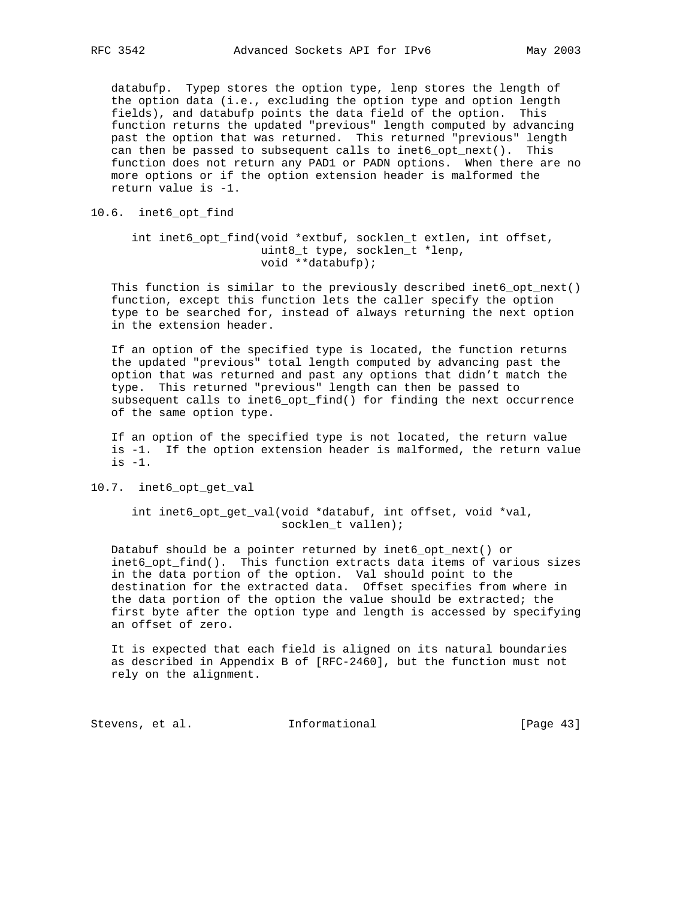databufp. Typep stores the option type, lenp stores the length of the option data (i.e., excluding the option type and option length fields), and databufp points the data field of the option. This function returns the updated "previous" length computed by advancing past the option that was returned. This returned "previous" length can then be passed to subsequent calls to inet6\_opt\_next(). This function does not return any PAD1 or PADN options. When there are no more options or if the option extension header is malformed the return value is -1.

## 10.6. inet6\_opt\_find

# int inet6\_opt\_find(void \*extbuf, socklen\_t extlen, int offset, uint8\_t type, socklen\_t \*lenp, void \*\*databufp);

 This function is similar to the previously described inet6\_opt\_next() function, except this function lets the caller specify the option type to be searched for, instead of always returning the next option in the extension header.

 If an option of the specified type is located, the function returns the updated "previous" total length computed by advancing past the option that was returned and past any options that didn't match the type. This returned "previous" length can then be passed to subsequent calls to inet6\_opt\_find() for finding the next occurrence of the same option type.

 If an option of the specified type is not located, the return value is -1. If the option extension header is malformed, the return value is -1.

#### 10.7. inet6\_opt\_get\_val

 int inet6\_opt\_get\_val(void \*databuf, int offset, void \*val, socklen\_t vallen);

 Databuf should be a pointer returned by inet6\_opt\_next() or inet6\_opt\_find(). This function extracts data items of various sizes in the data portion of the option. Val should point to the destination for the extracted data. Offset specifies from where in the data portion of the option the value should be extracted; the first byte after the option type and length is accessed by specifying an offset of zero.

 It is expected that each field is aligned on its natural boundaries as described in Appendix B of [RFC-2460], but the function must not rely on the alignment.

Stevens, et al. 1nformational [Page 43]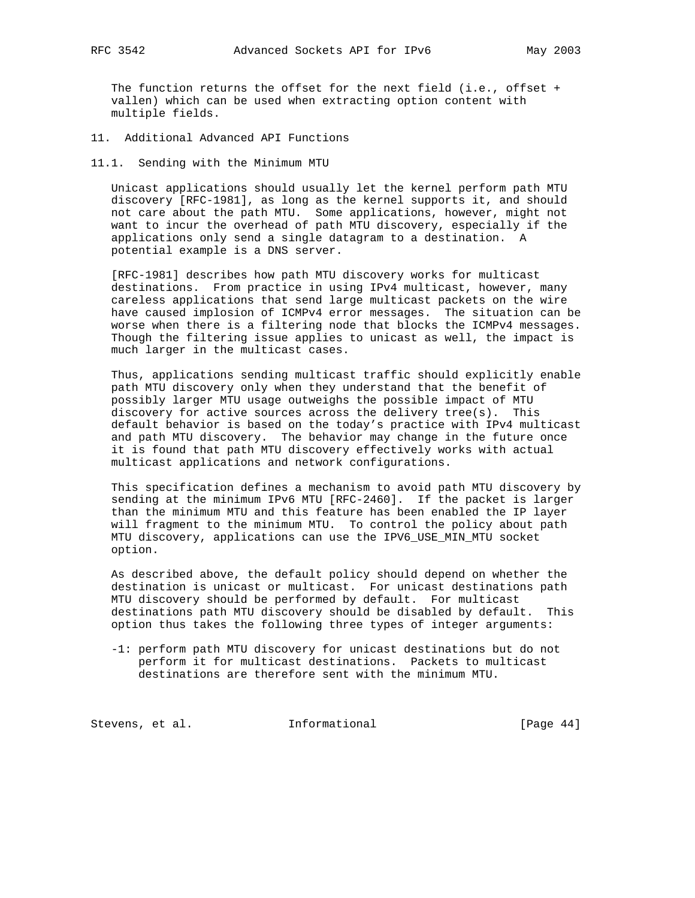The function returns the offset for the next field (i.e., offset + vallen) which can be used when extracting option content with multiple fields.

11. Additional Advanced API Functions

11.1. Sending with the Minimum MTU

 Unicast applications should usually let the kernel perform path MTU discovery [RFC-1981], as long as the kernel supports it, and should not care about the path MTU. Some applications, however, might not want to incur the overhead of path MTU discovery, especially if the applications only send a single datagram to a destination. A potential example is a DNS server.

 [RFC-1981] describes how path MTU discovery works for multicast destinations. From practice in using IPv4 multicast, however, many careless applications that send large multicast packets on the wire have caused implosion of ICMPv4 error messages. The situation can be worse when there is a filtering node that blocks the ICMPv4 messages. Though the filtering issue applies to unicast as well, the impact is much larger in the multicast cases.

 Thus, applications sending multicast traffic should explicitly enable path MTU discovery only when they understand that the benefit of possibly larger MTU usage outweighs the possible impact of MTU discovery for active sources across the delivery tree(s). This default behavior is based on the today's practice with IPv4 multicast and path MTU discovery. The behavior may change in the future once it is found that path MTU discovery effectively works with actual multicast applications and network configurations.

 This specification defines a mechanism to avoid path MTU discovery by sending at the minimum IPv6 MTU [RFC-2460]. If the packet is larger than the minimum MTU and this feature has been enabled the IP layer will fragment to the minimum MTU. To control the policy about path MTU discovery, applications can use the IPV6\_USE\_MIN\_MTU socket option.

 As described above, the default policy should depend on whether the destination is unicast or multicast. For unicast destinations path MTU discovery should be performed by default. For multicast destinations path MTU discovery should be disabled by default. This option thus takes the following three types of integer arguments:

 -1: perform path MTU discovery for unicast destinations but do not perform it for multicast destinations. Packets to multicast destinations are therefore sent with the minimum MTU.

Stevens, et al. 1nformational 1999 [Page 44]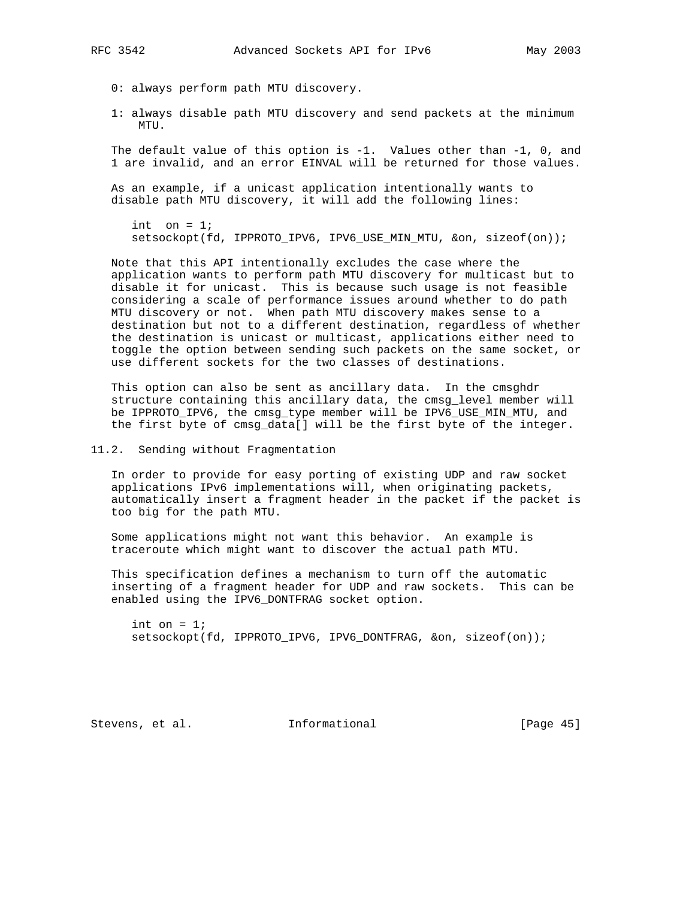- 0: always perform path MTU discovery.
- 1: always disable path MTU discovery and send packets at the minimum MTU.

The default value of this option is  $-1$ . Values other than  $-1$ , 0, and 1 are invalid, and an error EINVAL will be returned for those values.

 As an example, if a unicast application intentionally wants to disable path MTU discovery, it will add the following lines:

int on  $= 1$ ; setsockopt(fd, IPPROTO\_IPV6, IPV6\_USE\_MIN\_MTU, &on, sizeof(on));

 Note that this API intentionally excludes the case where the application wants to perform path MTU discovery for multicast but to disable it for unicast. This is because such usage is not feasible considering a scale of performance issues around whether to do path MTU discovery or not. When path MTU discovery makes sense to a destination but not to a different destination, regardless of whether the destination is unicast or multicast, applications either need to toggle the option between sending such packets on the same socket, or use different sockets for the two classes of destinations.

This option can also be sent as ancillary data. In the cmsghdr structure containing this ancillary data, the cmsg\_level member will be IPPROTO\_IPV6, the cmsg\_type member will be IPV6\_USE\_MIN\_MTU, and the first byte of cmsg\_data[] will be the first byte of the integer.

## 11.2. Sending without Fragmentation

 In order to provide for easy porting of existing UDP and raw socket applications IPv6 implementations will, when originating packets, automatically insert a fragment header in the packet if the packet is too big for the path MTU.

 Some applications might not want this behavior. An example is traceroute which might want to discover the actual path MTU.

 This specification defines a mechanism to turn off the automatic inserting of a fragment header for UDP and raw sockets. This can be enabled using the IPV6\_DONTFRAG socket option.

int on  $= 1$ ; setsockopt(fd, IPPROTO\_IPV6, IPV6\_DONTFRAG, &on, sizeof(on));

Stevens, et al. **Informational** [Page 45]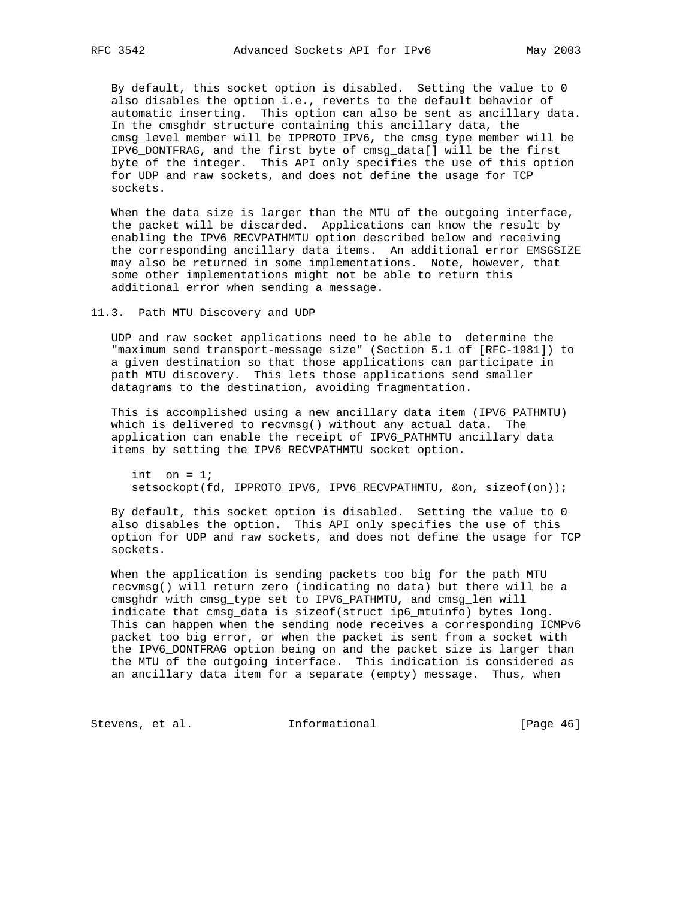By default, this socket option is disabled. Setting the value to 0 also disables the option i.e., reverts to the default behavior of automatic inserting. This option can also be sent as ancillary data. In the cmsghdr structure containing this ancillary data, the cmsg\_level member will be IPPROTO\_IPV6, the cmsg\_type member will be IPV6\_DONTFRAG, and the first byte of cmsg\_data[] will be the first byte of the integer. This API only specifies the use of this option for UDP and raw sockets, and does not define the usage for TCP sockets.

 When the data size is larger than the MTU of the outgoing interface, the packet will be discarded. Applications can know the result by enabling the IPV6\_RECVPATHMTU option described below and receiving the corresponding ancillary data items. An additional error EMSGSIZE may also be returned in some implementations. Note, however, that some other implementations might not be able to return this additional error when sending a message.

11.3. Path MTU Discovery and UDP

 UDP and raw socket applications need to be able to determine the "maximum send transport-message size" (Section 5.1 of [RFC-1981]) to a given destination so that those applications can participate in path MTU discovery. This lets those applications send smaller datagrams to the destination, avoiding fragmentation.

 This is accomplished using a new ancillary data item (IPV6\_PATHMTU) which is delivered to recvmsg() without any actual data. The application can enable the receipt of IPV6\_PATHMTU ancillary data items by setting the IPV6\_RECVPATHMTU socket option.

int on  $= 1$ ; setsockopt(fd, IPPROTO\_IPV6, IPV6\_RECVPATHMTU, &on, sizeof(on));

 By default, this socket option is disabled. Setting the value to 0 also disables the option. This API only specifies the use of this option for UDP and raw sockets, and does not define the usage for TCP sockets.

 When the application is sending packets too big for the path MTU recvmsg() will return zero (indicating no data) but there will be a cmsghdr with cmsg\_type set to IPV6\_PATHMTU, and cmsg\_len will indicate that cmsg\_data is sizeof(struct ip6\_mtuinfo) bytes long. This can happen when the sending node receives a corresponding ICMPv6 packet too big error, or when the packet is sent from a socket with the IPV6\_DONTFRAG option being on and the packet size is larger than the MTU of the outgoing interface. This indication is considered as an ancillary data item for a separate (empty) message. Thus, when

Stevens, et al. 1nformational [Page 46]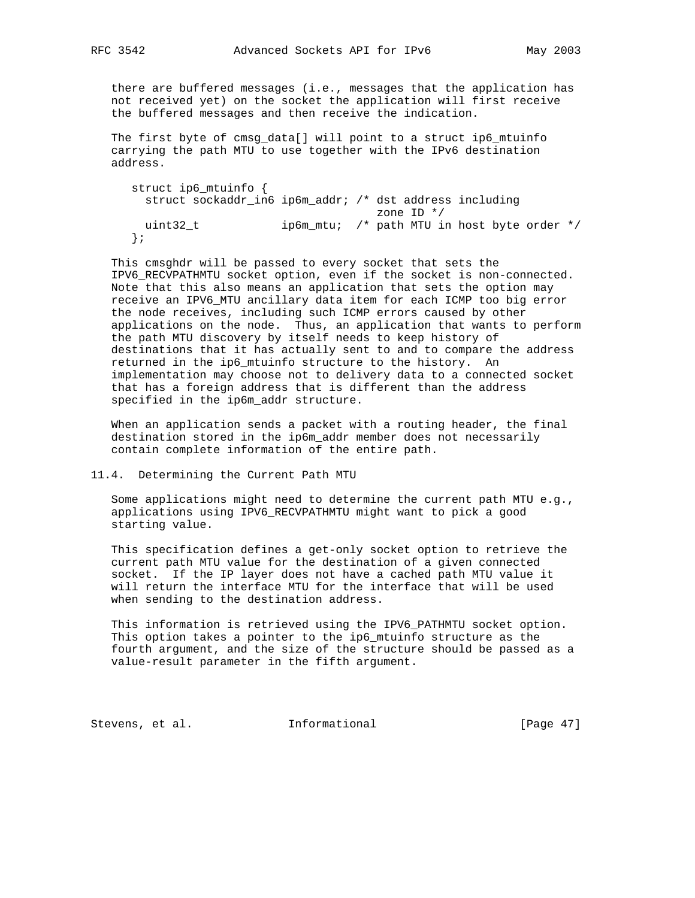there are buffered messages (i.e., messages that the application has not received yet) on the socket the application will first receive the buffered messages and then receive the indication.

 The first byte of cmsg\_data[] will point to a struct ip6\_mtuinfo carrying the path MTU to use together with the IPv6 destination address.

 struct ip6\_mtuinfo { struct sockaddr\_in6 ip6m\_addr; /\* dst address including zone ID \*/ uint32\_t ip6m\_mtu; /\* path MTU in host byte order \*/ };

 This cmsghdr will be passed to every socket that sets the IPV6\_RECVPATHMTU socket option, even if the socket is non-connected. Note that this also means an application that sets the option may receive an IPV6\_MTU ancillary data item for each ICMP too big error the node receives, including such ICMP errors caused by other applications on the node. Thus, an application that wants to perform the path MTU discovery by itself needs to keep history of destinations that it has actually sent to and to compare the address returned in the ip6\_mtuinfo structure to the history. An implementation may choose not to delivery data to a connected socket that has a foreign address that is different than the address specified in the ip6m\_addr structure.

 When an application sends a packet with a routing header, the final destination stored in the ip6m\_addr member does not necessarily contain complete information of the entire path.

## 11.4. Determining the Current Path MTU

 Some applications might need to determine the current path MTU e.g., applications using IPV6\_RECVPATHMTU might want to pick a good starting value.

 This specification defines a get-only socket option to retrieve the current path MTU value for the destination of a given connected socket. If the IP layer does not have a cached path MTU value it will return the interface MTU for the interface that will be used when sending to the destination address.

 This information is retrieved using the IPV6\_PATHMTU socket option. This option takes a pointer to the ip6\_mtuinfo structure as the fourth argument, and the size of the structure should be passed as a value-result parameter in the fifth argument.

Stevens, et al. 1nformational [Page 47]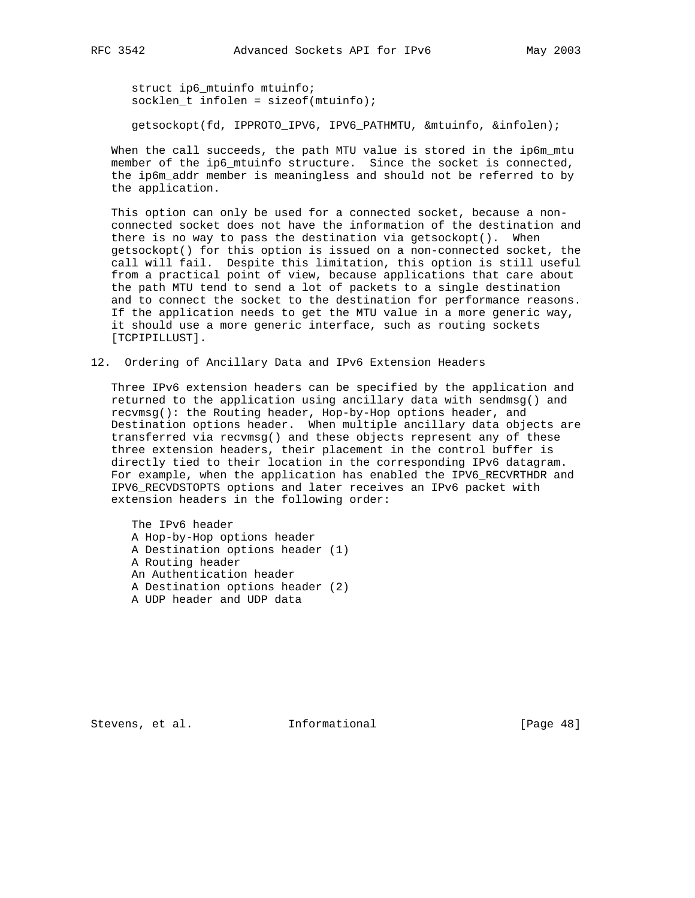struct ip6\_mtuinfo mtuinfo;  $socklen_t$  infolen = sizeof(mtuinfo);

getsockopt(fd, IPPROTO\_IPV6, IPV6\_PATHMTU, &mtuinfo, &infolen);

When the call succeeds, the path MTU value is stored in the ip6m\_mtu member of the ip6\_mtuinfo structure. Since the socket is connected, the ip6m\_addr member is meaningless and should not be referred to by the application.

 This option can only be used for a connected socket, because a non connected socket does not have the information of the destination and there is no way to pass the destination via getsockopt(). When getsockopt() for this option is issued on a non-connected socket, the call will fail. Despite this limitation, this option is still useful from a practical point of view, because applications that care about the path MTU tend to send a lot of packets to a single destination and to connect the socket to the destination for performance reasons. If the application needs to get the MTU value in a more generic way, it should use a more generic interface, such as routing sockets [TCPIPILLUST].

12. Ordering of Ancillary Data and IPv6 Extension Headers

 Three IPv6 extension headers can be specified by the application and returned to the application using ancillary data with sendmsg() and recvmsg(): the Routing header, Hop-by-Hop options header, and Destination options header. When multiple ancillary data objects are transferred via recvmsg() and these objects represent any of these three extension headers, their placement in the control buffer is directly tied to their location in the corresponding IPv6 datagram. For example, when the application has enabled the IPV6\_RECVRTHDR and IPV6\_RECVDSTOPTS options and later receives an IPv6 packet with extension headers in the following order:

 The IPv6 header A Hop-by-Hop options header A Destination options header (1) A Routing header An Authentication header A Destination options header (2) A UDP header and UDP data

Stevens, et al. **Informational** [Page 48]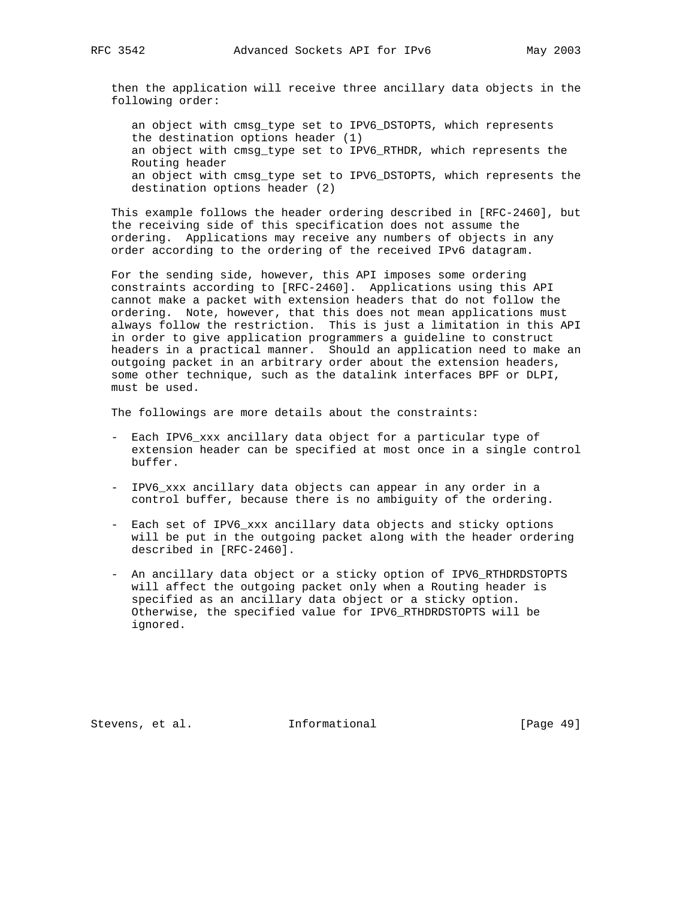then the application will receive three ancillary data objects in the following order:

 an object with cmsg\_type set to IPV6\_DSTOPTS, which represents the destination options header (1) an object with cmsg\_type set to IPV6\_RTHDR, which represents the Routing header an object with cmsg\_type set to IPV6\_DSTOPTS, which represents the destination options header (2)

 This example follows the header ordering described in [RFC-2460], but the receiving side of this specification does not assume the ordering. Applications may receive any numbers of objects in any order according to the ordering of the received IPv6 datagram.

 For the sending side, however, this API imposes some ordering constraints according to [RFC-2460]. Applications using this API cannot make a packet with extension headers that do not follow the ordering. Note, however, that this does not mean applications must always follow the restriction. This is just a limitation in this API in order to give application programmers a guideline to construct headers in a practical manner. Should an application need to make an outgoing packet in an arbitrary order about the extension headers, some other technique, such as the datalink interfaces BPF or DLPI, must be used.

The followings are more details about the constraints:

- Each IPV6\_xxx ancillary data object for a particular type of extension header can be specified at most once in a single control buffer.
- IPV6\_xxx ancillary data objects can appear in any order in a control buffer, because there is no ambiguity of the ordering.
- Each set of IPV6\_xxx ancillary data objects and sticky options will be put in the outgoing packet along with the header ordering described in [RFC-2460].
- An ancillary data object or a sticky option of IPV6\_RTHDRDSTOPTS will affect the outgoing packet only when a Routing header is specified as an ancillary data object or a sticky option. Otherwise, the specified value for IPV6\_RTHDRDSTOPTS will be ignored.

Stevens, et al. **Informational** [Page 49]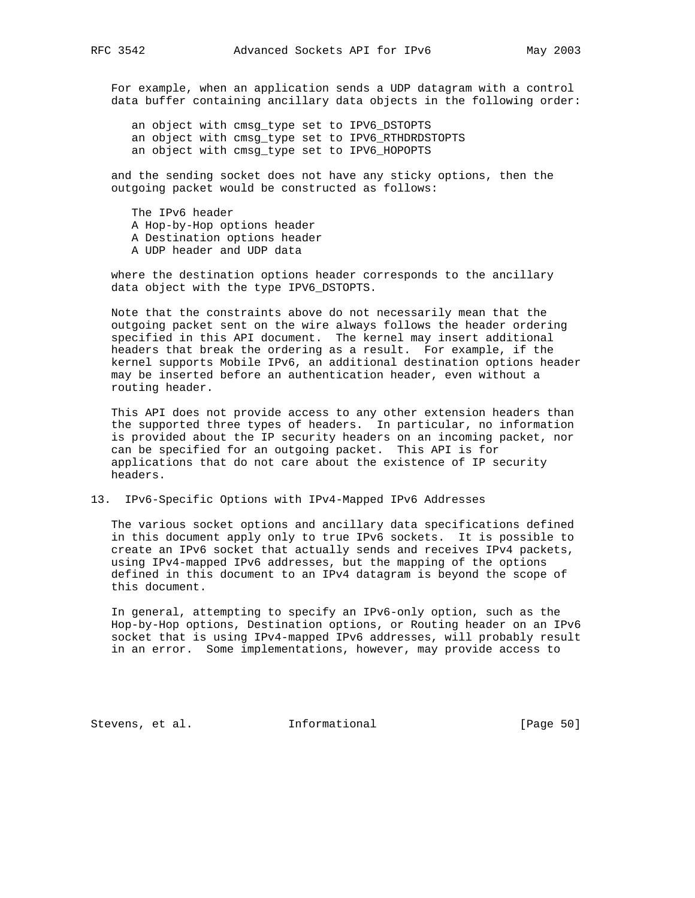For example, when an application sends a UDP datagram with a control data buffer containing ancillary data objects in the following order:

 an object with cmsg\_type set to IPV6\_DSTOPTS an object with cmsg\_type set to IPV6\_RTHDRDSTOPTS an object with cmsg\_type set to IPV6\_HOPOPTS

 and the sending socket does not have any sticky options, then the outgoing packet would be constructed as follows:

 The IPv6 header A Hop-by-Hop options header A Destination options header A UDP header and UDP data

 where the destination options header corresponds to the ancillary data object with the type IPV6\_DSTOPTS.

 Note that the constraints above do not necessarily mean that the outgoing packet sent on the wire always follows the header ordering specified in this API document. The kernel may insert additional headers that break the ordering as a result. For example, if the kernel supports Mobile IPv6, an additional destination options header may be inserted before an authentication header, even without a routing header.

 This API does not provide access to any other extension headers than the supported three types of headers. In particular, no information is provided about the IP security headers on an incoming packet, nor can be specified for an outgoing packet. This API is for applications that do not care about the existence of IP security headers.

## 13. IPv6-Specific Options with IPv4-Mapped IPv6 Addresses

 The various socket options and ancillary data specifications defined in this document apply only to true IPv6 sockets. It is possible to create an IPv6 socket that actually sends and receives IPv4 packets, using IPv4-mapped IPv6 addresses, but the mapping of the options defined in this document to an IPv4 datagram is beyond the scope of this document.

 In general, attempting to specify an IPv6-only option, such as the Hop-by-Hop options, Destination options, or Routing header on an IPv6 socket that is using IPv4-mapped IPv6 addresses, will probably result in an error. Some implementations, however, may provide access to

Stevens, et al. **Informational** [Page 50]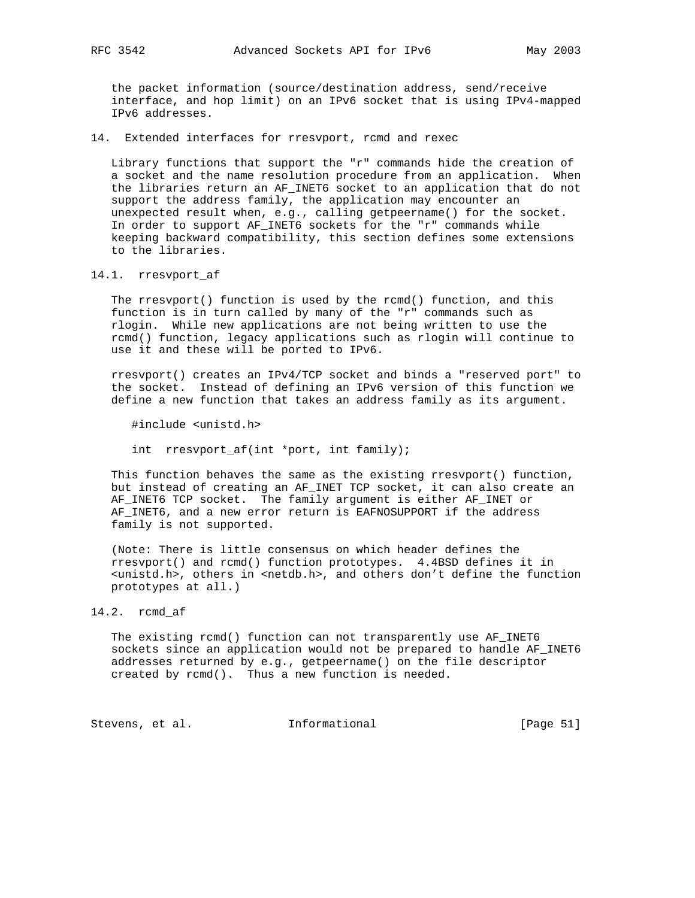the packet information (source/destination address, send/receive interface, and hop limit) on an IPv6 socket that is using IPv4-mapped IPv6 addresses.

14. Extended interfaces for rresvport, rcmd and rexec

 Library functions that support the "r" commands hide the creation of a socket and the name resolution procedure from an application. When the libraries return an AF\_INET6 socket to an application that do not support the address family, the application may encounter an unexpected result when, e.g., calling getpeername() for the socket. In order to support AF\_INET6 sockets for the "r" commands while keeping backward compatibility, this section defines some extensions to the libraries.

14.1. rresvport\_af

 The rresvport() function is used by the rcmd() function, and this function is in turn called by many of the "r" commands such as rlogin. While new applications are not being written to use the rcmd() function, legacy applications such as rlogin will continue to use it and these will be ported to IPv6.

 rresvport() creates an IPv4/TCP socket and binds a "reserved port" to the socket. Instead of defining an IPv6 version of this function we define a new function that takes an address family as its argument.

#include <unistd.h>

int rresvport\_af(int \*port, int family);

 This function behaves the same as the existing rresvport() function, but instead of creating an AF\_INET TCP socket, it can also create an AF\_INET6 TCP socket. The family argument is either AF\_INET or AF\_INET6, and a new error return is EAFNOSUPPORT if the address family is not supported.

 (Note: There is little consensus on which header defines the rresvport() and rcmd() function prototypes. 4.4BSD defines it in <unistd.h>, others in <netdb.h>, and others don't define the function prototypes at all.)

14.2. rcmd\_af

 The existing rcmd() function can not transparently use AF\_INET6 sockets since an application would not be prepared to handle AF\_INET6 addresses returned by e.g., getpeername() on the file descriptor created by rcmd(). Thus a new function is needed.

Stevens, et al. 1nformational [Page 51]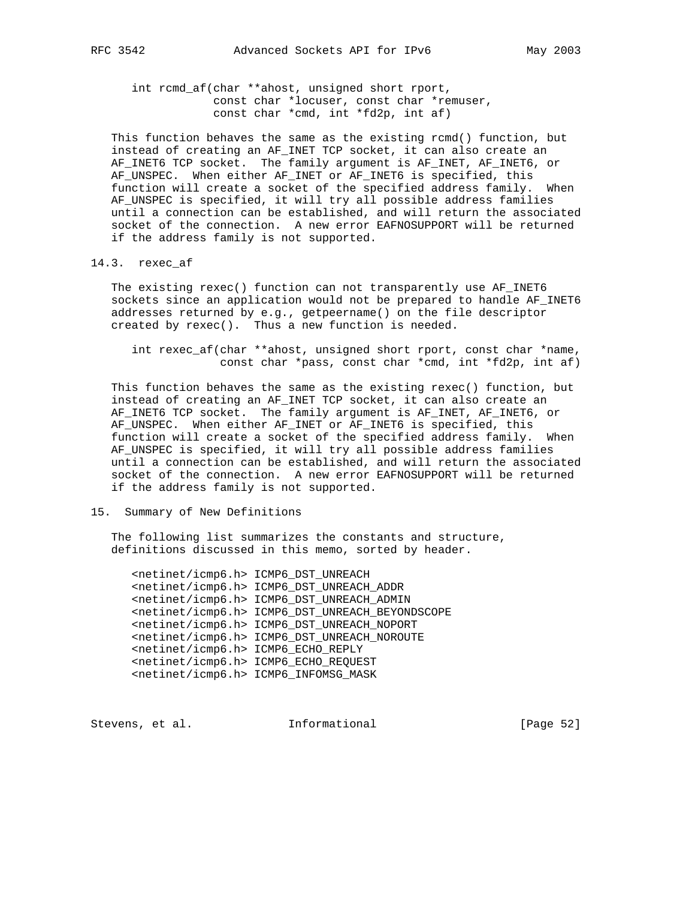int rcmd\_af(char \*\*ahost, unsigned short rport, const char \*locuser, const char \*remuser, const char \*cmd, int \*fd2p, int af)

 This function behaves the same as the existing rcmd() function, but instead of creating an AF\_INET TCP socket, it can also create an AF\_INET6 TCP socket. The family argument is AF\_INET, AF\_INET6, or AF\_UNSPEC. When either AF\_INET or AF\_INET6 is specified, this function will create a socket of the specified address family. When AF\_UNSPEC is specified, it will try all possible address families until a connection can be established, and will return the associated socket of the connection. A new error EAFNOSUPPORT will be returned if the address family is not supported.

#### 14.3. rexec\_af

 The existing rexec() function can not transparently use AF\_INET6 sockets since an application would not be prepared to handle AF\_INET6 addresses returned by e.g., getpeername() on the file descriptor created by rexec(). Thus a new function is needed.

 int rexec\_af(char \*\*ahost, unsigned short rport, const char \*name, const char \*pass, const char \*cmd, int \*fd2p, int af)

 This function behaves the same as the existing rexec() function, but instead of creating an AF\_INET TCP socket, it can also create an AF\_INET6 TCP socket. The family argument is AF\_INET, AF\_INET6, or AF\_UNSPEC. When either AF\_INET or AF\_INET6 is specified, this function will create a socket of the specified address family. When AF\_UNSPEC is specified, it will try all possible address families until a connection can be established, and will return the associated socket of the connection. A new error EAFNOSUPPORT will be returned if the address family is not supported.

## 15. Summary of New Definitions

 The following list summarizes the constants and structure, definitions discussed in this memo, sorted by header.

 <netinet/icmp6.h> ICMP6\_DST\_UNREACH <netinet/icmp6.h> ICMP6\_DST\_UNREACH\_ADDR <netinet/icmp6.h> ICMP6\_DST\_UNREACH\_ADMIN <netinet/icmp6.h> ICMP6\_DST\_UNREACH\_BEYONDSCOPE <netinet/icmp6.h> ICMP6\_DST\_UNREACH\_NOPORT <netinet/icmp6.h> ICMP6\_DST\_UNREACH\_NOROUTE <netinet/icmp6.h> ICMP6\_ECHO\_REPLY <netinet/icmp6.h> ICMP6\_ECHO\_REQUEST <netinet/icmp6.h> ICMP6\_INFOMSG\_MASK

Stevens, et al. **Informational** [Page 52]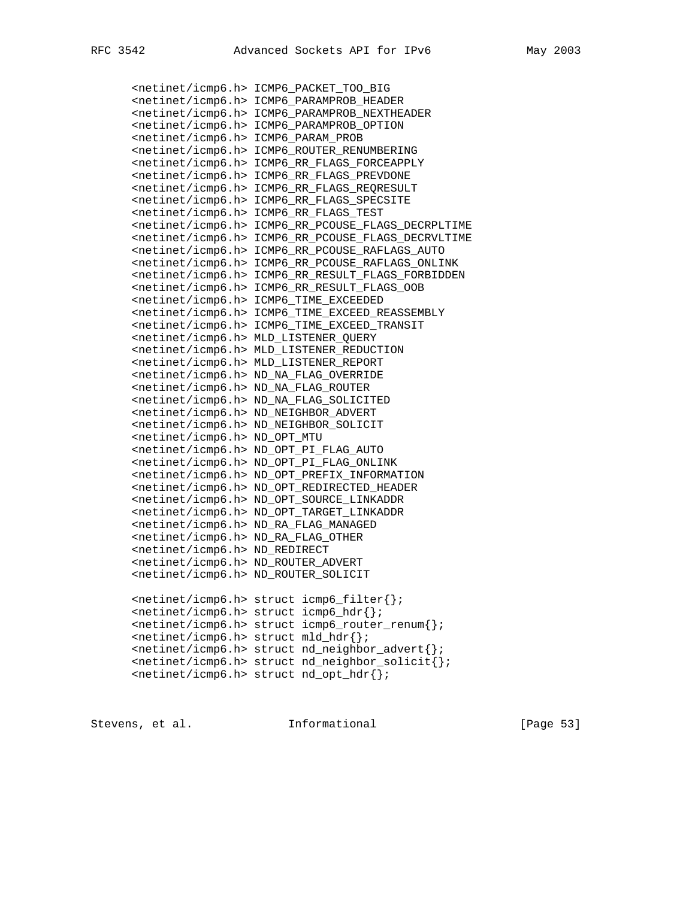<netinet/icmp6.h> ICMP6\_PACKET\_TOO\_BIG <netinet/icmp6.h> ICMP6\_PARAMPROB\_HEADER <netinet/icmp6.h> ICMP6\_PARAMPROB\_NEXTHEADER <netinet/icmp6.h> ICMP6\_PARAMPROB\_OPTION <netinet/icmp6.h> ICMP6\_PARAM\_PROB <netinet/icmp6.h> ICMP6\_ROUTER\_RENUMBERING <netinet/icmp6.h> ICMP6\_RR\_FLAGS\_FORCEAPPLY <netinet/icmp6.h> ICMP6\_RR\_FLAGS\_PREVDONE <netinet/icmp6.h> ICMP6\_RR\_FLAGS\_REQRESULT <netinet/icmp6.h> ICMP6\_RR\_FLAGS\_SPECSITE <netinet/icmp6.h> ICMP6\_RR\_FLAGS\_TEST <netinet/icmp6.h> ICMP6\_RR\_PCOUSE\_FLAGS\_DECRPLTIME <netinet/icmp6.h> ICMP6\_RR\_PCOUSE\_FLAGS\_DECRVLTIME <netinet/icmp6.h> ICMP6\_RR\_PCOUSE\_RAFLAGS\_AUTO <netinet/icmp6.h> ICMP6\_RR\_PCOUSE\_RAFLAGS\_ONLINK <netinet/icmp6.h> ICMP6\_RR\_RESULT\_FLAGS\_FORBIDDEN <netinet/icmp6.h> ICMP6\_RR\_RESULT\_FLAGS\_OOB <netinet/icmp6.h> ICMP6\_TIME\_EXCEEDED <netinet/icmp6.h> ICMP6\_TIME\_EXCEED\_REASSEMBLY <netinet/icmp6.h> ICMP6\_TIME\_EXCEED\_TRANSIT <netinet/icmp6.h> MLD\_LISTENER\_QUERY <netinet/icmp6.h> MLD\_LISTENER\_REDUCTION <netinet/icmp6.h> MLD\_LISTENER\_REPORT <netinet/icmp6.h> ND\_NA\_FLAG\_OVERRIDE <netinet/icmp6.h> ND\_NA\_FLAG\_ROUTER <netinet/icmp6.h> ND\_NA\_FLAG\_SOLICITED <netinet/icmp6.h> ND\_NEIGHBOR\_ADVERT <netinet/icmp6.h> ND\_NEIGHBOR\_SOLICIT <netinet/icmp6.h> ND\_OPT\_MTU <netinet/icmp6.h> ND\_OPT\_PI\_FLAG\_AUTO <netinet/icmp6.h> ND\_OPT\_PI\_FLAG\_ONLINK <netinet/icmp6.h> ND\_OPT\_PREFIX\_INFORMATION <netinet/icmp6.h> ND\_OPT\_REDIRECTED\_HEADER <netinet/icmp6.h> ND\_OPT\_SOURCE\_LINKADDR <netinet/icmp6.h> ND\_OPT\_TARGET\_LINKADDR <netinet/icmp6.h> ND\_RA\_FLAG\_MANAGED <netinet/icmp6.h> ND\_RA\_FLAG\_OTHER <netinet/icmp6.h> ND\_REDIRECT <netinet/icmp6.h> ND\_ROUTER\_ADVERT <netinet/icmp6.h> ND\_ROUTER\_SOLICIT <netinet/icmp6.h> struct icmp6\_filter{}; <netinet/icmp6.h> struct icmp6\_hdr{}; <netinet/icmp6.h> struct icmp6\_router\_renum{}; <netinet/icmp6.h> struct mld\_hdr{}; <netinet/icmp6.h> struct nd\_neighbor\_advert{}; <netinet/icmp6.h> struct nd\_neighbor\_solicit{}; <netinet/icmp6.h> struct nd\_opt\_hdr{};

Stevens, et al. **Informational** [Page 53]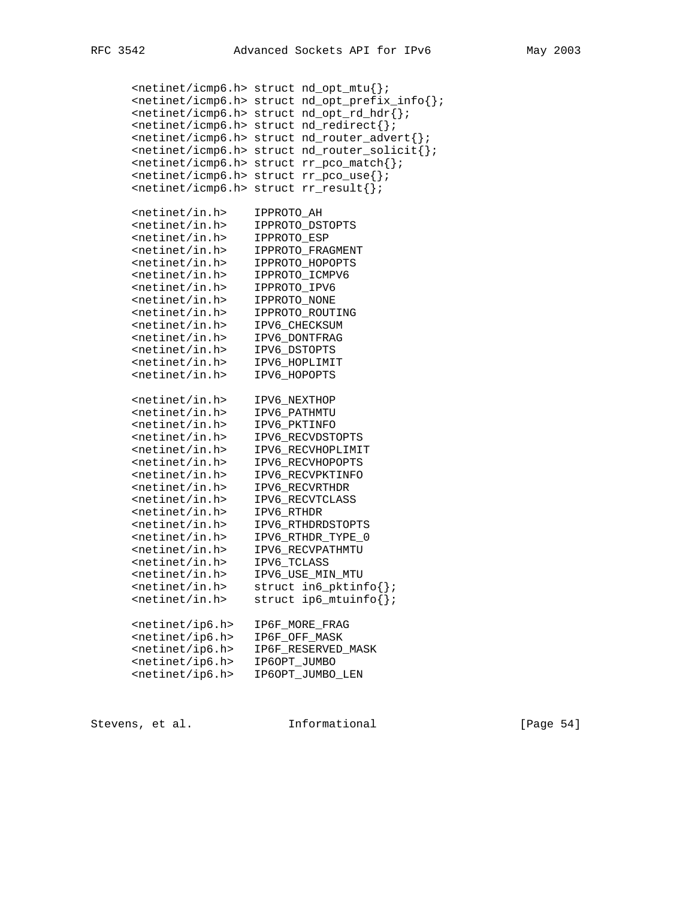<netinet/icmp6.h> struct nd\_opt\_mtu{}; <netinet/icmp6.h> struct nd\_opt\_prefix\_info{}; <netinet/icmp6.h> struct nd\_opt\_rd\_hdr{}; <netinet/icmp6.h> struct nd\_redirect{}; <netinet/icmp6.h> struct nd\_router\_advert{}; <netinet/icmp6.h> struct nd\_router\_solicit{}; <netinet/icmp6.h> struct rr\_pco\_match{}; <netinet/icmp6.h> struct rr\_pco\_use{}; <netinet/icmp6.h> struct rr\_result{}; <netinet/in.h> IPPROTO\_AH <netinet/in.h> IPPROTO\_DSTOPTS <netinet/in.h> IPPROTO\_ESP <netinet/in.h> IPPROTO\_FRAGMENT <netinet/in.h> IPPROTO\_HOPOPTS <netinet/in.h> IPPROTO\_ICMPV6 <netinet/in.h> IPPROTO\_IPV6 <netinet/in.h> IPPROTO\_NONE <netinet/in.h> IPPROTO\_ROUTING <netinet/in.h> IPV6\_CHECKSUM <netinet/in.h> IPV6\_DONTFRAG <netinet/in.h> IPV6\_DSTOPTS <netinet/in.h> IPV6\_HOPLIMIT <netinet/in.h> IPV6\_HOPOPTS <netinet/in.h> IPV6\_NEXTHOP <netinet/in.h> IPV6\_PATHMTU <netinet/in.h> IPV6\_PKTINFO <netinet/in.h> IPV6\_RECVDSTOPTS <netinet/in.h> IPV6\_RECVHOPLIMIT <netinet/in.h> IPV6\_RECVHOPOPTS <netinet/in.h> IPV6\_RECVPKTINFO <netinet/in.h> IPV6\_RECVRTHDR <netinet/in.h> IPV6\_RECVTCLASS <netinet/in.h> IPV6\_RTHDR <netinet/in.h> IPV6\_RTHDRDSTOPTS <netinet/in.h> IPV6\_RTHDR\_TYPE\_0 <netinet/in.h> IPV6\_RECVPATHMTU <netinet/in.h> IPV6\_TCLASS <netinet/in.h> IPV6\_USE\_MIN\_MTU <netinet/in.h> struct in6\_pktinfo{}; <netinet/in.h> struct ip6\_mtuinfo{}; <netinet/ip6.h> IP6F\_MORE\_FRAG <netinet/ip6.h> IP6F\_OFF\_MASK <netinet/ip6.h> IP6F\_RESERVED\_MASK <netinet/ip6.h> IP6OPT\_JUMBO <netinet/ip6.h> IP6OPT\_JUMBO\_LEN

Stevens, et al. **Informational** [Page 54]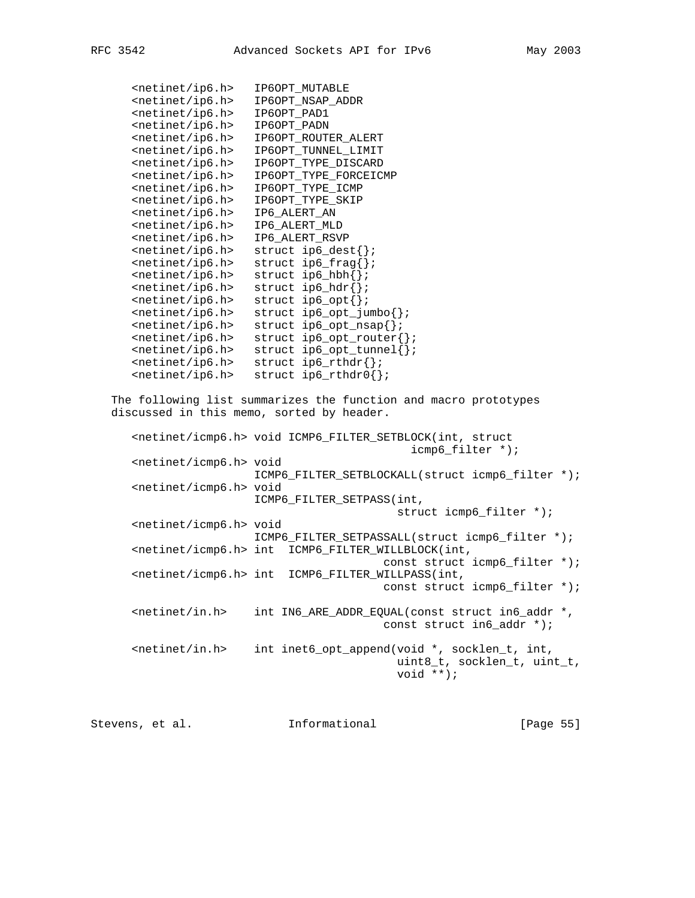| <netinet ip6.h=""></netinet>              | IP6OPT_MUTABLE                                                                             |
|-------------------------------------------|--------------------------------------------------------------------------------------------|
| <netinet ip6.h=""></netinet>              | IP6OPT_NSAP_ADDR                                                                           |
|                                           | IP6OPT_PAD1                                                                                |
| <netinet ip6.h=""></netinet>              |                                                                                            |
| <netinet ip6.h=""></netinet>              | IP6OPT_PADN                                                                                |
| <netinet ip6.h=""></netinet>              | IP6OPT_ROUTER_ALERT                                                                        |
| <netinet ip6.h=""></netinet>              | IP6OPT_TUNNEL_LIMIT                                                                        |
| <netinet ip6.h=""></netinet>              | IP6OPT_TYPE_DISCARD                                                                        |
| <netinet ip6.h=""></netinet>              | IP6OPT_TYPE_FORCEICMP                                                                      |
| <netinet ip6.h=""></netinet>              | IP6OPT_TYPE_ICMP                                                                           |
| <netinet ip6.h=""></netinet>              | IP6OPT_TYPE_SKIP                                                                           |
| <netinet ip6.h=""></netinet>              | IP6_ALERT_AN                                                                               |
| <netinet ip6.h=""></netinet>              | IP6_ALERT_MLD                                                                              |
| <netinet ip6.h=""></netinet>              | IP6_ALERT_RSVP                                                                             |
| <netinet ip6.h=""></netinet>              | struct $ip6\_dest\}$ ;                                                                     |
| <netinet ip6.h=""></netinet>              | struct $ip6_frag\$ ;                                                                       |
| <netinet ip6.h=""></netinet>              | struct $ip6_{hbh}$ };                                                                      |
| <netinet ip6.h=""></netinet>              | struct $ip6_ldr$ };                                                                        |
| <netinet ip6.h=""></netinet>              | struct $ip6\_{opt}$ ;                                                                      |
| <netinet ip6.h=""></netinet>              | $struct$ $ip6$ _opt_jumbo $\})$ ;                                                          |
|                                           |                                                                                            |
| <netinet ip6.h=""></netinet>              | $struct$ ip6_opt_nsap $\{\}$ ;                                                             |
| <netinet ip6.h=""></netinet>              | $struct$ ip6_opt_router{};                                                                 |
| <netinet ip6.h=""></netinet>              | struct $ip6$ _opt_tunnel{};                                                                |
| <netinet ip6.h=""></netinet>              | struct $ip6_rthdr$ };                                                                      |
| <netinet ip6.h=""></netinet>              | struct $ip6_rthdr0$ {};                                                                    |
| discussed in this memo, sorted by header. | The following list summarizes the function and macro prototypes                            |
|                                           | <netinet icmp6.h=""> void ICMP6_FILTER_SETBLOCK(int, struct<br/>icmp6_filter *);</netinet> |
| <netinet icmp6.h=""> void</netinet>       |                                                                                            |
|                                           | ICMP6_FILTER_SETBLOCKALL(struct icmp6_filter *);                                           |
| <netinet icmp6.h=""> void</netinet>       |                                                                                            |
|                                           | ICMP6_FILTER_SETPASS(int,                                                                  |
|                                           | struct icmp6_filter *);                                                                    |
| <netinet icmp6.h=""> void</netinet>       |                                                                                            |
|                                           | ICMP6_FILTER_SETPASSALL(struct icmp6_filter *);                                            |
|                                           | <netinet icmp6.h=""> int ICMP6_FILTER_WILLBLOCK(int,</netinet>                             |
|                                           |                                                                                            |
|                                           | const struct icmp6_filter *);                                                              |
| <netinet icmp6.h=""> int</netinet>        | ICMP6_FILTER_WILLPASS(int,                                                                 |
|                                           | const struct icmp6_filter *);                                                              |
| $<$ netinet/in.h>                         | int IN6_ARE_ADDR_EQUAL(const struct in6_addr *,                                            |
|                                           | const struct in6_addr *);                                                                  |
|                                           |                                                                                            |
| $<$ netinet/in.h>                         | int inet6_opt_append(void *, socklen_t, int,<br>uint8_t, socklen_t, uint_t,<br>void **);   |
|                                           |                                                                                            |
|                                           |                                                                                            |

Stevens, et al. 10. Informational 1. [Page 55]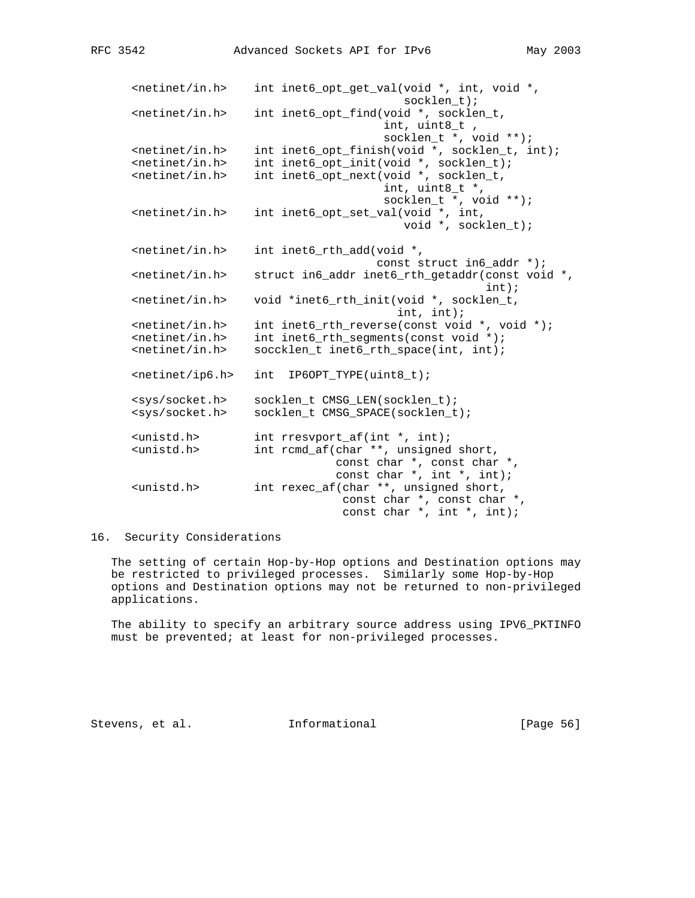<netinet/in.h> int inet6\_opt\_get\_val(void \*, int, void \*, socklen\_t); <netinet/in.h> int inet6\_opt\_find(void \*, socklen\_t, int, uint8\_t , socklen\_t \*, void \*\*); <netinet/in.h> int inet6\_opt\_finish(void \*, socklen\_t, int); <netinet/in.h> int inet6\_opt\_init(void \*, socklen\_t); <netinet/in.h> int inet6\_opt\_next(void \*, socklen\_t, int, uint8\_t \*, socklen\_t \*, void \*\*); <netinet/in.h> int inet6\_opt\_set\_val(void \*, int, void \*, socklen\_t); <netinet/in.h> int inet6\_rth\_add(void \*, const struct in6\_addr \*);  $s$  -netinet/in.h struct in6 addr inet6 rth qetaddr(const void  $s$ , int); <netinet/in.h> void \*inet6\_rth\_init(void \*, socklen\_t, int, int); <netinet/in.h> int inet6\_rth\_reverse(const void \*, void \*); <netinet/in.h> int inet6\_rth\_segments(const void \*); <netinet/in.h> soccklen\_t inet6\_rth\_space(int, int); <netinet/ip6.h> int IP6OPT\_TYPE(uint8\_t); <sys/socket.h> socklen\_t CMSG\_LEN(socklen\_t); <sys/socket.h> socklen\_t CMSG\_SPACE(socklen\_t); <unistd.h> int rresvport\_af(int \*, int); int rcmd\_af(char \*\*, unsigned short, const char \*, const char \*, const char \*, int \*, int); <unistd.h> int rexec\_af(char \*\*, unsigned short, const char \*, const char \*, const char \*, int \*, int);

# 16. Security Considerations

 The setting of certain Hop-by-Hop options and Destination options may be restricted to privileged processes. Similarly some Hop-by-Hop options and Destination options may not be returned to non-privileged applications.

 The ability to specify an arbitrary source address using IPV6\_PKTINFO must be prevented; at least for non-privileged processes.

Stevens, et al. **Informational** [Page 56]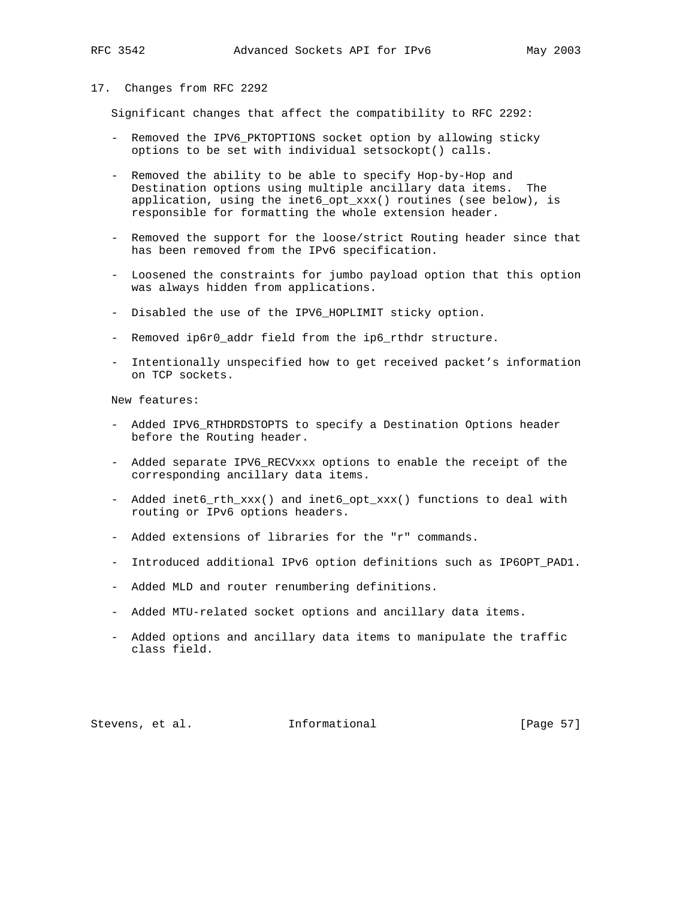### 17. Changes from RFC 2292

Significant changes that affect the compatibility to RFC 2292:

- Removed the IPV6\_PKTOPTIONS socket option by allowing sticky options to be set with individual setsockopt() calls.
- Removed the ability to be able to specify Hop-by-Hop and Destination options using multiple ancillary data items. The application, using the inet6\_opt\_xxx() routines (see below), is responsible for formatting the whole extension header.
- Removed the support for the loose/strict Routing header since that has been removed from the IPv6 specification.
- Loosened the constraints for jumbo payload option that this option was always hidden from applications.
- Disabled the use of the IPV6\_HOPLIMIT sticky option.
- Removed ip6r0\_addr field from the ip6\_rthdr structure.
- Intentionally unspecified how to get received packet's information on TCP sockets.

New features:

- Added IPV6\_RTHDRDSTOPTS to specify a Destination Options header before the Routing header.
- Added separate IPV6\_RECVxxx options to enable the receipt of the corresponding ancillary data items.
- Added inet6\_rth\_xxx() and inet6\_opt\_xxx() functions to deal with routing or IPv6 options headers.
- Added extensions of libraries for the "r" commands.
- Introduced additional IPv6 option definitions such as IP6OPT\_PAD1.
- Added MLD and router renumbering definitions.
- Added MTU-related socket options and ancillary data items.
- Added options and ancillary data items to manipulate the traffic class field.

Stevens, et al. **Informational** [Page 57]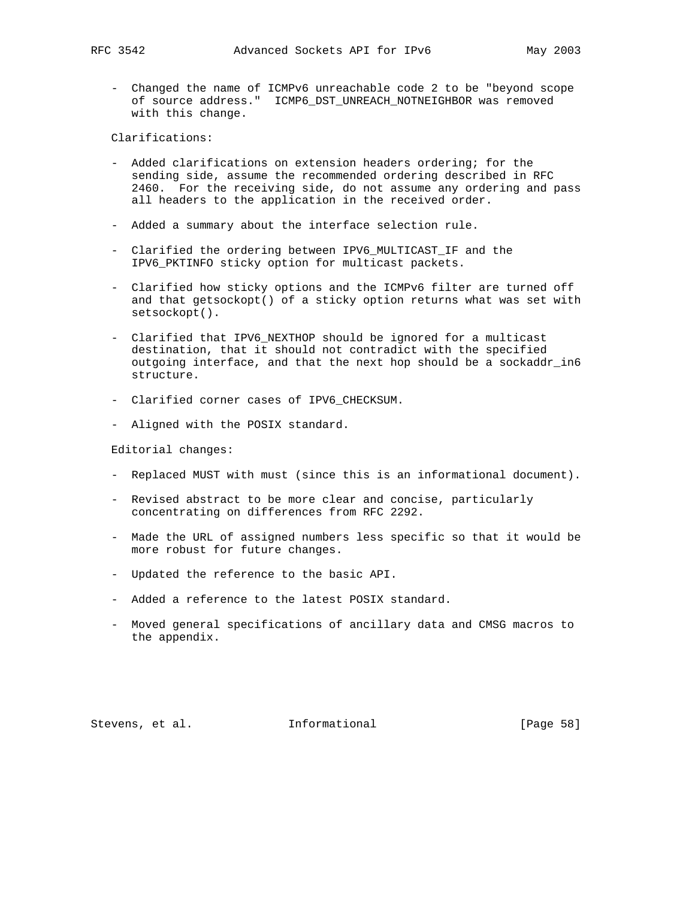- Changed the name of ICMPv6 unreachable code 2 to be "beyond scope of source address." ICMP6\_DST\_UNREACH\_NOTNEIGHBOR was removed with this change.

Clarifications:

- Added clarifications on extension headers ordering; for the sending side, assume the recommended ordering described in RFC 2460. For the receiving side, do not assume any ordering and pass all headers to the application in the received order.
- Added a summary about the interface selection rule.
- Clarified the ordering between IPV6\_MULTICAST\_IF and the IPV6\_PKTINFO sticky option for multicast packets.
- Clarified how sticky options and the ICMPv6 filter are turned off and that getsockopt() of a sticky option returns what was set with setsockopt().
- Clarified that IPV6\_NEXTHOP should be ignored for a multicast destination, that it should not contradict with the specified outgoing interface, and that the next hop should be a sockaddr\_in6 structure.
- Clarified corner cases of IPV6\_CHECKSUM.
- Aligned with the POSIX standard.

Editorial changes:

- Replaced MUST with must (since this is an informational document).
- Revised abstract to be more clear and concise, particularly concentrating on differences from RFC 2292.
- Made the URL of assigned numbers less specific so that it would be more robust for future changes.
- Updated the reference to the basic API.
- Added a reference to the latest POSIX standard.
- Moved general specifications of ancillary data and CMSG macros to the appendix.

Stevens, et al. **Informational** [Page 58]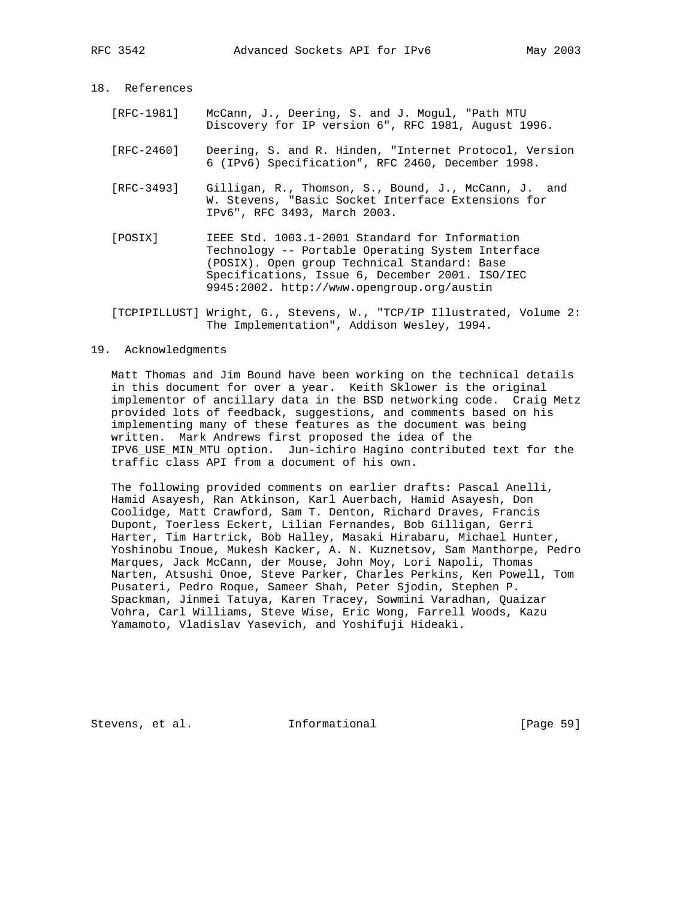# 18. References

- [RFC-1981] McCann, J., Deering, S. and J. Mogul, "Path MTU Discovery for IP version 6", RFC 1981, August 1996.
- [RFC-2460] Deering, S. and R. Hinden, "Internet Protocol, Version 6 (IPv6) Specification", RFC 2460, December 1998.
- [RFC-3493] Gilligan, R., Thomson, S., Bound, J., McCann, J. and W. Stevens, "Basic Socket Interface Extensions for IPv6", RFC 3493, March 2003.
- [POSIX] IEEE Std. 1003.1-2001 Standard for Information Technology -- Portable Operating System Interface (POSIX). Open group Technical Standard: Base Specifications, Issue 6, December 2001. ISO/IEC 9945:2002. http://www.opengroup.org/austin
- [TCPIPILLUST] Wright, G., Stevens, W., "TCP/IP Illustrated, Volume 2: The Implementation", Addison Wesley, 1994.

## 19. Acknowledgments

 Matt Thomas and Jim Bound have been working on the technical details in this document for over a year. Keith Sklower is the original implementor of ancillary data in the BSD networking code. Craig Metz provided lots of feedback, suggestions, and comments based on his implementing many of these features as the document was being written. Mark Andrews first proposed the idea of the IPV6\_USE\_MIN\_MTU option. Jun-ichiro Hagino contributed text for the traffic class API from a document of his own.

 The following provided comments on earlier drafts: Pascal Anelli, Hamid Asayesh, Ran Atkinson, Karl Auerbach, Hamid Asayesh, Don Coolidge, Matt Crawford, Sam T. Denton, Richard Draves, Francis Dupont, Toerless Eckert, Lilian Fernandes, Bob Gilligan, Gerri Harter, Tim Hartrick, Bob Halley, Masaki Hirabaru, Michael Hunter, Yoshinobu Inoue, Mukesh Kacker, A. N. Kuznetsov, Sam Manthorpe, Pedro Marques, Jack McCann, der Mouse, John Moy, Lori Napoli, Thomas Narten, Atsushi Onoe, Steve Parker, Charles Perkins, Ken Powell, Tom Pusateri, Pedro Roque, Sameer Shah, Peter Sjodin, Stephen P. Spackman, Jinmei Tatuya, Karen Tracey, Sowmini Varadhan, Quaizar Vohra, Carl Williams, Steve Wise, Eric Wong, Farrell Woods, Kazu Yamamoto, Vladislav Yasevich, and Yoshifuji Hideaki.

Stevens, et al. Informational [Page 59]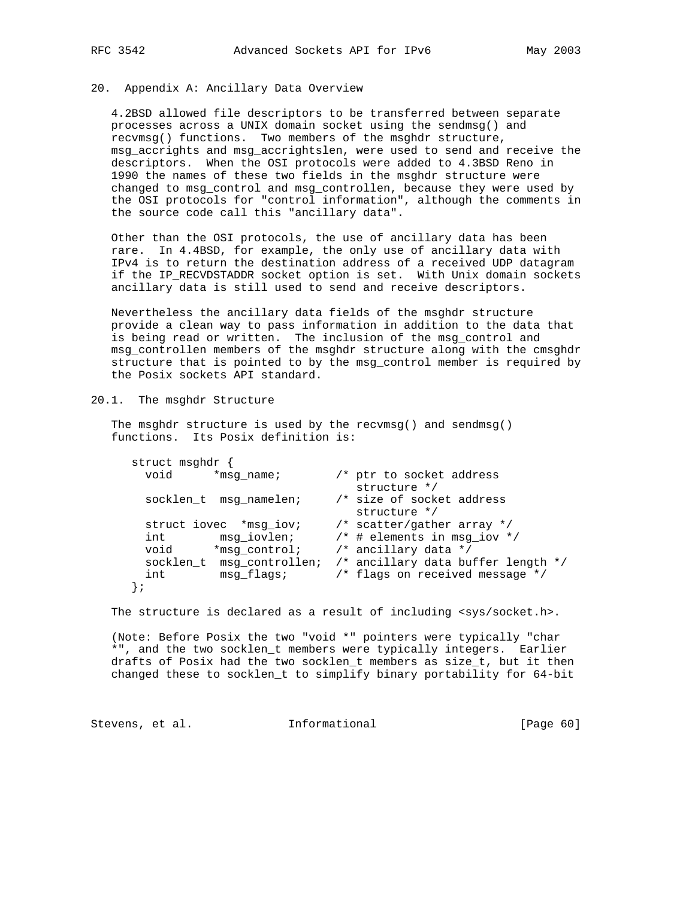# 20. Appendix A: Ancillary Data Overview

 4.2BSD allowed file descriptors to be transferred between separate processes across a UNIX domain socket using the sendmsg() and recvmsg() functions. Two members of the msghdr structure, msg\_accrights and msg\_accrightslen, were used to send and receive the descriptors. When the OSI protocols were added to 4.3BSD Reno in 1990 the names of these two fields in the msghdr structure were changed to msg\_control and msg\_controllen, because they were used by the OSI protocols for "control information", although the comments in the source code call this "ancillary data".

 Other than the OSI protocols, the use of ancillary data has been rare. In 4.4BSD, for example, the only use of ancillary data with IPv4 is to return the destination address of a received UDP datagram if the IP\_RECVDSTADDR socket option is set. With Unix domain sockets ancillary data is still used to send and receive descriptors.

 Nevertheless the ancillary data fields of the msghdr structure provide a clean way to pass information in addition to the data that is being read or written. The inclusion of the msg\_control and msg\_controllen members of the msghdr structure along with the cmsghdr structure that is pointed to by the msg\_control member is required by the Posix sockets API standard.

## 20.1. The msghdr Structure

 The msghdr structure is used by the recvmsg() and sendmsg() functions. Its Posix definition is:

| struct msghdr             |               |                                           |
|---------------------------|---------------|-------------------------------------------|
| void<br>*msq name;        |               | /* ptr to socket address                  |
|                           |               | structure */                              |
| socklen t msg namelen;    |               | /* size of socket address<br>structure */ |
| struct iovec *msq iov;    |               | /* scatter/gather array */                |
| int                       | msq iovlen;   | $/*$ # elements in msq iov */             |
| void                      | *msg control; | /* ancillary data */                      |
| socklen t msg controllen; |               | /* ancillary data buffer length */        |
| int                       | msg flags;    | /* flags on received message */           |
|                           |               |                                           |

The structure is declared as a result of including <sys/socket.h>.

 (Note: Before Posix the two "void \*" pointers were typically "char \*", and the two socklen\_t members were typically integers. Earlier drafts of Posix had the two socklen\_t members as size\_t, but it then changed these to socklen\_t to simplify binary portability for 64-bit

Stevens, et al. 1nformational 1999 [Page 60]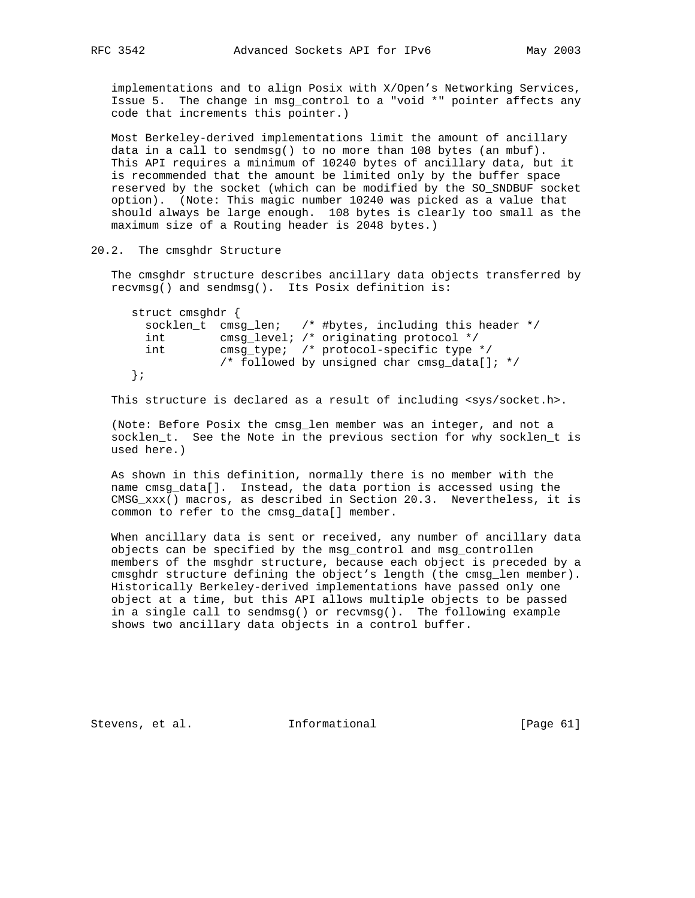implementations and to align Posix with X/Open's Networking Services, Issue 5. The change in msg\_control to a "void \*" pointer affects any code that increments this pointer.)

 Most Berkeley-derived implementations limit the amount of ancillary data in a call to sendmsg() to no more than 108 bytes (an mbuf). This API requires a minimum of 10240 bytes of ancillary data, but it is recommended that the amount be limited only by the buffer space reserved by the socket (which can be modified by the SO\_SNDBUF socket option). (Note: This magic number 10240 was picked as a value that should always be large enough. 108 bytes is clearly too small as the maximum size of a Routing header is 2048 bytes.)

### 20.2. The cmsghdr Structure

 The cmsghdr structure describes ancillary data objects transferred by recvmsg() and sendmsg(). Its Posix definition is:

 struct cmsghdr { socklen\_t cmsg\_len; /\* #bytes, including this header \*/ int cmsg\_level; /\* originating protocol \*/ int cmsg\_type; /\* protocol-specific type \*/ /\* followed by unsigned char cmsg\_data[]; \*/ };

This structure is declared as a result of including <sys/socket.h>.

 (Note: Before Posix the cmsg\_len member was an integer, and not a socklen\_t. See the Note in the previous section for why socklen\_t is used here.)

 As shown in this definition, normally there is no member with the name cmsg\_data[]. Instead, the data portion is accessed using the CMSG\_xxx() macros, as described in Section 20.3. Nevertheless, it is common to refer to the cmsg\_data[] member.

 When ancillary data is sent or received, any number of ancillary data objects can be specified by the msg\_control and msg\_controllen members of the msghdr structure, because each object is preceded by a cmsghdr structure defining the object's length (the cmsg\_len member). Historically Berkeley-derived implementations have passed only one object at a time, but this API allows multiple objects to be passed in a single call to sendmsg() or recvmsg(). The following example shows two ancillary data objects in a control buffer.

Stevens, et al. **Informational** [Page 61]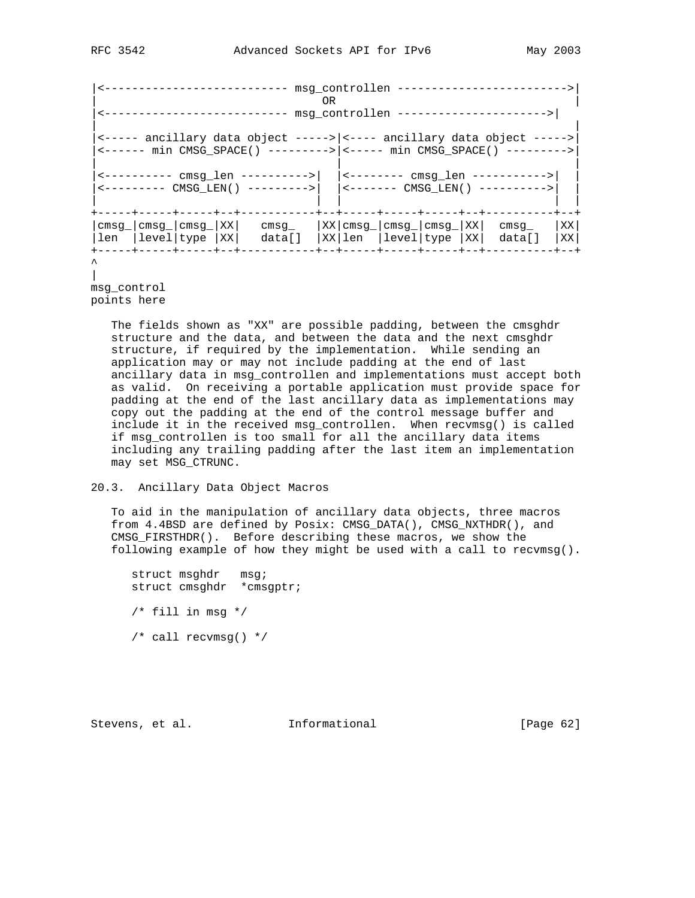|  |  |  |  |                                                                                                                                                                                                                                                                                                                                                                                                                                  | 0 <sub>R</sub> |  |  |  |                  |             |
|--|--|--|--|----------------------------------------------------------------------------------------------------------------------------------------------------------------------------------------------------------------------------------------------------------------------------------------------------------------------------------------------------------------------------------------------------------------------------------|----------------|--|--|--|------------------|-------------|
|  |  |  |  |                                                                                                                                                                                                                                                                                                                                                                                                                                  |                |  |  |  |                  |             |
|  |  |  |  | <----- ancillary data object ----->   <---- ancillary data object -----><br><------ min CMSG SPACE() --------->  <----- min CMSG SPACE() ---------><br><---------- cmsg_len ---------->    <-------- cmsg_len -----------> <br>$\left  \begin{array}{cc} - - - - - - - - \text{CMS-LEN} \\ \text{CMSG_LEN} \end{array} \right $ $\left  \begin{array}{cc} - - - - - - - \text{ CMSG_LEN} \\ \text{CMSG_LEN} \end{array} \right $ |                |  |  |  |                  |             |
|  |  |  |  | $\lfloor \text{cmsg} \rfloor \lfloor \text{cmsg} \rfloor \lfloor \text{cmsg} \rfloor  XX $ $\lfloor \text{cmsg} \rfloor  XX $ $\lfloor \text{cmsg} \rfloor  {\text{cmsg}} \rfloor  XX $ $\lfloor \text{cmsg} \rfloor  XX $ $\lfloor \text{cmsg} \rfloor  XX $<br> len  level type  XX  data[]  XX len  level type  XX  data[]<br>---------+-                                                                                     |                |  |  |  | -+----------+--- | XX <br>  XX |
|  |  |  |  |                                                                                                                                                                                                                                                                                                                                                                                                                                  |                |  |  |  |                  |             |

msg\_control points here

> The fields shown as "XX" are possible padding, between the cmsghdr structure and the data, and between the data and the next cmsghdr structure, if required by the implementation. While sending an application may or may not include padding at the end of last ancillary data in msg\_controllen and implementations must accept both as valid. On receiving a portable application must provide space for padding at the end of the last ancillary data as implementations may copy out the padding at the end of the control message buffer and include it in the received msg\_controllen. When recvmsg() is called if msg\_controllen is too small for all the ancillary data items including any trailing padding after the last item an implementation may set MSG\_CTRUNC.

## 20.3. Ancillary Data Object Macros

 To aid in the manipulation of ancillary data objects, three macros from 4.4BSD are defined by Posix: CMSG\_DATA(), CMSG\_NXTHDR(), and CMSG\_FIRSTHDR(). Before describing these macros, we show the following example of how they might be used with a call to recvmsg().

 struct msghdr msg; struct cmsghdr \*cmsgptr;  $/*$  fill in msg \*/ /\* call recvmsg() \*/

Stevens, et al. **Informational** [Page 62]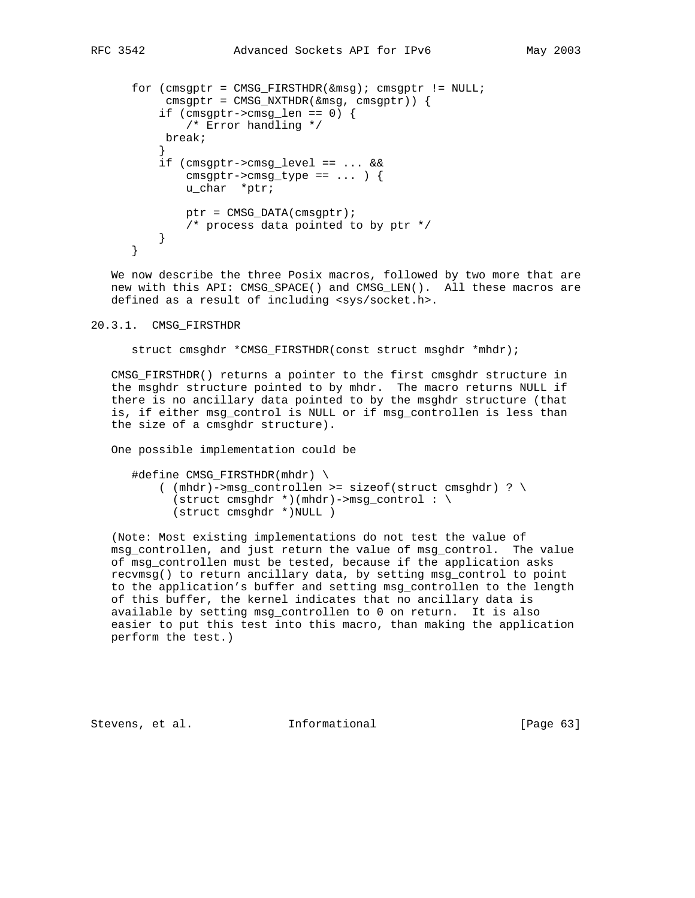```
 for (cmsgptr = CMSG_FIRSTHDR(&msg); cmsgptr != NULL;
           cmsgptr = CMS_NXTHDR(\&msg,cmsgptr)) {
           if (\text{cmsgptr}\text{-}\text{cmsg\_len} == 0) {
                /* Error handling */
            break;
 }
            if (cmsgptr->cmsg_level == ... &&
               cmsqrt{-}>\text{cmsg\_type} == \dots }
                u_char *ptr;
               ptr = CMSG_DATA(cmsgptr);
               /* process data pointed to by ptr */
           }
       }
```
 We now describe the three Posix macros, followed by two more that are new with this API: CMSG\_SPACE() and CMSG\_LEN(). All these macros are defined as a result of including <sys/socket.h>.

#### 20.3.1. CMSG\_FIRSTHDR

struct cmsghdr \*CMSG\_FIRSTHDR(const struct msghdr \*mhdr);

 CMSG\_FIRSTHDR() returns a pointer to the first cmsghdr structure in the msghdr structure pointed to by mhdr. The macro returns NULL if there is no ancillary data pointed to by the msghdr structure (that is, if either msg\_control is NULL or if msg\_controllen is less than the size of a cmsghdr structure).

One possible implementation could be

 #define CMSG\_FIRSTHDR(mhdr) \  $($  (mhdr)->msg\_controllen >= sizeof(struct cmsghdr) ? \  $(\text{struct} \text{cmsghdr}^*) (\text{mhdr}) - > \text{msg\_control} : \ \ \ \ \ \$ (struct cmsghdr \*)NULL )

 (Note: Most existing implementations do not test the value of msg\_controllen, and just return the value of msg\_control. The value of msg\_controllen must be tested, because if the application asks recvmsg() to return ancillary data, by setting msg\_control to point to the application's buffer and setting msg\_controllen to the length of this buffer, the kernel indicates that no ancillary data is available by setting msg\_controllen to 0 on return. It is also easier to put this test into this macro, than making the application perform the test.)

Stevens, et al. **Informational** [Page 63]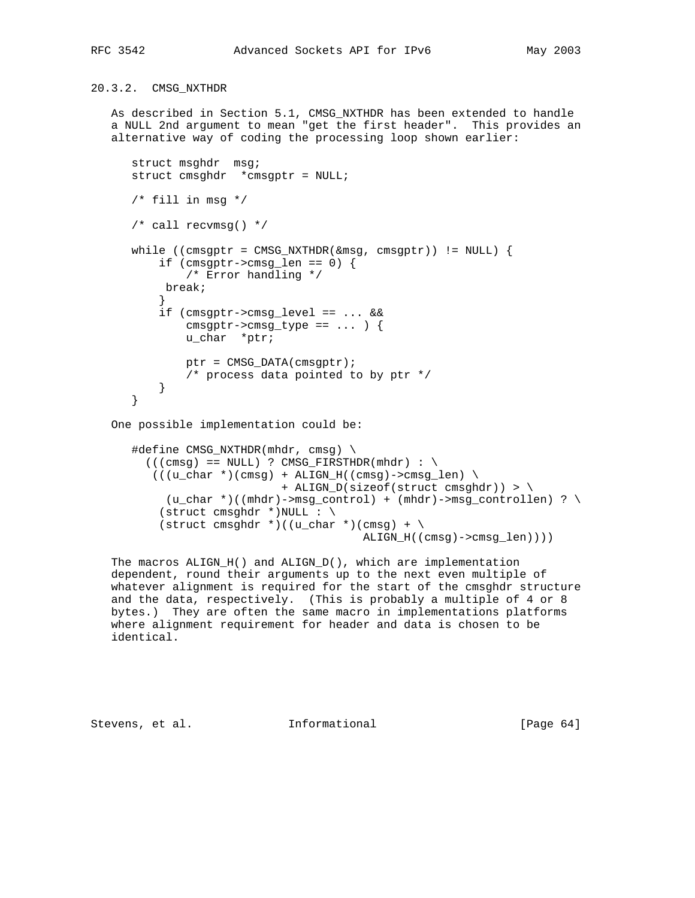# 20.3.2. CMSG\_NXTHDR

 As described in Section 5.1, CMSG\_NXTHDR has been extended to handle a NULL 2nd argument to mean "get the first header". This provides an alternative way of coding the processing loop shown earlier:

```
 struct msghdr msg;
       struct cmsghdr *cmsgptr = NULL;
       /* fill in msg */
       /* call recvmsg() */
      while ((cmsgptr = CMSG_NXTHDR(\&msg, cmsgptr)) != NULL) {
           if (\text{cmsgptr}\text{-}\text{cmsg\_len} == 0) {
               /* Error handling */
            break;
 }
            if (cmsgptr->cmsg_level == ... &&
               cmsqrtr->cmsg_type == \dots ) {
                u_char *ptr;
                ptr = CMSG_DATA(cmsgptr);
                /* process data pointed to by ptr */
 }
       }
    One possible implementation could be:
       #define CMSG_NXTHDR(mhdr, cmsg) \
         ((\text{cmsq}) == \text{NULL}) ? CMSG FIRSTHDR(mhdr) : \
          ((u_{char}*)(cmsg) + ALIGN_H((cmsg)-\text{cmsg\_len}) ) + ALIGN_D(sizeof(struct cmsghdr)) > \
            (u_char *)((mhdr)->msg_control) + (mhdr)->msg_controllen) ? \
           (struct cmsghdr *)NULL : \setminus(\text{struct} \text{cmsghdr}^*)((\text{u}\text{char}^*) (\text{cmsg}) + \text{c}^*) ALIGN_H((cmsg)->cmsg_len))))
```
 The macros ALIGN\_H() and ALIGN\_D(), which are implementation dependent, round their arguments up to the next even multiple of whatever alignment is required for the start of the cmsghdr structure and the data, respectively. (This is probably a multiple of 4 or 8 bytes.) They are often the same macro in implementations platforms where alignment requirement for header and data is chosen to be identical.

Stevens, et al. **Informational** [Page 64]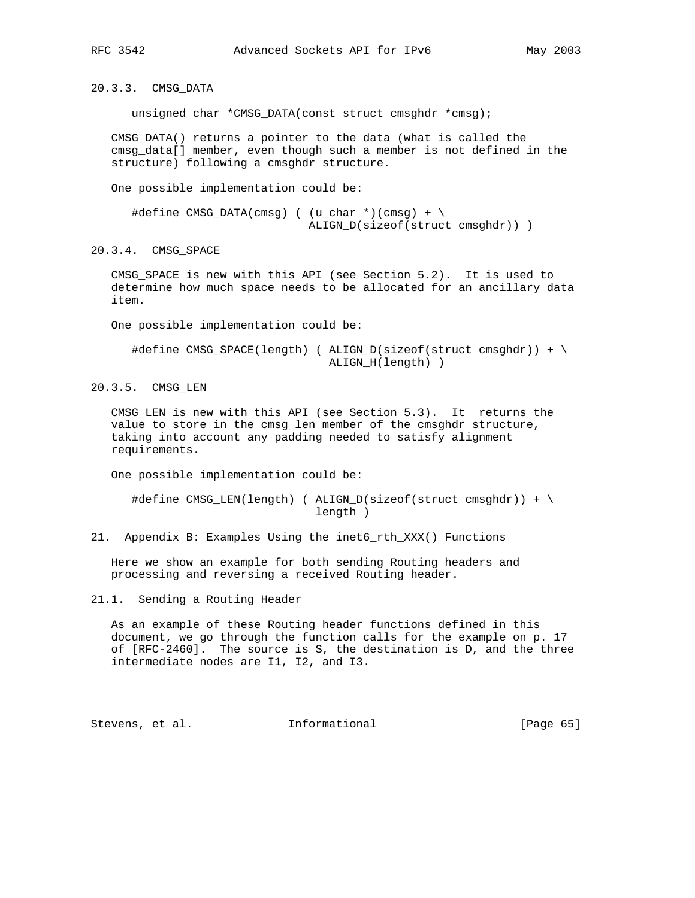20.3.3. CMSG\_DATA

unsigned char \*CMSG\_DATA(const struct cmsghdr \*cmsg);

 CMSG\_DATA() returns a pointer to the data (what is called the cmsg\_data[] member, even though such a member is not defined in the structure) following a cmsghdr structure.

One possible implementation could be:

```
\#define \ CMSG_DATA(cmsg) ( (u_char *)(cmsg) + \n ALIGN_D(sizeof(struct cmsghdr)) )
```
20.3.4. CMSG\_SPACE

CMSG SPACE is new with this API (see Section 5.2). It is used to determine how much space needs to be allocated for an ancillary data item.

One possible implementation could be:

```
 #define CMSG_SPACE(length) ( ALIGN_D(sizeof(struct cmsghdr)) + \
                              ALIGN_H(length) )
```
20.3.5. CMSG\_LEN

 CMSG\_LEN is new with this API (see Section 5.3). It returns the value to store in the cmsg\_len member of the cmsghdr structure, taking into account any padding needed to satisfy alignment requirements.

One possible implementation could be:

```
 #define CMSG_LEN(length) ( ALIGN_D(sizeof(struct cmsghdr)) + \
                             length )
```
21. Appendix B: Examples Using the inet6\_rth\_XXX() Functions

 Here we show an example for both sending Routing headers and processing and reversing a received Routing header.

21.1. Sending a Routing Header

 As an example of these Routing header functions defined in this document, we go through the function calls for the example on p. 17 of [RFC-2460]. The source is S, the destination is D, and the three intermediate nodes are I1, I2, and I3.

Stevens, et al. **Informational** [Page 65]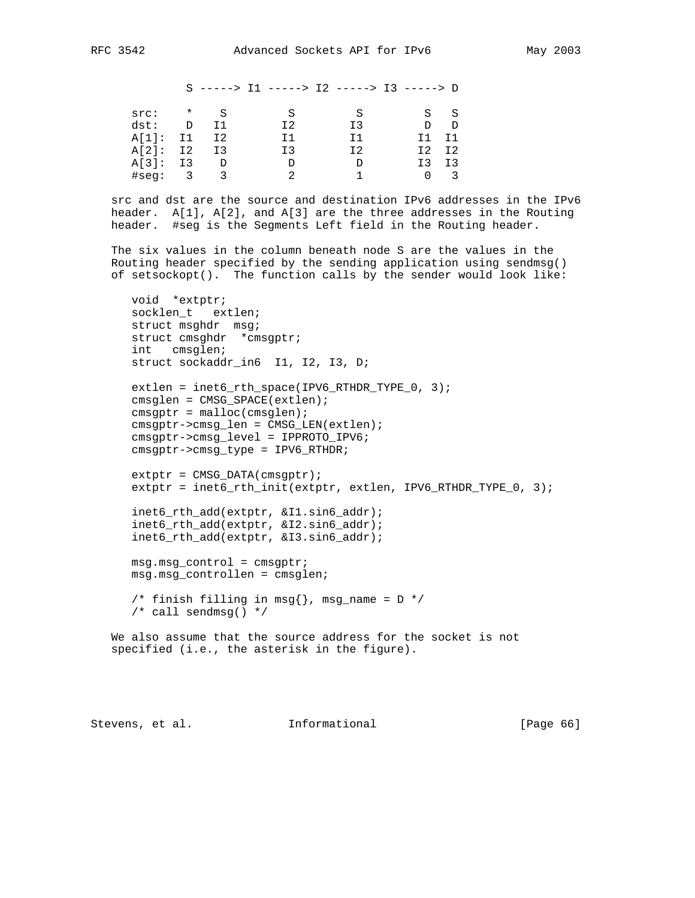S -----> I1 -----> I2 -----> I3 -----> D src: \* S S S S S S dst: D I1 I2 I3 D D A[1]: I1 I2 I1 I1 I1 I1 A[2]: I2 I3 I3 I2 I2 I2 A[3]: I3 D D D I3 I3 #seg: 3 3 2 1 0 3

 src and dst are the source and destination IPv6 addresses in the IPv6 header. A[1], A[2], and A[3] are the three addresses in the Routing header. #seg is the Segments Left field in the Routing header.

 The six values in the column beneath node S are the values in the Routing header specified by the sending application using sendmsg() of setsockopt(). The function calls by the sender would look like:

 void \*extptr; socklen\_t extlen; struct msghdr msg; struct cmsghdr \*cmsgptr; int cmsglen; struct sockaddr\_in6 I1, I2, I3, D; extlen = inet6\_rth\_space(IPV6\_RTHDR\_TYPE\_0, 3); cmsglen = CMSG\_SPACE(extlen);  $cmsqrt = malloc(cmsglen);$  cmsgptr->cmsg\_len = CMSG\_LEN(extlen); cmsgptr->cmsg\_level = IPPROTO\_IPV6; cmsgptr->cmsg\_type = IPV6\_RTHDR;  $extptr = CMS\_DATA(cmsgptr);$ extptr = inet6\_rth\_init(extptr, extlen, IPV6\_RTHDR\_TYPE\_0, 3); inet6\_rth\_add(extptr, &I1.sin6\_addr); inet6\_rth\_add(extptr, &I2.sin6\_addr); inet6\_rth\_add(extptr, &I3.sin6\_addr); msg.msg\_control = cmsgptr; msg.msg\_controllen = cmsglen; /\* finish filling in msg $\{\}$ , msg\_name = D \*/ /\* call sendmsg() \*/ We also assume that the source address for the socket is not specified (i.e., the asterisk in the figure).

Stevens, et al. **Informational** [Page 66]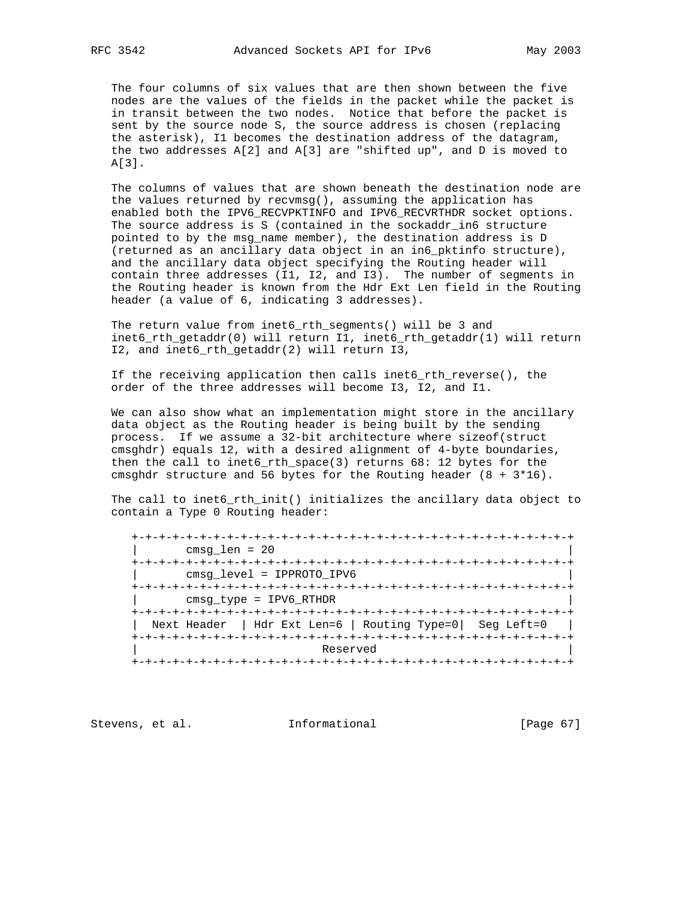The four columns of six values that are then shown between the five nodes are the values of the fields in the packet while the packet is in transit between the two nodes. Notice that before the packet is sent by the source node S, the source address is chosen (replacing the asterisk), I1 becomes the destination address of the datagram, the two addresses A[2] and A[3] are "shifted up", and D is moved to A[3].

 The columns of values that are shown beneath the destination node are the values returned by recvmsg(), assuming the application has enabled both the IPV6\_RECVPKTINFO and IPV6\_RECVRTHDR socket options. The source address is S (contained in the sockaddr\_in6 structure pointed to by the msg\_name member), the destination address is D (returned as an ancillary data object in an in6\_pktinfo structure), and the ancillary data object specifying the Routing header will contain three addresses (I1, I2, and I3). The number of segments in the Routing header is known from the Hdr Ext Len field in the Routing header (a value of 6, indicating 3 addresses).

 The return value from inet6\_rth\_segments() will be 3 and inet6\_rth\_getaddr(0) will return I1, inet6\_rth\_getaddr(1) will return I2, and inet6\_rth\_getaddr(2) will return I3,

 If the receiving application then calls inet6\_rth\_reverse(), the order of the three addresses will become I3, I2, and I1.

 We can also show what an implementation might store in the ancillary data object as the Routing header is being built by the sending process. If we assume a 32-bit architecture where sizeof(struct cmsghdr) equals 12, with a desired alignment of 4-byte boundaries, then the call to inet6\_rth\_space(3) returns 68: 12 bytes for the cmsghdr structure and 56 bytes for the Routing header (8 + 3\*16).

 The call to inet6\_rth\_init() initializes the ancillary data object to contain a Type 0 Routing header:

 +-+-+-+-+-+-+-+-+-+-+-+-+-+-+-+-+-+-+-+-+-+-+-+-+-+-+-+-+-+-+-+-+ | cmsg\_len = 20 | +-+-+-+-+-+-+-+-+-+-+-+-+-+-+-+-+-+-+-+-+-+-+-+-+-+-+-+-+-+-+-+-+ | cmsg\_level = IPPROTO\_IPV6 | +-+-+-+-+-+-+-+-+-+-+-+-+-+-+-+-+-+-+-+-+-+-+-+-+-+-+-+-+-+-+-+-+ | cmsg\_type = IPV6\_RTHDR | +-+-+-+-+-+-+-+-+-+-+-+-+-+-+-+-+-+-+-+-+-+-+-+-+-+-+-+-+-+-+-+-+ | Next Header | Hdr Ext Len=6 | Routing Type=0| Seg Left=0 | +-+-+-+-+-+-+-+-+-+-+-+-+-+-+-+-+-+-+-+-+-+-+-+-+-+-+-+-+-+-+-+-+ Reserved +-+-+-+-+-+-+-+-+-+-+-+-+-+-+-+-+-+-+-+-+-+-+-+-+-+-+-+-+-+-+-+-+

Stevens, et al. 1nformational [Page 67]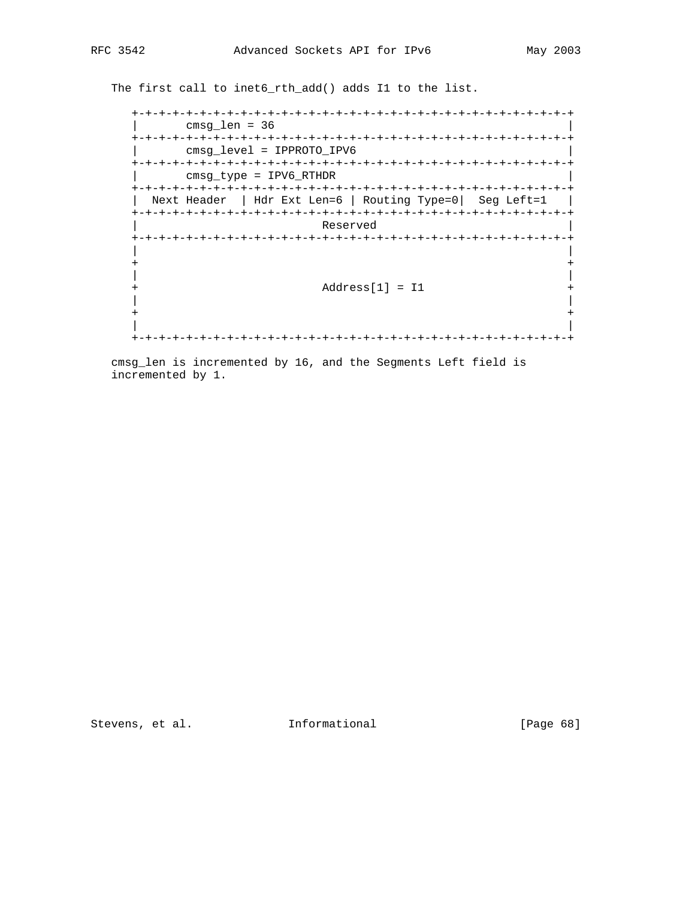The first call to inet6\_rth\_add() adds I1 to the list.

```
 +-+-+-+-+-+-+-+-+-+-+-+-+-+-+-+-+-+-+-+-+-+-+-+-+-+-+-+-+-+-+-+-+
      | cmsg_len = 36 |
    +-+-+-+-+-+-+-+-+-+-+-+-+-+-+-+-+-+-+-+-+-+-+-+-+-+-+-+-+-+-+-+-+
        | cmsg_level = IPPROTO_IPV6 |
    +-+-+-+-+-+-+-+-+-+-+-+-+-+-+-+-+-+-+-+-+-+-+-+-+-+-+-+-+-+-+-+-+
        | cmsg_type = IPV6_RTHDR |
    +-+-+-+-+-+-+-+-+-+-+-+-+-+-+-+-+-+-+-+-+-+-+-+-+-+-+-+-+-+-+-+-+
    | Next Header | Hdr Ext Len=6 | Routing Type=0| Seg Left=1 |
    +-+-+-+-+-+-+-+-+-+-+-+-+-+-+-+-+-+-+-+-+-+-+-+-+-+-+-+-+-+-+-+-+
                    | Reserved |
    +-+-+-+-+-+-+-+-+-+-+-+-+-+-+-+-+-+-+-+-+-+-+-+-+-+-+-+-+-+-+-+-+
 | |
 + +
 | |
    + Address[1] = I1 +
 | |
 + +
 | |
    +-+-+-+-+-+-+-+-+-+-+-+-+-+-+-+-+-+-+-+-+-+-+-+-+-+-+-+-+-+-+-+-+
```
 cmsg\_len is incremented by 16, and the Segments Left field is incremented by 1.

Stevens, et al. 1nformational [Page 68]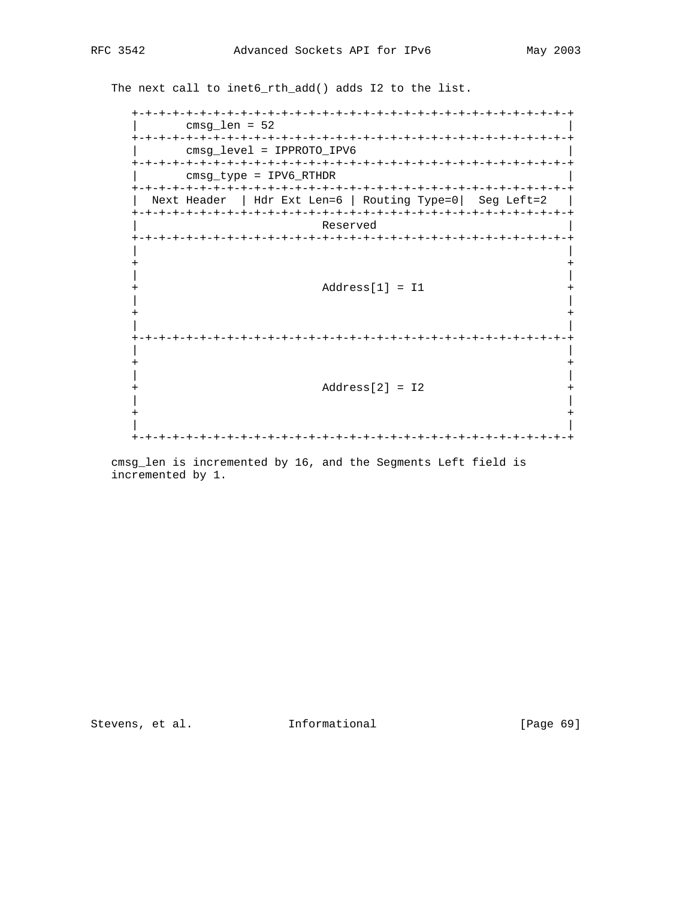The next call to inet6\_rth\_add() adds I2 to the list.

```
 +-+-+-+-+-+-+-+-+-+-+-+-+-+-+-+-+-+-+-+-+-+-+-+-+-+-+-+-+-+-+-+-+
      | cmsg_len = 52 |
   +-+-+-+-+-+-+-+-+-+-+-+-+-+-+-+-+-+-+-+-+-+-+-+-+-+-+-+-+-+-+-+-+
      | cmsg_level = IPPROTO_IPV6 |
   +-+-+-+-+-+-+-+-+-+-+-+-+-+-+-+-+-+-+-+-+-+-+-+-+-+-+-+-+-+-+-+-+
       | cmsg_type = IPV6_RTHDR |
   +-+-+-+-+-+-+-+-+-+-+-+-+-+-+-+-+-+-+-+-+-+-+-+-+-+-+-+-+-+-+-+-+
   | Next Header | Hdr Ext Len=6 | Routing Type=0| Seg Left=2 |
   +-+-+-+-+-+-+-+-+-+-+-+-+-+-+-+-+-+-+-+-+-+-+-+-+-+-+-+-+-+-+-+-+
               Reserved
   +-+-+-+-+-+-+-+-+-+-+-+-+-+-+-+-+-+-+-+-+-+-+-+-+-+-+-+-+-+-+-+-+
 | |
 + +
 | |
   + Address[1] = I1 +
 | |
 + +
 | |
   +-+-+-+-+-+-+-+-+-+-+-+-+-+-+-+-+-+-+-+-+-+-+-+-+-+-+-+-+-+-+-+-+
 | |
 + +
 | |
   + Address[2] = I2 +
 | |
 + +
 | |
   +-+-+-+-+-+-+-+-+-+-+-+-+-+-+-+-+-+-+-+-+-+-+-+-+-+-+-+-+-+-+-+-+
```
 cmsg\_len is incremented by 16, and the Segments Left field is incremented by 1.

Stevens, et al. 1nformational [Page 69]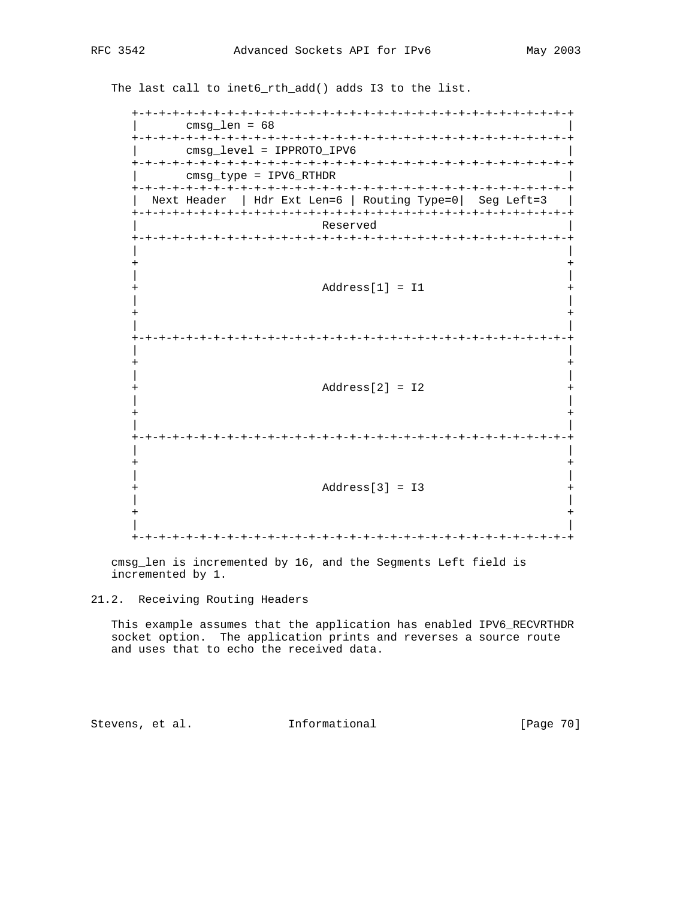The last call to inet6\_rth\_add() adds I3 to the list.

 +-+-+-+-+-+-+-+-+-+-+-+-+-+-+-+-+-+-+-+-+-+-+-+-+-+-+-+-+-+-+-+-+ | cmsg\_len = 68 | +-+-+-+-+-+-+-+-+-+-+-+-+-+-+-+-+-+-+-+-+-+-+-+-+-+-+-+-+-+-+-+-+ | cmsg\_level = IPPROTO\_IPV6 | +-+-+-+-+-+-+-+-+-+-+-+-+-+-+-+-+-+-+-+-+-+-+-+-+-+-+-+-+-+-+-+-+ | cmsg\_type = IPV6\_RTHDR | +-+-+-+-+-+-+-+-+-+-+-+-+-+-+-+-+-+-+-+-+-+-+-+-+-+-+-+-+-+-+-+-+ | Next Header | Hdr Ext Len=6 | Routing Type=0| Seg Left=3 | +-+-+-+-+-+-+-+-+-+-+-+-+-+-+-+-+-+-+-+-+-+-+-+-+-+-+-+-+-+-+-+-+ Reserved +-+-+-+-+-+-+-+-+-+-+-+-+-+-+-+-+-+-+-+-+-+-+-+-+-+-+-+-+-+-+-+-+ | | + + | | + Address[1] = I1 + | | + + | | +-+-+-+-+-+-+-+-+-+-+-+-+-+-+-+-+-+-+-+-+-+-+-+-+-+-+-+-+-+-+-+-+ | | + + | |  $Address[2] = I2$  + | | + + | | +-+-+-+-+-+-+-+-+-+-+-+-+-+-+-+-+-+-+-+-+-+-+-+-+-+-+-+-+-+-+-+-+ | | + + | | + Address[3] = I3 + | | + + | | +-+-+-+-+-+-+-+-+-+-+-+-+-+-+-+-+-+-+-+-+-+-+-+-+-+-+-+-+-+-+-+-+

 cmsg\_len is incremented by 16, and the Segments Left field is incremented by 1.

 This example assumes that the application has enabled IPV6\_RECVRTHDR socket option. The application prints and reverses a source route and uses that to echo the received data.

Stevens, et al. 1nformational [Page 70]

<sup>21.2.</sup> Receiving Routing Headers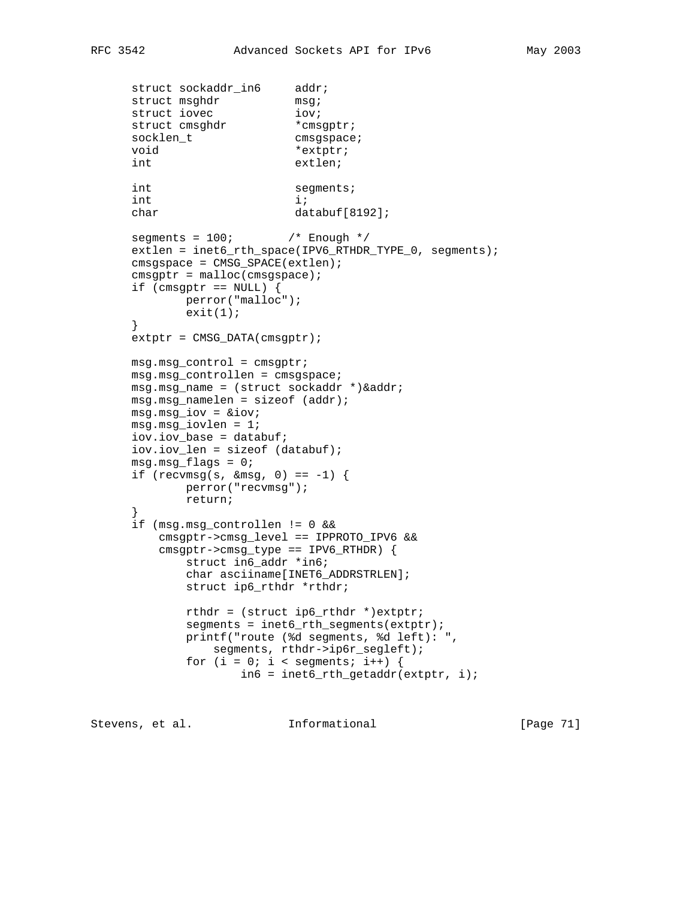```
struct sockaddr_in6 addr;
       struct msghdr msg;<br>struct iovec iov;
struct iovec iov;
struct cmsghdr * * cmsgptr;
socklen_t cmsgspace;
       void *extptr;
        int extlen;
       int segments;
       int i;
       char databuf[8192];
       \texttt{segments = } 100\, \texttt{if} \quad \texttt{if} \quad \texttt{if} \quad \texttt{if} \quad \texttt{if} \quad \texttt{if} \quad \texttt{if} \quad \texttt{if} \quad \texttt{if} \quad \texttt{if} \quad \texttt{if} \quad \texttt{if} \quad \texttt{if} \quad \texttt{if} \quad \texttt{if} \quad \texttt{if} \quad \texttt{if} \quad \texttt{if} \quad \texttt{if} \quad \texttt{if} \quad \texttt{if} \quad \texttt{if} \quad \texttt{if} \quad \texttt{if} \quad \texttt{if} \quad \texttt{if} \ extlen = inet6_rth_space(IPV6_RTHDR_TYPE_0, segments);
        cmsgspace = CMSG_SPACE(extlen);
       cmsqrt = <math>malloc(cmgspace)</math>;if (cmsgptr == NULL) {
                 perror("malloc");
                  exit(1);
        }
        extptr = CMSG_DATA(cmsgptr);
        msg.msg_control = cmsgptr;
        msg.msg_controllen = cmsgspace;
        msg.msg_name = (struct sockaddr *)&addr;
        msg.msg_namelen = sizeof (addr);
        msg.msg_iov = &iov;
        msg.msg_iovlen = 1;
        iov.iov_base = databuf;
        iov.iov_len = sizeof (databuf);
       msg.msg_flags = 0;if (recvmsg(s, \&msq, 0) == -1) {
                 perror("recvmsg");
                  return;
        }
        if (msg.msg_controllen != 0 &&
             cmsgptr->cmsg_level == IPPROTO_IPV6 &&
             cmsgptr->cmsg_type == IPV6_RTHDR) {
                  struct in6_addr *in6;
                  char asciiname[INET6_ADDRSTRLEN];
                  struct ip6_rthdr *rthdr;
                  rthdr = (struct ip6_rthdr *)extptr;
                 segments = int6_rth_segments(extptr); printf("route (%d segments, %d left): ",
                      segments, rthdr->ip6r_segleft);
                 for (i = 0; i < segments; i++) {
                            info = int6_rth_getaddr(extptr, i);
```
Stevens, et al. **Informational** [Page 71]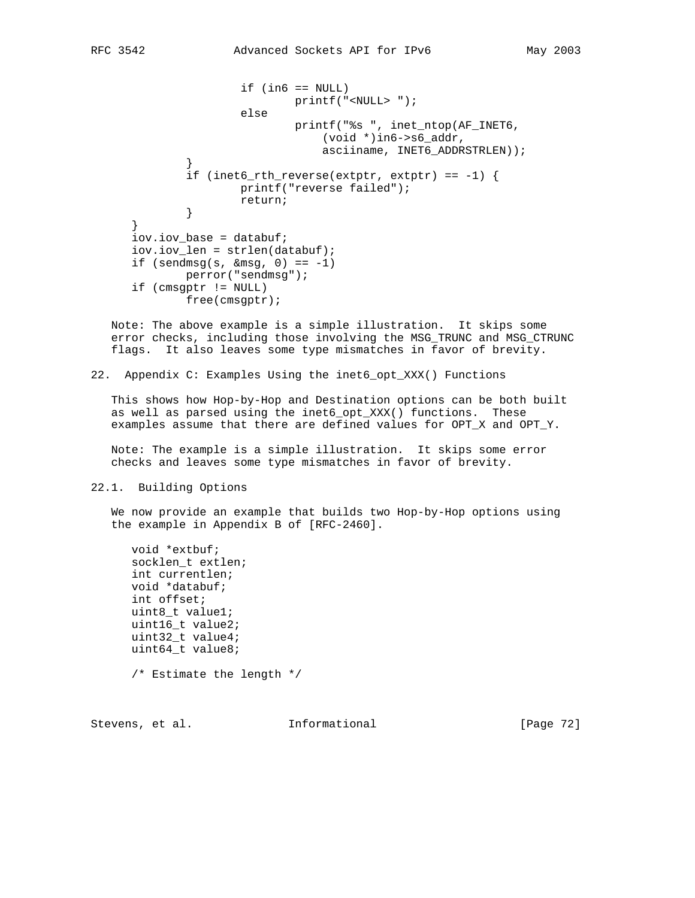```
if (in6 == NULL) printf("<NULL> ");
                      else
                             printf("%s ", inet_ntop(AF_INET6,
                                 (void *)in6->s6_addr,
                                 asciiname, INET6_ADDRSTRLEN));
 }
             if (inet6_rth_reverse(extptr, extptr) == -1) {
                     printf("reverse failed");
              return;
 }
      }
      iov.iov_base = databuf;
      iov.iov_len = strlen(databuf);
     if (sendmsg(s, \&msq, 0) == -1)
             perror("sendmsg");
      if (cmsgptr != NULL)
             free(cmsgptr);
```
 Note: The above example is a simple illustration. It skips some error checks, including those involving the MSG\_TRUNC and MSG\_CTRUNC flags. It also leaves some type mismatches in favor of brevity.

22. Appendix C: Examples Using the inet6\_opt\_XXX() Functions

 This shows how Hop-by-Hop and Destination options can be both built as well as parsed using the inet6\_opt\_XXX() functions. These examples assume that there are defined values for OPT\_X and OPT\_Y.

 Note: The example is a simple illustration. It skips some error checks and leaves some type mismatches in favor of brevity.

#### 22.1. Building Options

 We now provide an example that builds two Hop-by-Hop options using the example in Appendix B of [RFC-2460].

```
 void *extbuf;
 socklen_t extlen;
 int currentlen;
 void *databuf;
 int offset;
 uint8_t value1;
 uint16_t value2;
 uint32_t value4;
 uint64_t value8;
 /* Estimate the length */
```
Stevens, et al. **Informational** [Page 72]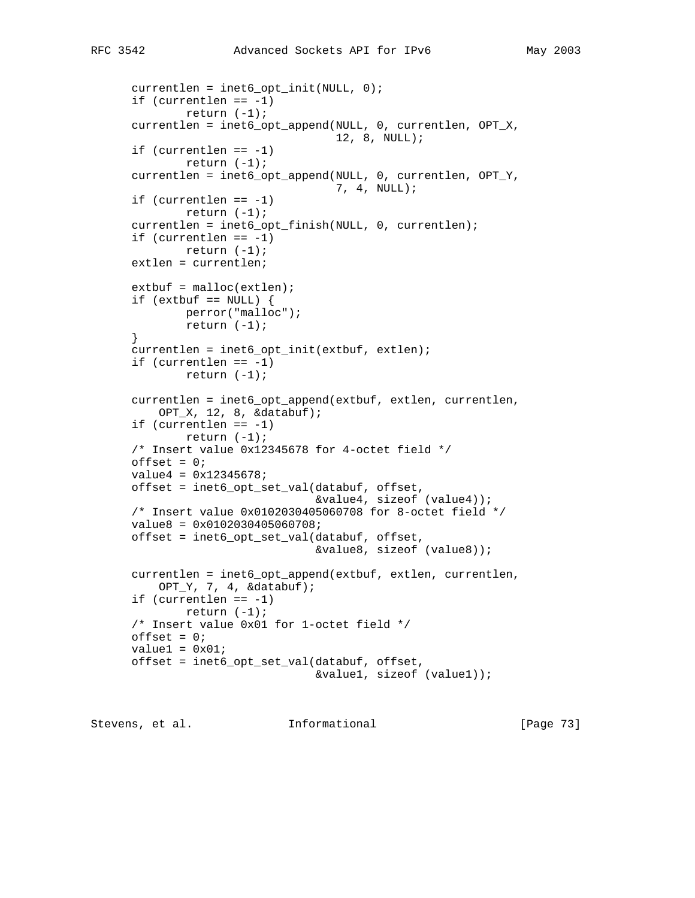```
 currentlen = inet6_opt_init(NULL, 0);
if (currentlen == -1)
        return (-1);
 currentlen = inet6_opt_append(NULL, 0, currentlen, OPT_X,
                                12, 8, NULL);
if (currentlen == -1)
         return (-1);
 currentlen = inet6_opt_append(NULL, 0, currentlen, OPT_Y,
                               7, 4, NULL);
 if (currentlen == -1)
         return (-1);
 currentlen = inet6_opt_finish(NULL, 0, currentlen);
 if (currentlen == -1)
        return (-1);
 extlen = currentlen;
extbut = <math>malloc(extlen)</math>if (extbuf == NULL) {
        perror("malloc");
        return (-1);
 }
 currentlen = inet6_opt_init(extbuf, extlen);
if (currentlen == -1)
         return (-1);
 currentlen = inet6_opt_append(extbuf, extlen, currentlen,
     OPT_X, 12, 8, &databuf);
 if (currentlen == -1)
       return (-1);
 /* Insert value 0x12345678 for 4-octet field */
offset = 0; value4 = 0x12345678;
 offset = inet6_opt_set_val(databuf, offset,
                            &value4, sizeof (value4));
 /* Insert value 0x0102030405060708 for 8-octet field */
 value8 = 0x0102030405060708;
 offset = inet6_opt_set_val(databuf, offset,
                             &value8, sizeof (value8));
 currentlen = inet6_opt_append(extbuf, extlen, currentlen,
    OPT_Y, 7, 4, &databuf);
 if (currentlen == -1)
        return (-1);
 /* Insert value 0x01 for 1-octet field */
offset = 0;value1 = 0x01;
 offset = inet6_opt_set_val(databuf, offset,
                             &value1, sizeof (value1));
```
Stevens, et al. **Informational** [Page 73]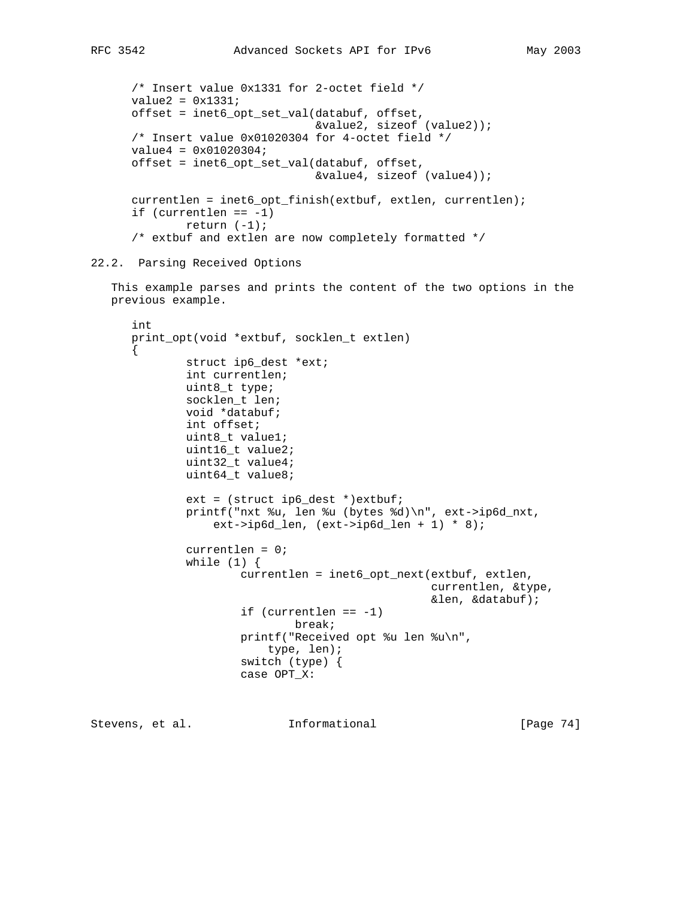```
 /* Insert value 0x1331 for 2-octet field */
value2 = 0x1331i offset = inet6_opt_set_val(databuf, offset,
                            &value2, sizeof (value2));
 /* Insert value 0x01020304 for 4-octet field */
 value4 = 0x01020304;
 offset = inet6_opt_set_val(databuf, offset,
                            &value4, sizeof (value4));
 currentlen = inet6_opt_finish(extbuf, extlen, currentlen);
if (currentlen == -1)
        return (-1);
 /* extbuf and extlen are now completely formatted */
```
## 22.2. Parsing Received Options

 This example parses and prints the content of the two options in the previous example.

```
 int
 print_opt(void *extbuf, socklen_t extlen)
\{ struct ip6_dest *ext;
         int currentlen;
         uint8_t type;
         socklen_t len;
         void *databuf;
         int offset;
         uint8_t value1;
         uint16_t value2;
         uint32_t value4;
         uint64_t value8;
        ext = (struct ip6 dest *)ext{bit};
         printf("nxt %u, len %u (bytes %d)\n", ext->ip6d_nxt,
            ext{-}ip6d_{len}, ext{-}ip6d_{len} + 1, * 8;
         currentlen = 0;
        while (1) {
                 currentlen = inet6 opt next(extbuf, extlen,
                                               currentlen, &type,
                                               &len, &databuf);
                  if (currentlen == -1)
                          break;
                  printf("Received opt %u len %u\n",
                      type, len);
                  switch (type) {
                  case OPT_X:
```
Stevens, et al. **Informational** [Page 74]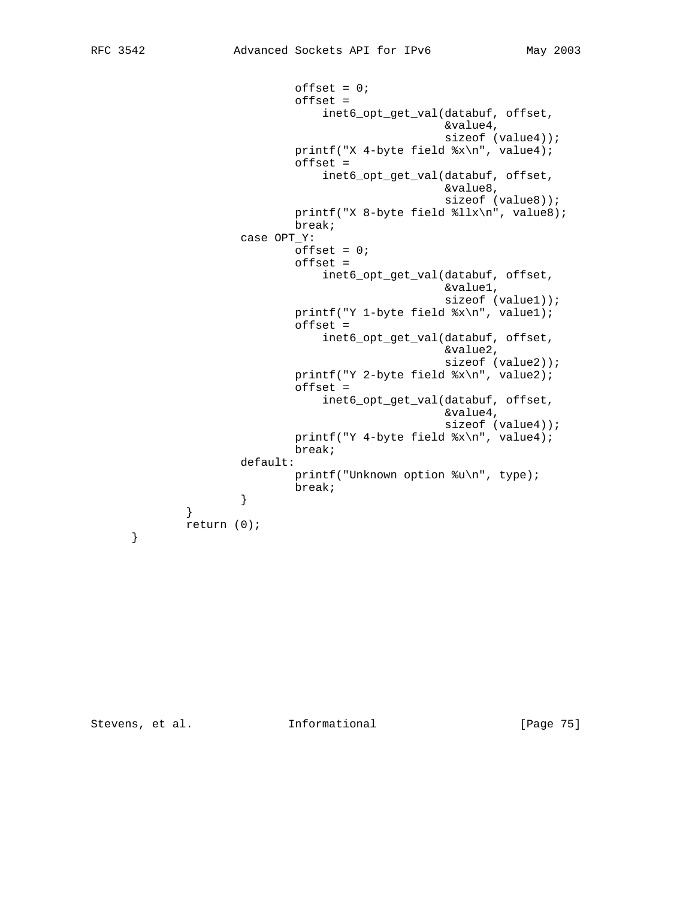$offset = 0;$  offset = inet6\_opt\_get\_val(databuf, offset, &value4, sizeof (value4)); printf("X 4-byte field %x\n", value4); offset = inet6\_opt\_get\_val(databuf, offset, &value8, sizeof (value8)); printf("X 8-byte field %llx\n", value8); break; case OPT\_Y:  $offset = 0;$  offset = inet6\_opt\_get\_val(databuf, offset, &value1, sizeof (value1)); printf("Y 1-byte field %x\n", value1); offset = inet6\_opt\_get\_val(databuf, offset, &value2, sizeof (value2)); printf("Y 2-byte field %x\n", value2); offset = inet6\_opt\_get\_val(databuf, offset, &value4, sizeof (value4)); printf("Y 4-byte field %x\n", value4); break; default: printf("Unknown option %u\n", type); break; } } return (0); }

Stevens, et al. **Informational** [Page 75]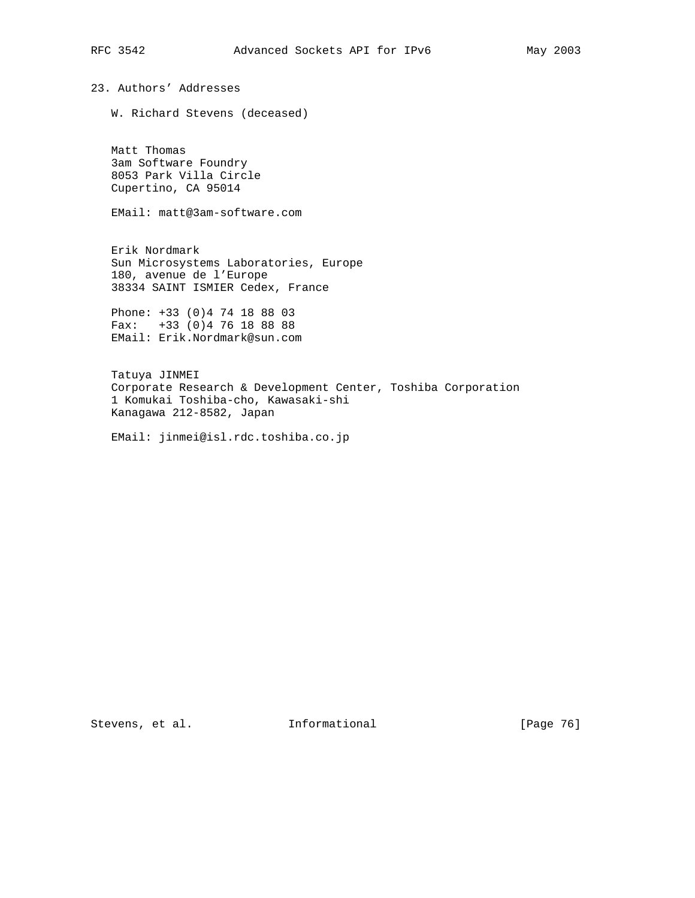23. Authors' Addresses

W. Richard Stevens (deceased)

 Matt Thomas 3am Software Foundry 8053 Park Villa Circle Cupertino, CA 95014

EMail: matt@3am-software.com

 Erik Nordmark Sun Microsystems Laboratories, Europe 180, avenue de l'Europe 38334 SAINT ISMIER Cedex, France

 Phone: +33 (0)4 74 18 88 03 Fax: +33 (0)4 76 18 88 88 EMail: Erik.Nordmark@sun.com

 Tatuya JINMEI Corporate Research & Development Center, Toshiba Corporation 1 Komukai Toshiba-cho, Kawasaki-shi Kanagawa 212-8582, Japan

EMail: jinmei@isl.rdc.toshiba.co.jp

Stevens, et al. 1nformational [Page 76]